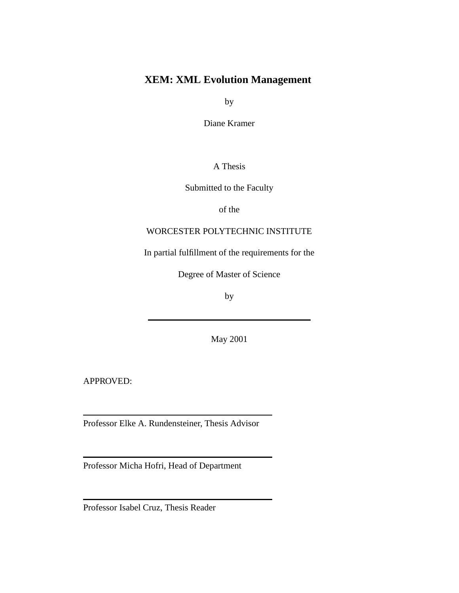### **XEM: XML Evolution Management**

by

Diane Kramer

A Thesis

Submitted to the Faculty

of the

#### WORCESTER POLYTECHNIC INSTITUTE

In partial fulfillment of the requirements for the

Degree of Master of Science

by

May 2001

APPROVED:

Professor Elke A. Rundensteiner, Thesis Advisor

Professor Micha Hofri, Head of Department

Professor Isabel Cruz, Thesis Reader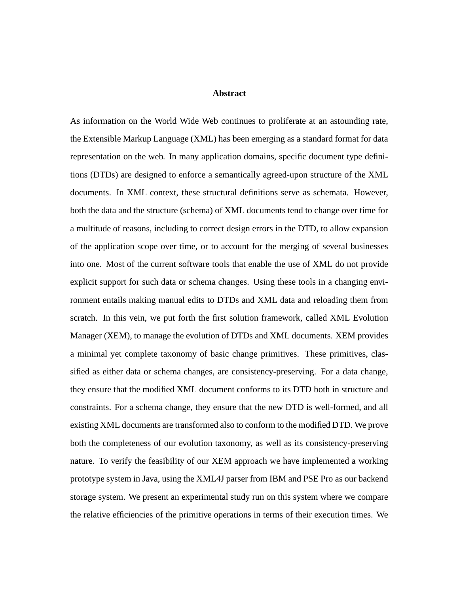#### **Abstract**

As information on the World Wide Web continues to proliferate at an astounding rate, the Extensible Markup Language (XML) has been emerging as a standard format for data representation on the web. In many application domains, specific document type definitions (DTDs) are designed to enforce a semantically agreed-upon structure of the XML documents. In XML context, these structural definitions serve as schemata. However, both the data and the structure (schema) of XML documents tend to change over time for a multitude of reasons, including to correct design errors in the DTD, to allow expansion of the application scope over time, or to account for the merging of several businesses into one. Most of the current software tools that enable the use of XML do not provide explicit support for such data or schema changes. Using these tools in a changing environment entails making manual edits to DTDs and XML data and reloading them from scratch. In this vein, we put forth the first solution framework, called XML Evolution Manager (XEM), to manage the evolution of DTDs and XML documents. XEM provides a minimal yet complete taxonomy of basic change primitives. These primitives, classified as either data or schema changes, are consistency-preserving. For a data change, they ensure that the modified XML document conforms to its DTD both in structure and constraints. For a schema change, they ensure that the new DTD is well-formed, and all existing XML documents are transformed also to conform to the modified DTD. We prove both the completeness of our evolution taxonomy, as well as its consistency-preserving nature. To verify the feasibility of our XEM approach we have implemented a working prototype system in Java, using the XML4J parser from IBM and PSE Pro as our backend storage system. We present an experimental study run on this system where we compare the relative efficiencies of the primitive operations in terms of their execution times. We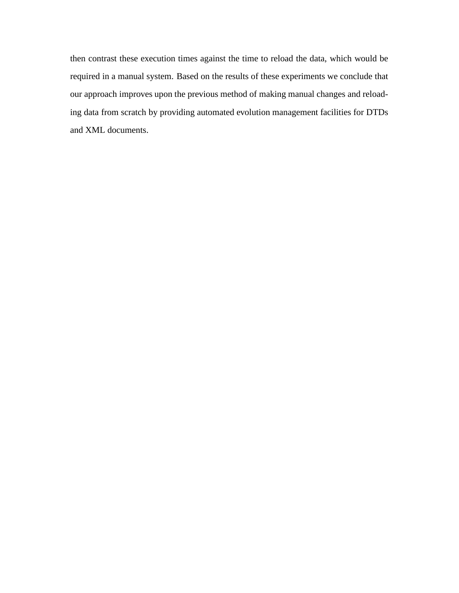then contrast these execution times against the time to reload the data, which would be required in a manual system. Based on the results of these experiments we conclude that our approach improves upon the previous method of making manual changes and reloading data from scratch by providing automated evolution management facilities for DTDs and XML documents.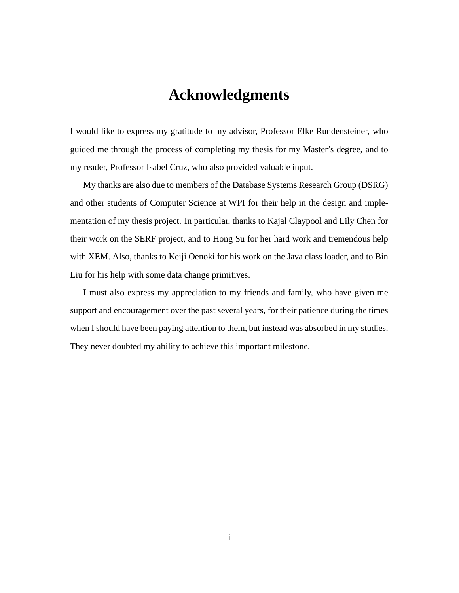### **Acknowledgments**

I would like to express my gratitude to my advisor, Professor Elke Rundensteiner, who guided me through the process of completing my thesis for my Master's degree, and to my reader, Professor Isabel Cruz, who also provided valuable input.

My thanks are also due to members of the Database Systems Research Group (DSRG) and other students of Computer Science at WPI for their help in the design and implementation of my thesis project. In particular, thanks to Kajal Claypool and Lily Chen for their work on the SERF project, and to Hong Su for her hard work and tremendous help with XEM. Also, thanks to Keiji Oenoki for his work on the Java class loader, and to Bin Liu for his help with some data change primitives.

I must also express my appreciation to my friends and family, who have given me support and encouragement over the past several years, for their patience during the times when I should have been paying attention to them, but instead was absorbed in my studies. They never doubted my ability to achieve this important milestone.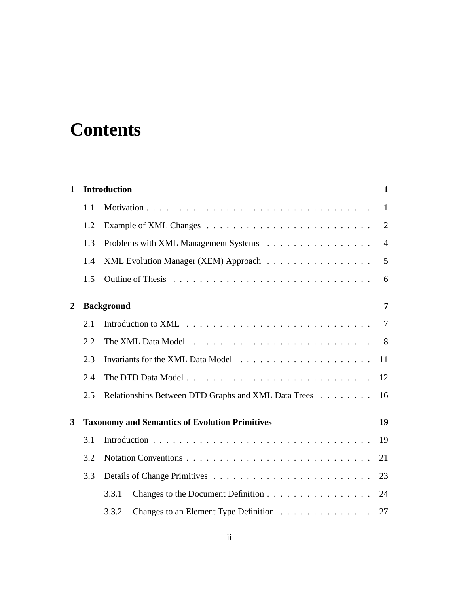## **Contents**

| 1 |     | <b>Introduction</b><br>$\mathbf{1}$                   |                |  |
|---|-----|-------------------------------------------------------|----------------|--|
|   | 1.1 |                                                       | $\mathbf{1}$   |  |
|   | 1.2 |                                                       | $\overline{2}$ |  |
|   | 1.3 | Problems with XML Management Systems                  | $\overline{4}$ |  |
|   | 1.4 | XML Evolution Manager (XEM) Approach                  | 5              |  |
|   | 1.5 |                                                       | 6              |  |
| 2 |     | <b>Background</b>                                     | 7              |  |
|   | 2.1 |                                                       | $\overline{7}$ |  |
|   | 2.2 |                                                       | 8              |  |
|   | 2.3 |                                                       | 11             |  |
|   | 2.4 |                                                       | 12             |  |
|   | 2.5 | Relationships Between DTD Graphs and XML Data Trees   | 16             |  |
| 3 |     | <b>Taxonomy and Semantics of Evolution Primitives</b> | 19             |  |
|   | 3.1 |                                                       | 19             |  |
|   | 3.2 |                                                       | 21             |  |
|   | 3.3 |                                                       | 23             |  |
|   |     | 3.3.1<br>Changes to the Document Definition           | 24             |  |
|   |     | Changes to an Element Type Definition<br>3.3.2        | 27             |  |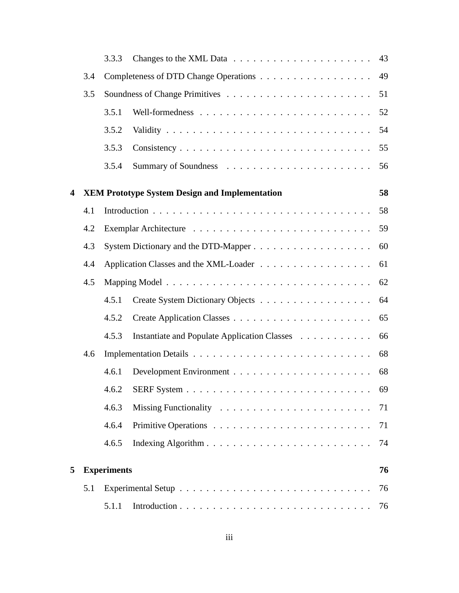|                         |     | 3.3.3              |                                                       | 43 |
|-------------------------|-----|--------------------|-------------------------------------------------------|----|
|                         | 3.4 |                    |                                                       | 49 |
|                         | 3.5 |                    |                                                       | 51 |
|                         |     | 3.5.1              |                                                       | 52 |
|                         |     | 3.5.2              |                                                       | 54 |
|                         |     | 3.5.3              |                                                       | 55 |
|                         |     | 3.5.4              |                                                       | 56 |
| $\overline{\mathbf{4}}$ |     |                    | <b>XEM Prototype System Design and Implementation</b> | 58 |
|                         | 4.1 |                    |                                                       | 58 |
|                         | 4.2 |                    |                                                       | 59 |
|                         | 4.3 |                    |                                                       | 60 |
|                         | 4.4 |                    |                                                       | 61 |
|                         | 4.5 |                    |                                                       | 62 |
|                         |     | 4.5.1              | Create System Dictionary Objects                      | 64 |
|                         |     | 4.5.2              |                                                       | 65 |
|                         |     | 4.5.3              | Instantiate and Populate Application Classes          | 66 |
|                         | 4.6 |                    |                                                       | 68 |
|                         |     | 4.6.1              |                                                       | 68 |
|                         |     |                    |                                                       | 69 |
|                         |     | 4.6.3              |                                                       | 71 |
|                         |     | 4.6.4              |                                                       | 71 |
|                         |     | 4.6.5              |                                                       | 74 |
| 5                       |     | <b>Experiments</b> |                                                       | 76 |
|                         | 5.1 |                    |                                                       | 76 |
|                         |     | 5.1.1              |                                                       | 76 |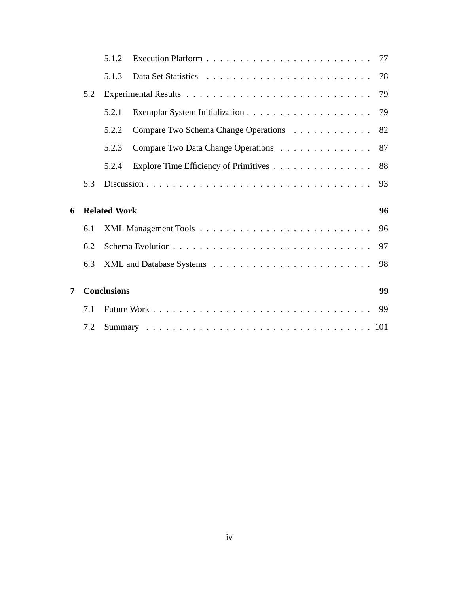|   |     | 5.1.2               |                                       |    |
|---|-----|---------------------|---------------------------------------|----|
|   |     | 5.1.3               |                                       | 78 |
|   | 5.2 |                     |                                       | 79 |
|   |     | 5.2.1               |                                       | 79 |
|   |     | 5.2.2               | Compare Two Schema Change Operations  | 82 |
|   |     | 5.2.3               | Compare Two Data Change Operations 87 |    |
|   |     | 5.2.4               | Explore Time Efficiency of Primitives | 88 |
|   | 5.3 |                     |                                       | 93 |
| 6 |     | <b>Related Work</b> |                                       | 96 |
|   | 6.1 |                     |                                       | 96 |
|   | 6.2 |                     |                                       | 97 |
|   | 6.3 |                     |                                       | 98 |
| 7 |     | <b>Conclusions</b>  |                                       | 99 |
|   | 7.1 |                     |                                       | 99 |
|   | 7.2 |                     |                                       |    |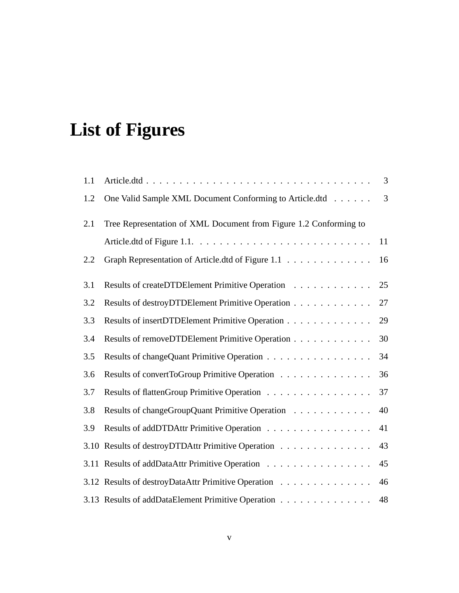## **List of Figures**

| 1.1  |                                                                   | 3              |
|------|-------------------------------------------------------------------|----------------|
| 1.2  | One Valid Sample XML Document Conforming to Article.dtd           | $\overline{3}$ |
| 2.1  | Tree Representation of XML Document from Figure 1.2 Conforming to |                |
|      |                                                                   | 11             |
| 2.2  | Graph Representation of Article.dtd of Figure 1.1                 | 16             |
| 3.1  | Results of createDTDElement Primitive Operation                   | 25             |
| 3.2  | Results of destroyDTDElement Primitive Operation                  | 27             |
| 3.3  | Results of insertDTDElement Primitive Operation                   | 29             |
| 3.4  | Results of removeDTDElement Primitive Operation                   | 30             |
| 3.5  | Results of changeQuant Primitive Operation                        | 34             |
| 3.6  | Results of convertToGroup Primitive Operation                     | 36             |
| 3.7  | Results of flattenGroup Primitive Operation                       | 37             |
| 3.8  | Results of changeGroupQuant Primitive Operation                   | 40             |
| 3.9  | Results of addDTDAttr Primitive Operation                         | 41             |
| 3.10 | Results of destroyDTDAttr Primitive Operation                     | 43             |
|      | 3.11 Results of addDataAttr Primitive Operation                   | 45             |
|      | 3.12 Results of destroyDataAttr Primitive Operation               | 46             |
|      | 3.13 Results of addDataElement Primitive Operation                | 48             |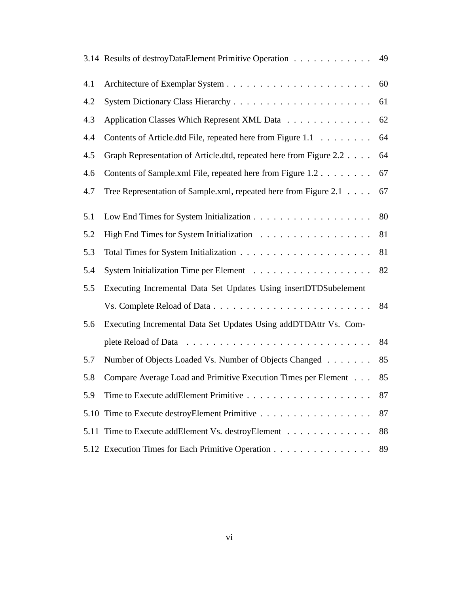|      | 3.14 Results of destroyDataElement Primitive Operation 49          |    |
|------|--------------------------------------------------------------------|----|
| 4.1  |                                                                    | 60 |
| 4.2  |                                                                    | 61 |
| 4.3  | Application Classes Which Represent XML Data                       | 62 |
| 4.4  | Contents of Article.dtd File, repeated here from Figure 1.1        | 64 |
| 4.5  | Graph Representation of Article.dtd, repeated here from Figure 2.2 | 64 |
| 4.6  | Contents of Sample.xml File, repeated here from Figure 1.2         | 67 |
| 4.7  | Tree Representation of Sample.xml, repeated here from Figure 2.1   | 67 |
| 5.1  |                                                                    | 80 |
| 5.2  |                                                                    | 81 |
| 5.3  |                                                                    | 81 |
| 5.4  |                                                                    | 82 |
| 5.5  | Executing Incremental Data Set Updates Using insertDTDSubelement   |    |
|      |                                                                    | 84 |
| 5.6  | Executing Incremental Data Set Updates Using addDTDAttr Vs. Com-   |    |
|      |                                                                    | 84 |
| 5.7  | Number of Objects Loaded Vs. Number of Objects Changed             | 85 |
| 5.8  | Compare Average Load and Primitive Execution Times per Element     | 85 |
| 5.9  |                                                                    | 87 |
| 5.10 |                                                                    | 87 |
| 5.11 | Time to Execute addElement Vs. destroyElement                      | 88 |
|      | 5.12 Execution Times for Each Primitive Operation                  | 89 |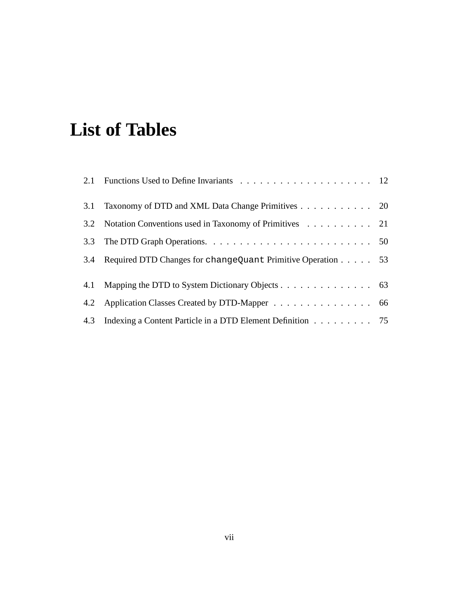## **List of Tables**

| 3.1 Taxonomy of DTD and XML Data Change Primitives 20           |  |
|-----------------------------------------------------------------|--|
| 3.2 Notation Conventions used in Taxonomy of Primitives 21      |  |
|                                                                 |  |
| 3.4 Required DTD Changes for changeQuant Primitive Operation 53 |  |
| 4.1 Mapping the DTD to System Dictionary Objects 63             |  |
| 4.2 Application Classes Created by DTD-Mapper 66                |  |
| 4.3 Indexing a Content Particle in a DTD Element Definition 75  |  |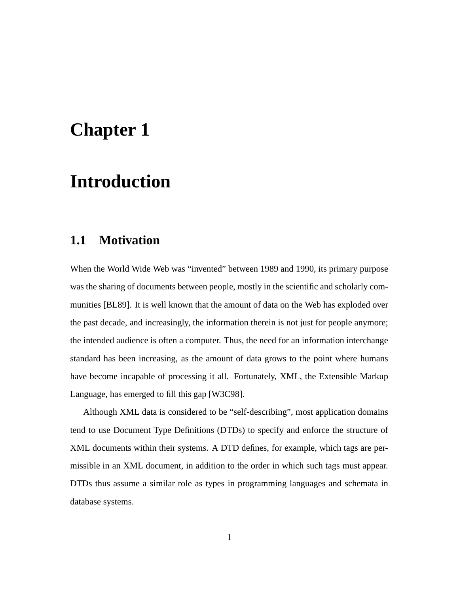## **Chapter 1**

## **Introduction**

### **1.1 Motivation**

When the World Wide Web was "invented" between 1989 and 1990, its primary purpose was the sharing of documents between people, mostly in the scientific and scholarly communities [BL89]. It is well known that the amount of data on the Web has exploded over the past decade, and increasingly, the information therein is not just for people anymore; the intended audience is often a computer. Thus, the need for an information interchange standard has been increasing, as the amount of data grows to the point where humans have become incapable of processing it all. Fortunately, XML, the Extensible Markup Language, has emerged to fill this gap [W3C98].

Although XML data is considered to be "self-describing", most application domains tend to use Document Type Definitions (DTDs) to specify and enforce the structure of XML documents within their systems. A DTD defines, for example, which tags are permissible in an XML document, in addition to the order in which such tags must appear. DTDs thus assume a similar role as types in programming languages and schemata in database systems.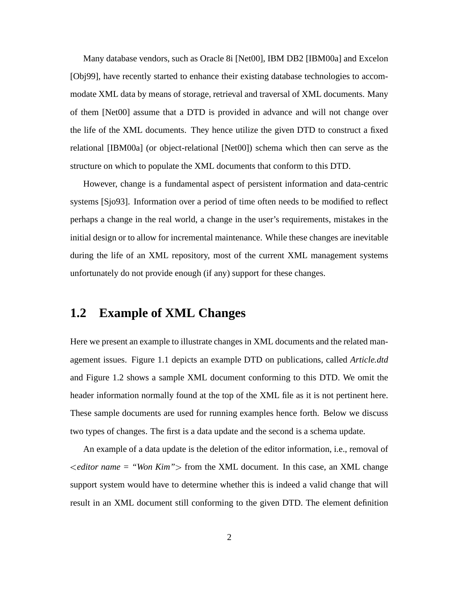Many database vendors, such as Oracle 8i [Net00], IBM DB2 [IBM00a] and Excelon [Obj99], have recently started to enhance their existing database technologies to accommodate XML data by means of storage, retrieval and traversal of XML documents. Many of them [Net00] assume that a DTD is provided in advance and will not change over the life of the XML documents. They hence utilize the given DTD to construct a fixed relational [IBM00a] (or object-relational [Net00]) schema which then can serve as the structure on which to populate the XML documents that conform to this DTD.

However, change is a fundamental aspect of persistent information and data-centric systems [Sjo93]. Information over a period of time often needs to be modified to reflect perhaps a change in the real world, a change in the user's requirements, mistakes in the initial design or to allow for incremental maintenance. While these changes are inevitable during the life of an XML repository, most of the current XML management systems unfortunately do not provide enough (if any) support for these changes.

#### **1.2 Example of XML Changes**

Here we present an example to illustrate changes in XML documents and the related management issues. Figure 1.1 depicts an example DTD on publications, called *Article.dtd* and Figure 1.2 shows a sample XML document conforming to this DTD. We omit the header information normally found at the top of the XML file as it is not pertinent here. These sample documents are used for running examples hence forth. Below we discuss two types of changes. The first is a data update and the second is a schema update.

An example of a data update is the deletion of the editor information, i.e., removal of *editor name = "Won Kim"* from the XML document. In this case, an XML change support system would have to determine whether this is indeed a valid change that will result in an XML document still conforming to the given DTD. The element definition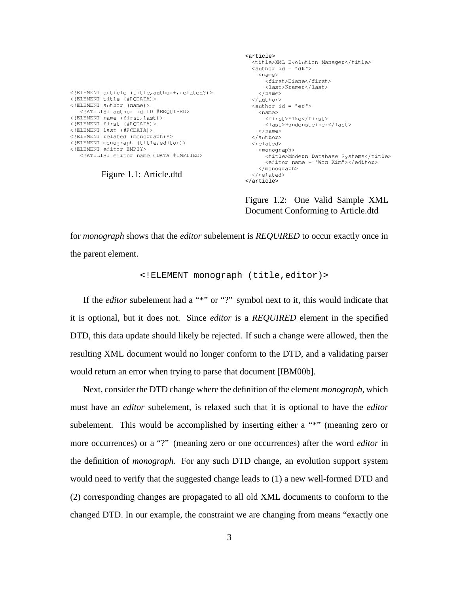<!ELEMENT article (title author+ related?)> <!ELEMENT title (#PCDATA)> -  ! 23 4"5&0' -6/78 !9\$:70.:\*; <=7;."' - >34")? @A @5&0' <!ELEMENT first (#PCDATA)> <!ELEMENT last (#PCDATA)> - 9
 \$E4
!3 !F G 5&H' - I4
!3!F"G CJ
K\$
 ! &0' - >\$
 ! I", L"' -6/78>\$
 !(34"-.//M\* 7N ,70.
'

Figure 1.1: Article.dtd

```
<article> <title>XML Evolution Manager</title>
  \langle \text{author id} = "dk" \rangle<name><first>Diane</first>
      <last>Kramer</last>
   \langle/name>
 </author>
 \langleauthor id = "er">
   <name>
      <first>Elke</first>
      <last>Rundensteiner</last>
   \langle/name>
  "Q 	!'
  "$	'
    <monograph>
      <title>Modern Database Systems</title>
      <editor name = "Won Kim"></editor>
    </monograph>
 </related>
</article>
```
Figure 1.2: One Valid Sample XML Document Conforming to Article.dtd

for *monograph* shows that the *editor* subelement is *REQUIRED* to occur exactly once in the parent element.

<!ELEMENT monograph (title,editor)>

If the *editor* subelement had a "\*" or "?" symbol next to it, this would indicate that it is optional, but it does not. Since *editor* is a *REQUIRED* element in the specified DTD, this data update should likely be rejected. If such a change were allowed, then the resulting XML document would no longer conform to the DTD, and a validating parser would return an error when trying to parse that document [IBM00b].

Next, consider the DTD change where the definition of the element *monograph*, which must have an *editor* subelement, is relaxed such that it is optional to have the *editor* subelement. This would be accomplished by inserting either a "\*" (meaning zero or more occurrences) or a "?" (meaning zero or one occurrences) after the word *editor* in the definition of *monograph*. For any such DTD change, an evolution support system would need to verify that the suggested change leads to (1) a new well-formed DTD and (2) corresponding changes are propagated to all old XML documents to conform to the changed DTD. In our example, the constraint we are changing from means "exactly one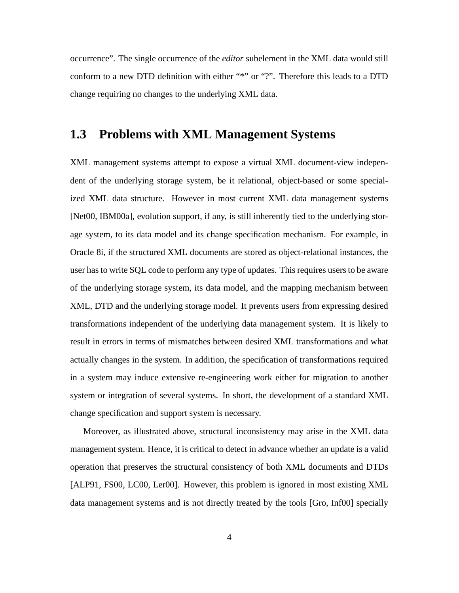occurrence". The single occurrence of the *editor* subelement in the XML data would still conform to a new DTD definition with either "\*" or "?". Therefore this leads to a DTD change requiring no changes to the underlying XML data.

### **1.3 Problems with XML Management Systems**

XML management systems attempt to expose a virtual XML document-view independent of the underlying storage system, be it relational, object-based or some specialized XML data structure. However in most current XML data management systems [Net00, IBM00a], evolution support, if any, is still inherently tied to the underlying storage system, to its data model and its change specification mechanism. For example, in Oracle 8i, if the structured XML documents are stored as object-relational instances, the user has to write SQL code to perform any type of updates. This requires users to be aware of the underlying storage system, its data model, and the mapping mechanism between XML, DTD and the underlying storage model. It prevents users from expressing desired transformations independent of the underlying data management system. It is likely to result in errors in terms of mismatches between desired XML transformations and what actually changes in the system. In addition, the specification of transformations required in a system may induce extensive re-engineering work either for migration to another system or integration of several systems. In short, the development of a standard XML change specification and support system is necessary.

Moreover, as illustrated above, structural inconsistency may arise in the XML data management system. Hence, it is critical to detect in advance whether an update is a valid operation that preserves the structural consistency of both XML documents and DTDs [ALP91, FS00, LC00, Ler00]. However, this problem is ignored in most existing XML data management systems and is not directly treated by the tools [Gro, Inf00] specially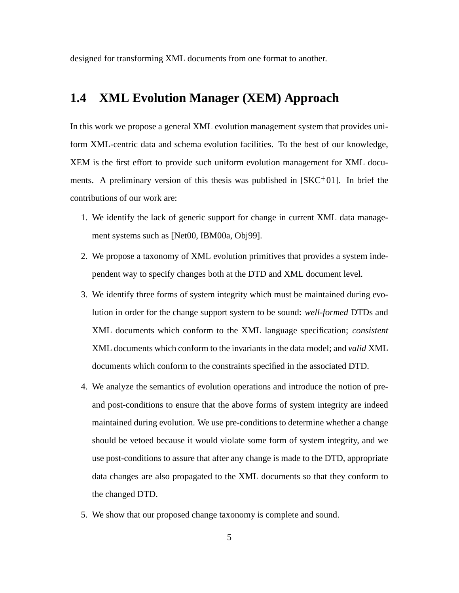designed for transforming XML documents from one format to another.

#### **1.4 XML Evolution Manager (XEM) Approach**

In this work we propose a general XML evolution management system that provides uniform XML-centric data and schema evolution facilities. To the best of our knowledge, XEM is the first effort to provide such uniform evolution management for XML documents. A preliminary version of this thesis was published in  $[SKC<sup>+</sup>01]$ . In brief the contributions of our work are:

- 1. We identify the lack of generic support for change in current XML data management systems such as [Net00, IBM00a, Obj99].
- 2. We propose a taxonomy of XML evolution primitives that provides a system independent way to specify changes both at the DTD and XML document level.
- 3. We identify three forms of system integrity which must be maintained during evolution in order for the change support system to be sound: *well-formed* DTDs and XML documents which conform to the XML language specification; *consistent* XML documents which conform to the invariantsin the data model; and *valid* XML documents which conform to the constraints specified in the associated DTD.
- 4. We analyze the semantics of evolution operations and introduce the notion of preand post-conditions to ensure that the above forms of system integrity are indeed maintained during evolution. We use pre-conditions to determine whether a change should be vetoed because it would violate some form of system integrity, and we use post-conditions to assure that after any change is made to the DTD, appropriate data changes are also propagated to the XML documents so that they conform to the changed DTD.
- 5. We show that our proposed change taxonomy is complete and sound.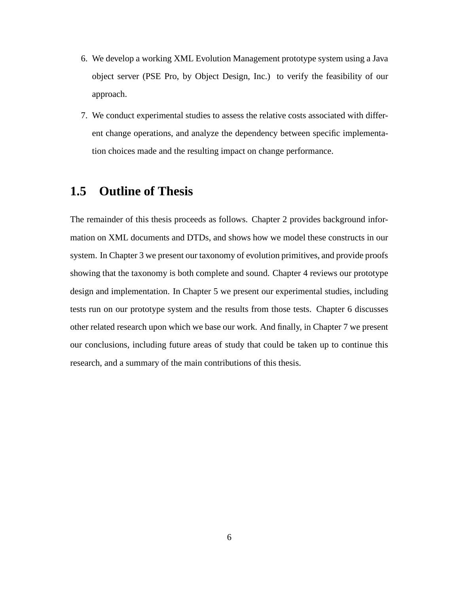- 6. We develop a working XML Evolution Management prototype system using a Java object server (PSE Pro, by Object Design, Inc.) to verify the feasibility of our approach.
- 7. We conduct experimental studies to assess the relative costs associated with different change operations, and analyze the dependency between specific implementation choices made and the resulting impact on change performance.

### **1.5 Outline of Thesis**

The remainder of this thesis proceeds as follows. Chapter 2 provides background information on XML documents and DTDs, and shows how we model these constructs in our system. In Chapter 3 we present our taxonomy of evolution primitives, and provide proofs showing that the taxonomy is both complete and sound. Chapter 4 reviews our prototype design and implementation. In Chapter 5 we present our experimental studies, including tests run on our prototype system and the results from those tests. Chapter 6 discusses other related research upon which we base our work. And finally, in Chapter 7 we present our conclusions, including future areas of study that could be taken up to continue this research, and a summary of the main contributions of this thesis.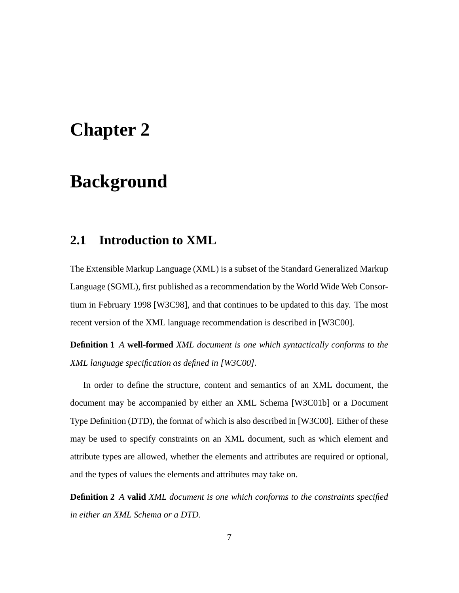## **Chapter 2**

### **Background**

### **2.1 Introduction to XML**

The Extensible Markup Language (XML) is a subset of the Standard Generalized Markup Language (SGML), first published as a recommendation by the World Wide Web Consortium in February 1998 [W3C98], and that continues to be updated to this day. The most recent version of the XML language recommendation is described in [W3C00].

**Definition 1** *A* **well-formed** *XML document is one which syntactically conforms to the XML language specification as defined in [W3C00].*

In order to define the structure, content and semantics of an XML document, the document may be accompanied by either an XML Schema [W3C01b] or a Document Type Definition (DTD), the format of which is also described in [W3C00]. Either of these may be used to specify constraints on an XML document, such as which element and attribute types are allowed, whether the elements and attributes are required or optional, and the types of values the elements and attributes may take on.

**Definition 2** *A* **valid** *XML document is one which conforms to the constraints specified in either an XML Schema or a DTD.*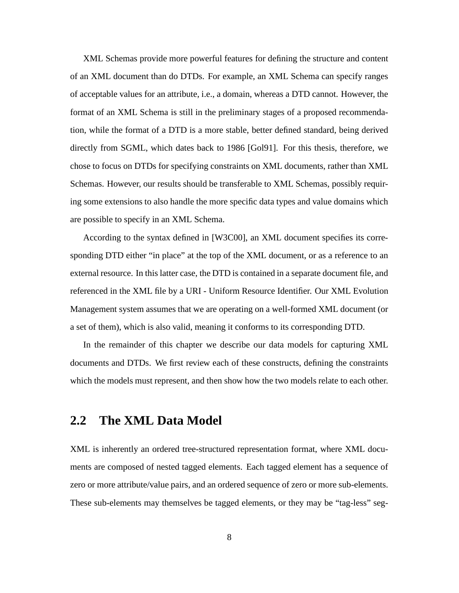XML Schemas provide more powerful features for defining the structure and content of an XML document than do DTDs. For example, an XML Schema can specify ranges of acceptable values for an attribute, i.e., a domain, whereas a DTD cannot. However, the format of an XML Schema is still in the preliminary stages of a proposed recommendation, while the format of a DTD is a more stable, better defined standard, being derived directly from SGML, which dates back to 1986 [Gol91]. For this thesis, therefore, we chose to focus on DTDs for specifying constraints on XML documents, rather than XML Schemas. However, our results should be transferable to XML Schemas, possibly requiring some extensions to also handle the more specific data types and value domains which are possible to specify in an XML Schema.

According to the syntax defined in [W3C00], an XML document specifies its corresponding DTD either "in place" at the top of the XML document, or as a reference to an external resource. In thislatter case, the DTD is contained in a separate document file, and referenced in the XML file by a URI - Uniform Resource Identifier. Our XML Evolution Management system assumes that we are operating on a well-formed XML document (or a set of them), which is also valid, meaning it conforms to its corresponding DTD.

In the remainder of this chapter we describe our data models for capturing XML documents and DTDs. We first review each of these constructs, defining the constraints which the models must represent, and then show how the two models relate to each other.

### **2.2 The XML Data Model**

XML is inherently an ordered tree-structured representation format, where XML documents are composed of nested tagged elements. Each tagged element has a sequence of zero or more attribute/value pairs, and an ordered sequence of zero or more sub-elements. These sub-elements may themselves be tagged elements, or they may be "tag-less" seg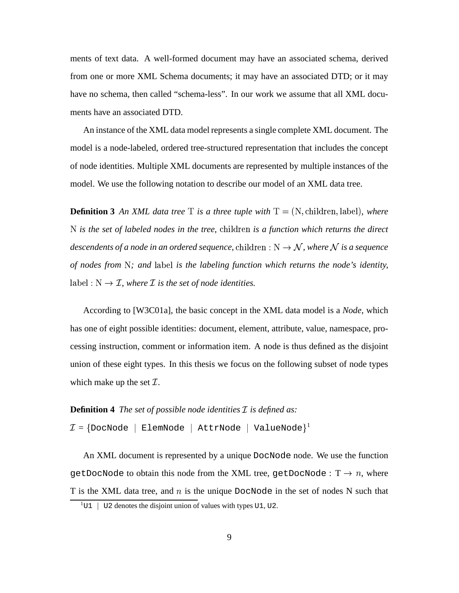ments of text data. A well-formed document may have an associated schema, derived from one or more XML Schema documents; it may have an associated DTD; or it may have no schema, then called "schema-less". In our work we assume that all XML documents have an associated DTD.

An instance of the XML data model represents a single complete XML document. The model is a node-labeled, ordered tree-structured representation that includes the concept of node identities. Multiple XML documents are represented by multiple instances of the model. We use the following notation to describe our model of an XML data tree.

**Definition 3** An XML data tree T is a three tuple with  $T = (N, \text{children}, \text{label})$ , where *is the set of labeled nodes in the tree, is a function which returns the direct* descendents of a node in an ordered sequence,  $\text{children}: \text{N} \rightarrow \mathcal{N}$ , where  $\mathcal N$  is a sequence *of nodes from ; and* ) *is the labeling function which returns the node's identity,*  $a \cdot b = b \cdot b \cdot \mathcal{I}$ , where  $\mathcal I$  *is the set of node identities.* 

According to [W3C01a], the basic concept in the XML data model is a *Node*, which has one of eight possible identities: document, element, attribute, value, namespace, processing instruction, comment or information item. A node is thus defined as the disjoint union of these eight types. In this thesis we focus on the following subset of node types which make up the set  $\mathcal{I}$ .

#### **Definition 4** *The set of possible node identities*  $\mathcal{I}$  *is defined as:*

 $\mathcal{I} = \{\texttt{DocNode}\ \mid\ \texttt{ElementNode}\ \mid\ \texttt{AttributeNode}\}^1$ 

An XML document is represented by a unique DocNode node. We use the function <code>getDocNode</code> to obtain this node from the XML tree, <code>getDocNode</code> : T  $\rightarrow$   $n,$  where T is the XML data tree, and  $n$  is the unique DocNode in the set of nodes N such that

 $1$ U1 | U2 denotes the disjoint union of values with types U1, U2.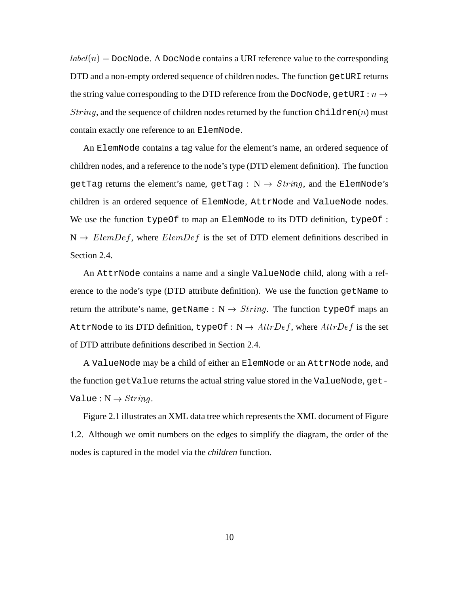$label(n) =$  DocNode. A DocNode contains a URI reference value to the corresponding DTD and a non-empty ordered sequence of children nodes. The function getURI returns the string value corresponding to the DTD reference from the DocNode, getURI :  $n \rightarrow$  $String$ , and the sequence of children nodes returned by the function children(n) must contain exactly one reference to an ElemNode.

An ElemNode contains a tag value for the element's name, an ordered sequence of children nodes, and a reference to the node's type (DTD element definition). The function getTag returns the element's name, getTag :  $N \rightarrow String$ , and the ElemNode's children is an ordered sequence of ElemNode, AttrNode and ValueNode nodes. We use the function typeOf to map an ElemNode to its DTD definition, typeOf :  $N \rightarrow E$ lem $Def$ , where  $E$ lem $Def$  is the set of DTD element definitions described in Section 2.4.

An AttrNode contains a name and a single ValueNode child, along with a reference to the node's type (DTD attribute definition). We use the function getName to return the attribute's name, getName :  $N \rightarrow String$ . The function typeOf maps an AttrNode to its DTD definition, typeOf:  $N \rightarrow AttrDef$ , where  $AttrDef$  is the set of DTD attribute definitions described in Section 2.4.

A ValueNode may be a child of either an ElemNode or an AttrNode node, and the function getValue returns the actual string value stored in the ValueNode, get-Value :  $\mathrm{N} \rightarrow String.$ 

Figure 2.1 illustrates an XML data tree which represents the XML document of Figure 1.2. Although we omit numbers on the edges to simplify the diagram, the order of the nodes is captured in the model via the *children* function.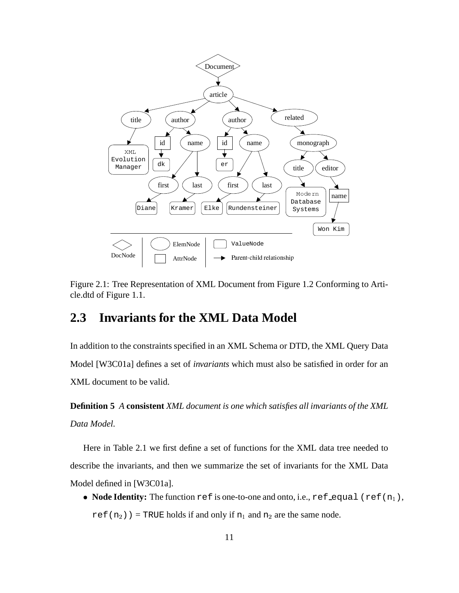

Figure 2.1: Tree Representation of XML Document from Figure 1.2 Conforming to Article.dtd of Figure 1.1.

#### **2.3 Invariants for the XML Data Model**

In addition to the constraints specified in an XML Schema or DTD, the XML Query Data Model [W3C01a] defines a set of *invariants* which must also be satisfied in order for an XML document to be valid.

**Definition 5** *A* **consistent** *XML document is one which satisfies all invariants of the XML Data Model.*

Here in Table 2.1 we first define a set of functions for the XML data tree needed to describe the invariants, and then we summarize the set of invariants for the XML Data Model defined in [W3C01a].

 $\bullet$  **Node Identity:** The function ref is one-to-one and onto, i.e., ref\_equal (ref(n<sub>1</sub>), ref(n<sub>2</sub>)) = TRUE holds if and only if  $n_1$  and  $n_2$  are the same node.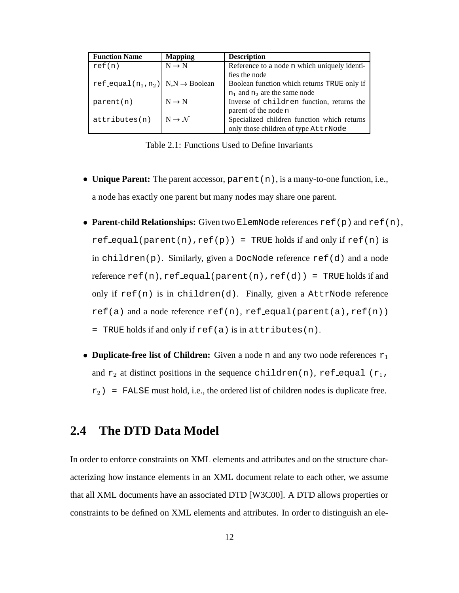| <b>Function Name</b>                              | <b>Mapping</b>              | <b>Description</b>                           |
|---------------------------------------------------|-----------------------------|----------------------------------------------|
| ref(n)                                            | $N \rightarrow N$           | Reference to a node n which uniquely identi- |
|                                                   |                             | fies the node                                |
| ref_equal( $n_1, n_2$ ) N,N $\rightarrow$ Boolean |                             | Boolean function which returns TRUE only if  |
|                                                   |                             | $n_1$ and $n_2$ are the same node            |
| parent(n)                                         | $N \rightarrow N$           | Inverse of children function, returns the    |
|                                                   |                             | parent of the node n                         |
| attributes(n)                                     | $N \rightarrow \mathcal{N}$ | Specialized children function which returns  |
|                                                   |                             | only those children of type AttrNode         |

Table 2.1: Functions Used to Define Invariants

- ) **Unique Parent:** The parent accessor, parent(n), is a many-to-one function, i.e., a node has exactly one parent but many nodes may share one parent.
- ) **Parent-child Relationships:** Given two ElemNode references ref(p) and ref(n),  $ref\_equal(parent(n),ref(p)) = TRUE holds if and only if ref(n) is$ in children(p). Similarly, given a DocNode reference ref(d) and a node reference  $ref(n)$ ,  $ref\_equal(parent(n),ref(d)) = TRUE$  holds if and only if  $ref(n)$  is in children(d). Finally, given a AttrNode reference  $ref(a)$  and a node reference ref(n), ref equal(parent(a),ref(n))  $=$  TRUE holds if and only if ref(a) is in attributes(n).
- **Duplicate-free list of Children:** Given a node n and any two node references  $r_1$ and  $r_2$  at distinct positions in the sequence children(n), ref equal (r<sub>1</sub>,  $r_2$ ) = FALSE must hold, i.e., the ordered list of children nodes is duplicate free.

### **2.4 The DTD Data Model**

In order to enforce constraints on XML elements and attributes and on the structure characterizing how instance elements in an XML document relate to each other, we assume that all XML documents have an associated DTD [W3C00]. A DTD allows properties or constraints to be defined on XML elements and attributes. In order to distinguish an ele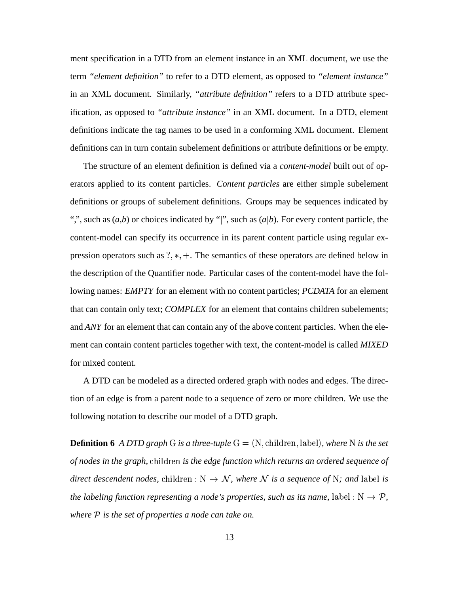ment specification in a DTD from an element instance in an XML document, we use the term *"element definition"* to refer to a DTD element, as opposed to *"element instance"* in an XML document. Similarly, *"attribute definition"* refers to a DTD attribute specification, as opposed to *"attribute instance"* in an XML document. In a DTD, element definitions indicate the tag names to be used in a conforming XML document. Element definitions can in turn contain subelement definitions or attribute definitions or be empty.

The structure of an element definition is defined via a *content-model* built out of operators applied to its content particles. *Content particles* are either simple subelement definitions or groups of subelement definitions. Groups may be sequences indicated by ",", such as  $(a,b)$  or choices indicated by "|", such as  $(a|b)$ . For every content particle, the content-model can specify its occurrence in its parent content particle using regular expression operators such as  $?$ ,  $*$ ,  $+$ . The semantics of these operators are defined below in the description of the Quantifier node. Particular cases of the content-model have the following names: *EMPTY* for an element with no content particles; *PCDATA* for an element that can contain only text; *COMPLEX* for an element that contains children subelements; and *ANY* for an element that can contain any of the above content particles. When the element can contain content particles together with text, the content-model is called *MIXED* for mixed content.

A DTD can be modeled as a directed ordered graph with nodes and edges. The direction of an edge is from a parent node to a sequence of zero or more children. We use the following notation to describe our model of a DTD graph.

**Definition 6** A DTD graph G is a three-tuple  $G = (N, \text{children}, \text{label})$ , where N is the set *of* nodes in the graph, children is the edge function which returns an ordered sequence of *direct descendent nodes,* children :  $N \to \mathcal{N}$ *, where*  $\mathcal N$  *is a sequence of*  $N$ *; and label is the labeling function representing a node's properties, such as its name,*  $label:1N \rightarrow P$ *, where is the set of properties a node can take on.*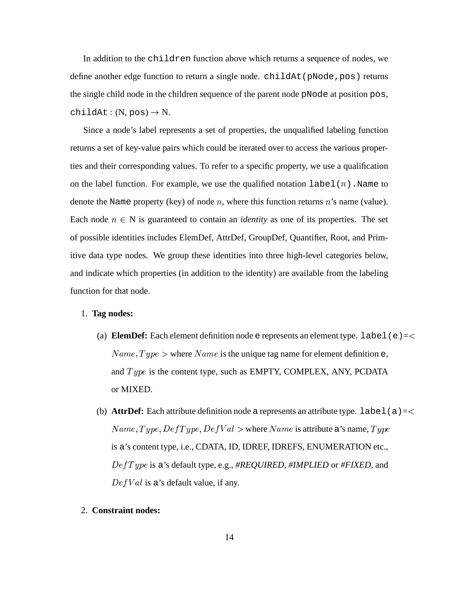In addition to the children function above which returns a sequence of nodes, we define another edge function to return a single node. childAt (pNode, pos) returns the single child node in the children sequence of the parent node pNode at position pos,  $childAt:(N, pos) \to N.$ 

Since a node's label represents a set of properties, the unqualified labeling function returns a set of key-value pairs which could be iterated over to access the various properties and their corresponding values. To refer to a specific property, we use a qualification on the label function. For example, we use the qualified notation  $label(n)$ . Name to denote the Name property (key) of node  $n$ , where this function returns  $n$ 's name (value). Each node  $n \in N$  is guaranteed to contain an *identity* as one of its properties. The set of possible identities includes ElemDef, AttrDef, GroupDef, Quantifier, Root, and Primitive data type nodes. We group these identities into three high-level categories below, and indicate which properties (in addition to the identity) are available from the labeling function for that node.

#### 1. **Tag nodes:**

- (a) **ElemDef:** Each element definition node  $e$  represents an element type. label( $e$ ) =  $\lt$  $Name, Type > where Name$  is the unique tag name for element definition e, and  $Type$  is the content type, such as EMPTY, COMPLEX, ANY, PCDATA or MIXED.
- (b) **AttrDef:** Each attribute definition node a represents an attribute type. label(a)=<  $Name, Type, DefType, DefVal >$  where  $Name$  is attribute a's name,  $Type$ is a's content type, i.e., CDATA, ID, IDREF, IDREFS, ENUMERATION etc., - is a's default type, e.g., *#REQUIRED*, *#IMPLIED* or *#FIXED*, and  $DefVal$  is a's default value, if any.

#### 2. **Constraint nodes:**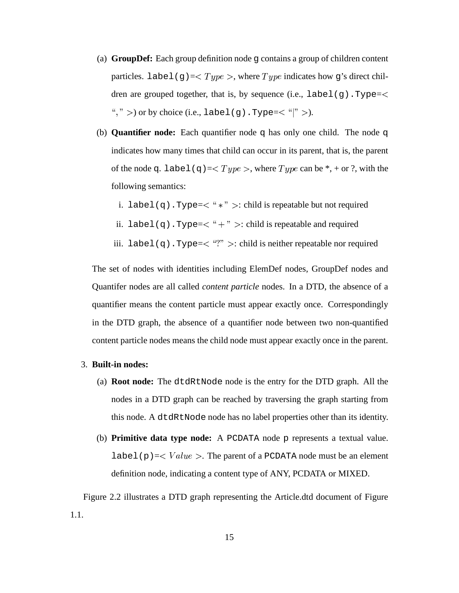- (a) **GroupDef:** Each group definition node g contains a group of children content particles. label(g)=  $< Type$ , where  $Type$  indicates how g's direct children are grouped together, that is, by sequence (i.e., label(g). Type=< ", "  $>$  ) or by choice (i.e., label(g). Type=< "|"  $>$  ).
- (b) **Quantifier node:** Each quantifier node q has only one child. The node q indicates how many times that child can occur in its parent, that is, the parent of the node q. label(q)=  $< Type$ , where  $Type$  can be  $*, +$  or ?, with the following semantics:
	- i. label(q).Type= $<$  "  $*$  "  $>$ : child is repeatable but not required
	- ii. label(q).Type=  $<$  "+" >: child is repeatable and required
	- iii. label(q).Type= $\langle$  "?" >: child is neither repeatable nor required

The set of nodes with identities including ElemDef nodes, GroupDef nodes and Quantifer nodes are all called *content particle* nodes. In a DTD, the absence of a quantifier means the content particle must appear exactly once. Correspondingly in the DTD graph, the absence of a quantifier node between two non-quantified content particle nodes means the child node must appear exactly once in the parent.

#### 3. **Built-in nodes:**

- (a) **Root node:** The dtdRtNode node is the entry for the DTD graph. All the nodes in a DTD graph can be reached by traversing the graph starting from this node. A dtdRtNode node has no label properties other than its identity.
- (b) **Primitive data type node:** A PCDATA node p represents a textual value. label(p) =  $\langle Value \rangle$ . The parent of a PCDATA node must be an element definition node, indicating a content type of ANY, PCDATA or MIXED.

Figure 2.2 illustrates a DTD graph representing the Article.dtd document of Figure 1.1.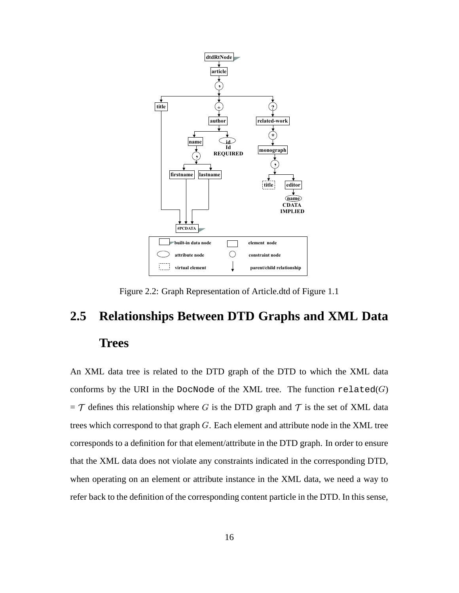

Figure 2.2: Graph Representation of Article.dtd of Figure 1.1

## **2.5 Relationships Between DTD Graphs and XML Data Trees**

An XML data tree is related to the DTD graph of the DTD to which the XML data conforms by the URI in the DocNode of the XML tree. The function  $\mathtt{related}(G)$  $= \mathcal{T}$  defines this relationship where G is the DTD graph and  $\mathcal{T}$  is the set of XML data trees which correspond to that graph  $G$ . Each element and attribute node in the XML tree corresponds to a definition for that element/attribute in the DTD graph. In order to ensure that the XML data does not violate any constraints indicated in the corresponding DTD, when operating on an element or attribute instance in the XML data, we need a way to refer back to the definition of the corresponding content particle in the DTD. In this sense,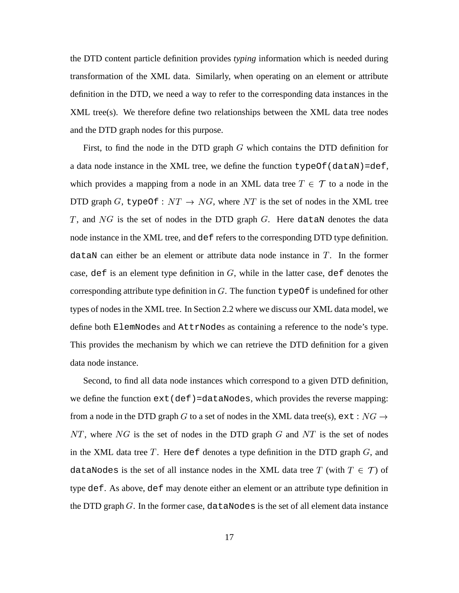the DTD content particle definition provides *typing* information which is needed during transformation of the XML data. Similarly, when operating on an element or attribute definition in the DTD, we need a way to refer to the corresponding data instances in the XML tree(s). We therefore define two relationships between the XML data tree nodes and the DTD graph nodes for this purpose.

First, to find the node in the DTD graph  $G$  which contains the DTD definition for a data node instance in the XML tree, we define the function  $typeOf(dataN)=def$ , which provides a mapping from a node in an XML data tree  $T \in \mathcal{T}$  to a node in the DTD graph G, typeOf:  $NT \rightarrow NG$ , where NT is the set of nodes in the XML tree T, and  $NG$  is the set of nodes in the DTD graph  $G$ . Here dataN denotes the data node instance in the XML tree, and def refers to the corresponding DTD type definition.  $dataN can either be an element or attribute data node instance in T. In the former$ case, def is an element type definition in  $G$ , while in the latter case, def denotes the corresponding attribute type definition in G. The function  $typeOf$  is undefined for other types of nodes in the XML tree. In Section 2.2 where we discuss our XML data model, we define both ElemNodes and AttrNodes as containing a reference to the node's type. This provides the mechanism by which we can retrieve the DTD definition for a given data node instance.

Second, to find all data node instances which correspond to a given DTD definition, we define the function  $ext(\text{def})=dataNodes$ , which provides the reverse mapping: from a node in the DTD graph G to a set of nodes in the XML data tree(s),  $ext:NG \rightarrow$  $NT$ , where  $NG$  is the set of nodes in the DTD graph  $G$  and  $NT$  is the set of nodes in the XML data tree T. Here def denotes a type definition in the DTD graph  $G$ , and dataNodes is the set of all instance nodes in the XML data tree  $T$  (with  $T \in \mathcal{T}$ ) of type def. As above, def may denote either an element or an attribute type definition in the DTD graph  $G$ . In the former case, dataNodes is the set of all element data instance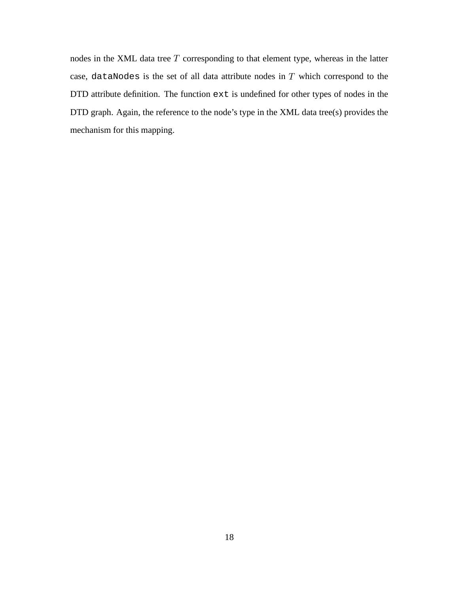nodes in the XML data tree  $T$  corresponding to that element type, whereas in the latter case, dataNodes is the set of all data attribute nodes in  $T$  which correspond to the DTD attribute definition. The function ext is undefined for other types of nodes in the DTD graph. Again, the reference to the node's type in the XML data tree(s) provides the mechanism for this mapping.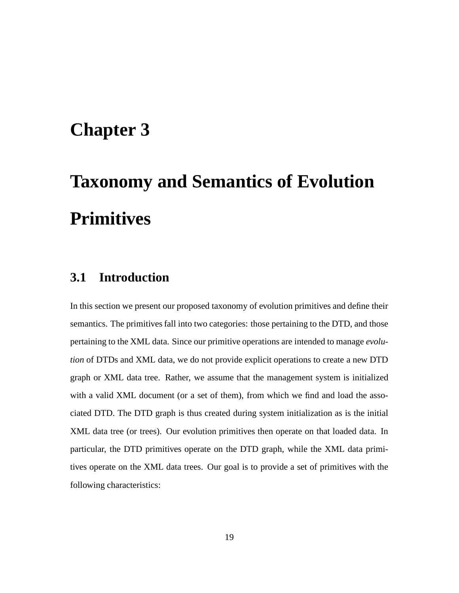## **Chapter 3**

# **Taxonomy and Semantics of Evolution Primitives**

#### **3.1 Introduction**

In this section we present our proposed taxonomy of evolution primitives and define their semantics. The primitives fall into two categories: those pertaining to the DTD, and those pertaining to the XML data. Since our primitive operations are intended to manage *evolution* of DTDs and XML data, we do not provide explicit operations to create a new DTD graph or XML data tree. Rather, we assume that the management system is initialized with a valid XML document (or a set of them), from which we find and load the associated DTD. The DTD graph is thus created during system initialization as is the initial XML data tree (or trees). Our evolution primitives then operate on that loaded data. In particular, the DTD primitives operate on the DTD graph, while the XML data primitives operate on the XML data trees. Our goal is to provide a set of primitives with the following characteristics: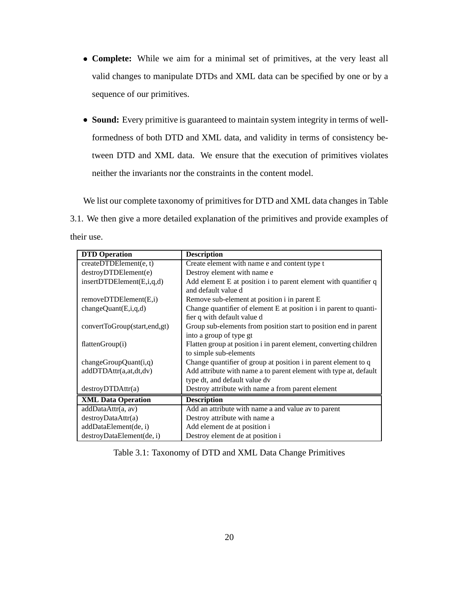- ) **Complete:** While we aim for a minimal set of primitives, at the very least all valid changes to manipulate DTDs and XML data can be specified by one or by a sequence of our primitives.
- ) **Sound:** Every primitive is guaranteed to maintain system integrity in terms of wellformedness of both DTD and XML data, and validity in terms of consistency between DTD and XML data. We ensure that the execution of primitives violates neither the invariants nor the constraints in the content model.

We list our complete taxonomy of primitives for DTD and XML data changes in Table 3.1. We then give a more detailed explanation of the primitives and provide examples of their use.

| <b>DTD</b> Operation         | <b>Description</b>                                                 |
|------------------------------|--------------------------------------------------------------------|
| createDTDElement(e, t)       | Create element with name e and content type t                      |
| destroyDTDElement(e)         | Destroy element with name e                                        |
| insertDTDElement(E,i,q,d)    | Add element E at position i to parent element with quantifier q    |
|                              | and default value d                                                |
| removeDTDElement(E,i)        | Remove sub-element at position i in parent E                       |
| changeQuant(E,i,q,d)         | Change quantifier of element E at position i in parent to quanti-  |
|                              | fier q with default value d                                        |
| convertToGroup(start,end,gt) | Group sub-elements from position start to position end in parent   |
|                              | into a group of type gt                                            |
| flattenGroup(i)              | Flatten group at position i in parent element, converting children |
|                              | to simple sub-elements                                             |
| changeGroupQuant(i,q)        | Change quantifier of group at position i in parent element to q    |
| addDTDAttr(a,at,dt,dv)       | Add attribute with name a to parent element with type at, default  |
|                              | type dt, and default value dv                                      |
| destroyDTDAttr(a)            | Destroy attribute with name a from parent element                  |
| <b>XML Data Operation</b>    | <b>Description</b>                                                 |
| addDataAttr(a, av)           | Add an attribute with name a and value av to parent                |
| destroyDataAttr(a)           | Destroy attribute with name a                                      |
| addDataElement(de, i)        | Add element de at position i                                       |
| destroyDataElement(de, i)    | Destroy element de at position i                                   |

Table 3.1: Taxonomy of DTD and XML Data Change Primitives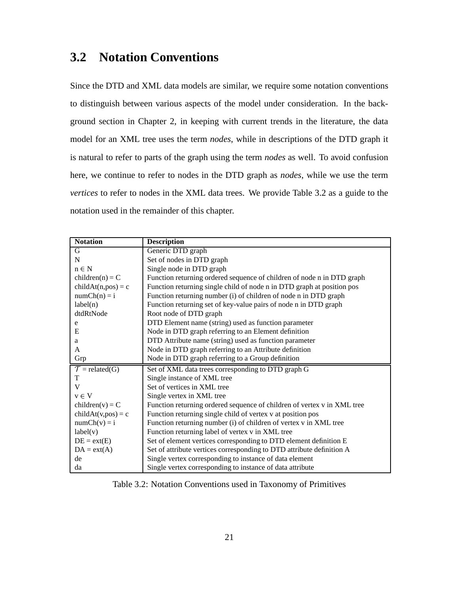### **3.2 Notation Conventions**

Since the DTD and XML data models are similar, we require some notation conventions to distinguish between various aspects of the model under consideration. In the background section in Chapter 2, in keeping with current trends in the literature, the data model for an XML tree uses the term *nodes*, while in descriptions of the DTD graph it is natural to refer to parts of the graph using the term *nodes* as well. To avoid confusion here, we continue to refer to nodes in the DTD graph as *nodes*, while we use the term *vertices* to refer to nodes in the XML data trees. We provide Table 3.2 as a guide to the notation used in the remainder of this chapter.

| <b>Notation</b>                   | <b>Description</b>                                                      |
|-----------------------------------|-------------------------------------------------------------------------|
| G                                 | Generic DTD graph                                                       |
| $\mathbf N$                       | Set of nodes in DTD graph                                               |
| $n \in N$                         | Single node in DTD graph                                                |
| $children(n) = C$                 | Function returning ordered sequence of children of node n in DTD graph  |
| $childAt(n, pos) = c$             | Function returning single child of node n in DTD graph at position pos  |
| $numCh(n) = i$                    | Function returning number (i) of children of node n in DTD graph        |
| label(n)                          | Function returning set of key-value pairs of node n in DTD graph        |
| dtdRtNode                         | Root node of DTD graph                                                  |
| e                                 | DTD Element name (string) used as function parameter                    |
| E                                 | Node in DTD graph referring to an Element definition                    |
| a                                 | DTD Attribute name (string) used as function parameter                  |
| A                                 | Node in DTD graph referring to an Attribute definition                  |
| Grp                               | Node in DTD graph referring to a Group definition                       |
| $\mathcal{T} = \text{related}(G)$ | Set of XML data trees corresponding to DTD graph G                      |
| T                                 | Single instance of XML tree                                             |
| V                                 | Set of vertices in XML tree                                             |
| $v \in V$                         | Single vertex in XML tree                                               |
| children(v) = $C$                 | Function returning ordered sequence of children of vertex v in XML tree |
| $childAt(v,pos) = c$              | Function returning single child of vertex v at position pos             |
| $numCh(v) = i$                    | Function returning number (i) of children of vertex v in XML tree       |
| label(v)                          | Function returning label of vertex v in XML tree                        |
| $DE = ext(E)$                     | Set of element vertices corresponding to DTD element definition E       |
| $DA = ext(A)$                     | Set of attribute vertices corresponding to DTD attribute definition A   |
| de                                | Single vertex corresponding to instance of data element                 |
| da                                | Single vertex corresponding to instance of data attribute               |

Table 3.2: Notation Conventions used in Taxonomy of Primitives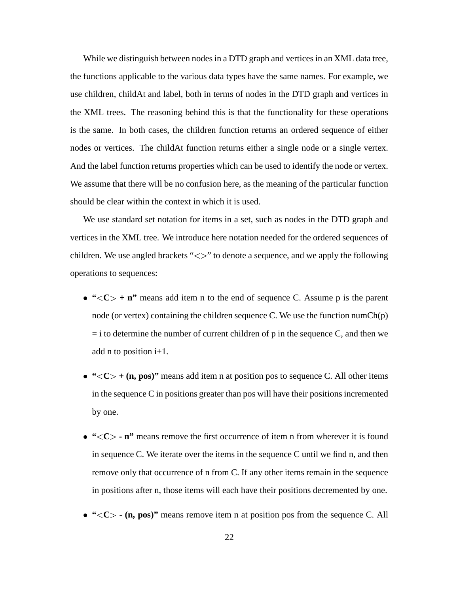While we distinguish between nodes in a DTD graph and vertices in an XML data tree, the functions applicable to the various data types have the same names. For example, we use children, childAt and label, both in terms of nodes in the DTD graph and vertices in the XML trees. The reasoning behind this is that the functionality for these operations is the same. In both cases, the children function returns an ordered sequence of either nodes or vertices. The childAt function returns either a single node or a single vertex. And the label function returns properties which can be used to identify the node or vertex. We assume that there will be no confusion here, as the meaning of the particular function should be clear within the context in which it is used.

We use standard set notation for items in a set, such as nodes in the DTD graph and vertices in the XML tree. We introduce here notation needed for the ordered sequences of children. We use angled brackets "<>" to denote a sequence, and we apply the following operations to sequences:

- "  $<$  **n**" means add item n to the end of sequence C. Assume p is the parent node (or vertex) containing the children sequence C. We use the function numCh(p)  $=$  i to determine the number of current children of p in the sequence C, and then we add n to position i+1.
- $\bullet$  " $<$  + (n, pos)" means add item n at position pos to sequence C. All other items in the sequence  $C$  in positions greater than pos will have their positions incremented by one.
- **•** "<C> n" means remove the first occurrence of item n from wherever it is found in sequence C. We iterate over the items in the sequence C until we find n, and then remove only that occurrence of n from C. If any other items remain in the sequence in positions after n, those items will each have their positions decremented by one.
- ) **" C - (n, pos)"** means remove item n at position pos from the sequence C. All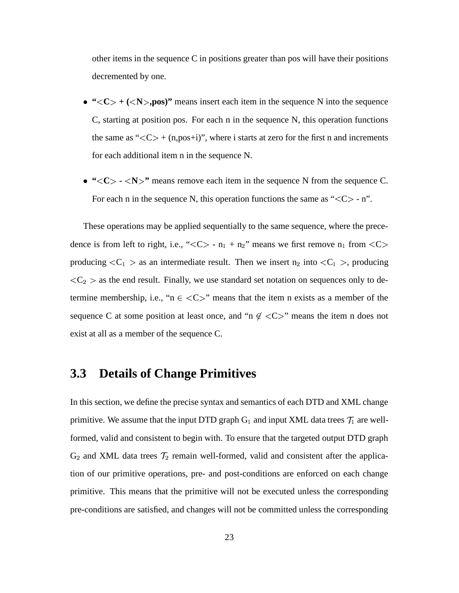other items in the sequence C in positions greater than pos will have their positions decremented by one.

- $C> + ($ ,pos)" means insert each item in the sequence N into the sequence C, starting at position pos. For each n in the sequence N, this operation functions the same as " $\langle C \rangle$  + (n,pos+i)", where i starts at zero for the first n and increments for each additional item n in the sequence N.
- "<C> <N>" means remove each item in the sequence N from the sequence C. For each n in the sequence N, this operation functions the same as " $\langle C \rangle$  - n".

These operations may be applied sequentially to the same sequence, where the precedence is from left to right, i.e., " $<<>$  - n<sub>1</sub> + n<sub>2</sub>" means we first remove n<sub>1</sub> from  $<<>$ producing  $\langle C_1 \rangle$  as an intermediate result. Then we insert  $n_2$  into  $\langle C_1 \rangle$ , producing  $<\mathcal{C}_2$  > as the end result. Finally, we use standard set notation on sequences only to determine membership, i.e., " $n \in \langle C \rangle$ " means that the item n exists as a member of the sequence C at some position at least once, and "n  $\notin \langle C \rangle$ " means the item n does not exist at all as a member of the sequence C.

#### **3.3 Details of Change Primitives**

In this section, we define the precise syntax and semantics of each DTD and XML change primitive. We assume that the input DTD graph  $G_1$  and input XML data trees  $\mathcal{T}_1$  are wellformed, valid and consistent to begin with. To ensure that the targeted output DTD graph  $G_2$  and XML data trees  $\mathcal{T}_2$  remain well-formed, valid and consistent after the application of our primitive operations, pre- and post-conditions are enforced on each change primitive. This means that the primitive will not be executed unless the corresponding pre-conditions are satisfied, and changes will not be committed unless the corresponding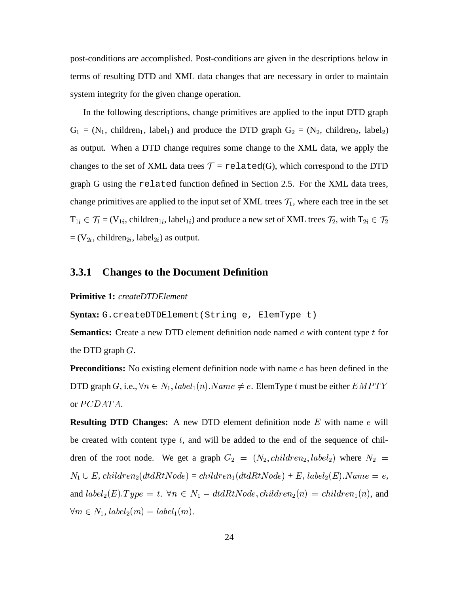post-conditions are accomplished. Post-conditions are given in the descriptions below in terms of resulting DTD and XML data changes that are necessary in order to maintain system integrity for the given change operation.

In the following descriptions, change primitives are applied to the input DTD graph  $G_1 = (N_1, \text{ children}_1, \text{ label}_1)$  and produce the DTD graph  $G_2 = (N_2, \text{ children}_2, \text{ label}_2)$ as output. When a DTD change requires some change to the XML data, we apply the changes to the set of XML data trees  $T =$  related(G), which correspond to the DTD graph G using the related function defined in Section 2.5. For the XML data trees, change primitives are applied to the input set of XML trees  $\mathcal{T}_1$ , where each tree in the set  $T_{1i} \in \mathcal{T}_1 = (V_{1i}, \text{children}_{1i}, \text{label}_{1i})$  and produce a new set of XML trees  $\mathcal{T}_2$ , with  $T_{2i} \in \mathcal{T}_2$  $=(V_{2i}, \text{children}_{2i}, \text{label}_{2i})$  as output.

#### **3.3.1 Changes to the Document Definition**

#### **Primitive 1:** *createDTDElement*

**Syntax:** G.createDTDElement(String e, ElemType t)

**Semantics:** Create a new DTD element definition node named e with content type t for the DTD graph  $G$ .

**Preconditions:** No existing element definition node with name e has been defined in the DTD graph G, i.e.,  $\forall n \in N_1, label_1(n)$ . Name - - - - -. . . . . . .  $(n)$ .  $Name \neq e$ . ElemType t must be either  $EMPTY$ or  $PCDATA$ .

**Resulting DTD Changes:** A new DTD element definition node  $E$  with name  $e$  will be created with content type  $t$ , and will be added to the end of the sequence of children of the root node. We get a graph  $G_2 = (N_2, children_2, label_2)$  / . . . . . . . . . - . . . . **. . .** . ) where  $N_2 =$  $N_1 \cup E$ , children<sub>2</sub>(dtdRtNo  $(dtdRtNode) = children_1(dtdRtNo_0$  $(dtdRtNode) + E$ ,  $label_2(E)$ . Nan  $\cdot$   $\cdot$   $\cdot$   $\cdot$   $\cdot$   $\cdot$   $\cdot$   $\cdot$  $(E)$ . Name = e, and  $label_2(E)$  $\lambda$  $(E). Type = t. \ \forall n \in N_1-dtdRtNode, children_2(n) = chi$ /  / . . . . . . .  $(n)$ , and  $\forall m \in N_1$ ,  $label_2(m) = lab$ . . . . . . . . . . . . . . . . . . . .  $(m).$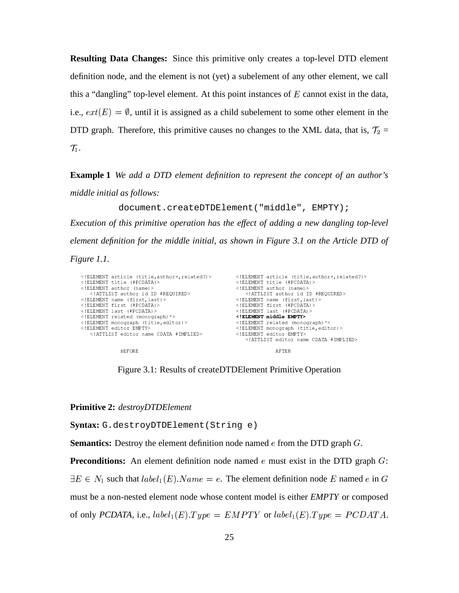**Resulting Data Changes:** Since this primitive only creates a top-level DTD element definition node, and the element is not (yet) a subelement of any other element, we call this a "dangling" top-level element. At this point instances of  $E$  cannot exist in the data, i.e.,  $ext(E) = \emptyset$ , until it is assigned as a child subelement to some other element in the DTD graph. Therefore, this primitive causes no changes to the XML data, that is,  $\mathcal{T}_2$  =  $\mathcal{T}_1$ .

**Example 1** *We add a DTD element definition to represent the concept of an author's middle initial as follows:*

document.createDTDElement("middle", EMPTY);

*Execution of this primitive operation has the effect of adding a new dangling top-level element definition for the middle initial, as shown in Figure 3.1 on the Article DTD of Figure 1.1.*

| ELEMENT article (title, author+, related?) | ELEMENT article (title, author+, related?)                 |
|--------------------------------------------|------------------------------------------------------------|
| ELEMENT title (#PCDATA)                    | ELEMENT title (#PCDATA)                                    |
| ELEMENT author (name)                      | ELEMENT author (name)                                      |
| ATTLIST author id ID #REQUIRED             | ATTLIST author id ID #REQUIRED                             |
| ELEMENT name (first, last)                 | ELEMENT name (first, last)                                 |
| ELEMENT first (#PCDATA)                    | ELEMENT first (#PCDATA)                                    |
| ELEMENT last (#PCDATA)                     | ELEMENT last (#PCDATA)                                     |
| ELEMENT related (monograph) *              | ELEMENT middle EMPTY                                       |
| ELEMENT monograph (title, editor)          | ELEMENT related (monograph) *                              |
| ELEMENT editor EMPTY                       | ELEMENT monograph (title, editor)                          |
| ATTLIST editor name CDATA #IMPLIED         | ELEMENT editor EMPTY<br>ATTLIST editor name CDATA #IMPLIED |
| <b>BEFORE</b>                              | AFTER                                                      |

Figure 3.1: Results of createDTDElement Primitive Operation

**Primitive 2:** *destroyDTDElement*

**Syntax:** G.destroyDTDElement(String e)

**Semantics:** Destroy the element definition node named  $e$  from the DTD graph  $G$ .

**Preconditions:** An element definition node named  $e$  must exist in the DTD graph  $G$ :  $\exists E \in N_1$  such that  $label_1(E).Name = e$ . The element definition node E named e in G must be a non-nested element node whose content model is either *EMPTY* or composed of only  $PCDATA$ , i.e.,  $label_1(E)$ . . . . . . .  $(E).Type = EMPTY$  or  $label_1(E).T$ . . <del>.</del> . . .  $(E).Type = PCDATA.$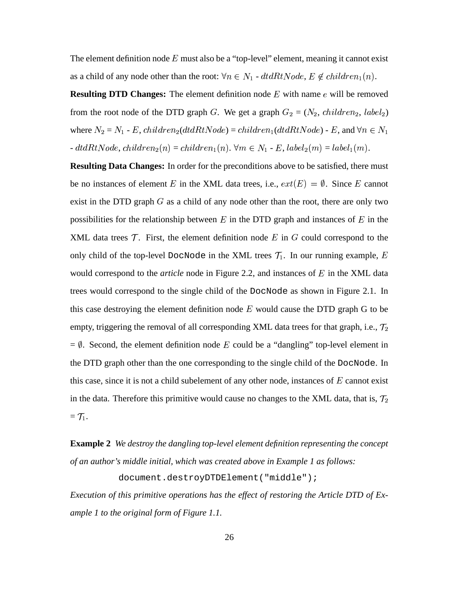The element definition node  $E$  must also be a "top-level" element, meaning it cannot exist as a child of any node other than the root:  $\forall n \in N_1$  -  $dt dRt Node, E \notin children_1(n)$ .  $(n).$ 

**Resulting DTD Changes:** The element definition node E with name e will be removed from the root node of the DTD graph G. We get a graph  $G_2 = (N_2, \text{children}_2, \text{ label}_2)$ where  $N_2 = N_1$  - E, children<sub>2</sub>(dtdRtNode) = children<sub>1</sub>(dtdRtNode) - E, and  $\forall n \in N_1$  $-dt dRtNode, children_2(n) = child$  $(n) = children_1(n)$ .  $\forall m \in$  $(n)$ .  $\forall m \in N_1$  - E,  $label_2(m) = la$ . . . . . .  $(m) = label_1(m)$ . . . . . . .  $(m).$ 

**Resulting Data Changes:** In order for the preconditions above to be satisfied, there must be no instances of element E in the XML data trees, i.e.,  $ext(E) = \emptyset$ . Since E cannot exist in the DTD graph  $G$  as a child of any node other than the root, there are only two possibilities for the relationship between  $E$  in the DTD graph and instances of  $E$  in the XML data trees  $\mathcal T$ . First, the element definition node E in G could correspond to the only child of the top-level DocNode in the XML trees  $\mathcal{T}_1$ . In our running example, E would correspond to the *article* node in Figure 2.2, and instances of  $E$  in the XML data trees would correspond to the single child of the DocNode as shown in Figure 2.1. In this case destroying the element definition node  $E$  would cause the DTD graph G to be empty, triggering the removal of all corresponding XML data trees for that graph, i.e.,  $\mathcal{T}_2$  $= \emptyset$ . Second, the element definition node E could be a "dangling" top-level element in the DTD graph other than the one corresponding to the single child of the DocNode. In this case, since it is not a child subelement of any other node, instances of  $E$  cannot exist in the data. Therefore this primitive would cause no changes to the XML data, that is,  $\mathcal{T}_2$  $=$   $\mathcal{T}_1$ .

**Example 2** *We destroy the dangling top-level element definition representing the concept of an author's middle initial, which was created above in Example 1 as follows:*

document.destroyDTDElement("middle");

*Execution of this primitive operations has the effect of restoring the Article DTD of Example 1 to the original form of Figure 1.1.*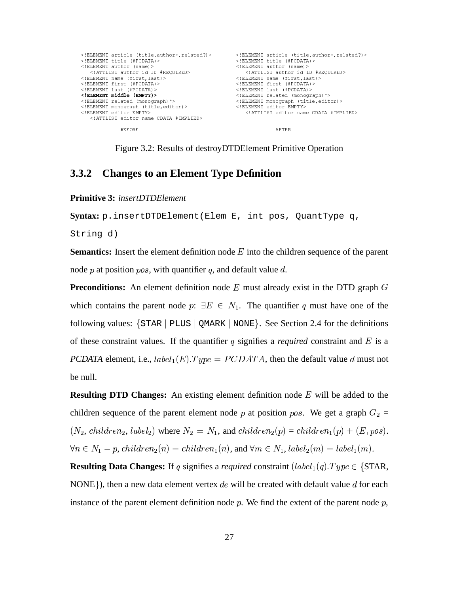| ELEMENT article (title, author+, related?) | ELEMENT article (title, author+, related?) |
|--------------------------------------------|--------------------------------------------|
| ELEMENT title (#PCDATA)                    | ELEMENT title (#PCDATA)                    |
| ELEMENT author (name)                      | ELEMENT author (name)                      |
| ATTLIST author id ID #REQUIRED             | ATTLIST author id ID #REQUIRED             |
| ELEMENT name (first, last)                 | ELEMENT name (first, last)                 |
| ELEMENT first (#PCDATA)                    | ELEMENT first (#PCDATA)                    |
| ELEMENT last (#PCDATA)                     | ELEMENT last (#PCDATA)                     |
| ELEMENT middle (EMPTY)                     | ELEMENT related (monograph) *              |
| ELEMENT related (monograph) *              | ELEMENT monograph (title, editor)          |
| ELEMENT monograph (title, editor)          | ELEMENT editor EMPTY                       |
| ELEMENT editor EMPTY                       | ATTLIST editor name CDATA #IMPLIED         |
| ATTLIST editor name CDATA #IMPLIED         |                                            |
| <b>BEFORE</b>                              | AFTER                                      |

Figure 3.2: Results of destroyDTDElement Primitive Operation

#### **Changes to an Element Type Definition** 3.3.2

**Primitive 3: insertDTDElement** 

Syntax: p.insertDTDElement(Elem E, int pos, QuantType q,

String d)

**Semantics:** Insert the element definition node  $E$  into the children sequence of the parent node p at position pos, with quantifier q, and default value d.

**Preconditions:** An element definition node  $E$  must already exist in the DTD graph  $G$ which contains the parent node  $p: \exists E \in N_1$ . The quantifier q must have one of the following values:  $\{STAR \mid \text{PLUS} \mid \text{QMARK} \mid \text{NONE}\}.$  See Section 2.4 for the definitions of these constraint values. If the quantifier q signifies a *required* constraint and  $E$  is a **PCDATA** element, i.e.,  $label_1(E).Type = PCDATA$ , then the default value d must not be null.

**Resulting DTD Changes:** An existing element definition node  $E$  will be added to the children sequence of the parent element node p at position pos. We get a graph  $G_2$  =  $(N_2, \text{ children}_2, \text{ label}_2)$  where  $N_2 = N_1$ , and  $\text{children}_2(p) = \text{children}_1(p) + (E, pos)$ .  $\forall n \in N_1 - p, children_2(n) = children_1(n),$  and  $\forall m \in N_1, label_2(m) = label_1(m)$ .

**Resulting Data Changes:** If q signifies a required constraint  $(label_1(q).Type \in \{STAR,$ NONE}), then a new data element vertex de will be created with default value d for each instance of the parent element definition node  $p$ . We find the extent of the parent node  $p$ ,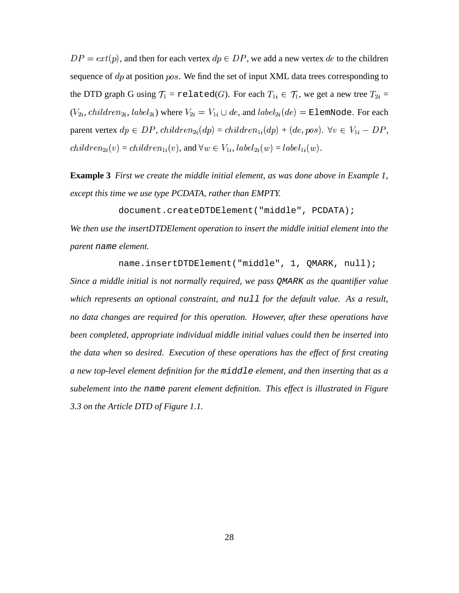$DP = ext(p)$ , and then for each vertex  $dp \in DP$ , we add a new vertex de to the children sequence of  $dp$  at position  $pos$ . We find the set of input XML data trees corresponding to the DTD graph G using  $\mathcal{T}_1$  = related(G). For each  $T_{1i} \in \mathcal{T}_1$ , we get  $Y_{1i} \in \mathcal{T}_1$ , we get a new tree  $T_{2i} =$  $(V_{2i}, \textit{children}_{2i}, \textit{label}_{2i})$  w  $\chi_{2i}$ ) where  $V_{2i} = V_{1i} \cup de$ , and  $label_{2i}(de)$  $\mathbf{e}_\mathrm{2i}(d e) = \text{\tt ElemNode}.$  For each parent vertex  $dp \in DP$ ,  $children_{2i}(dp) = children_{1i}(dp) + (de, pos)$ .  $\forall v \in V_{1i} - DP$ ,  /  $\mathcal{L}_{2i}(v) = children_{1i}(v)$ , and  $\forall w \in V_{1i}, label_{2i}(w) = b$  $a_2(w) = label_{1i}(w).$ 

**Example 3** *First we create the middle initial element, as was done above in Example 1, except this time we use type PCDATA, rather than EMPTY.*

document.createDTDElement("middle", PCDATA);

*We then use the insertDTDElement operation to insert the middle initial element into the parent* name *element.*

name.insertDTDElement("middle", 1, QMARK, null);

*Since a middle initial is not normally required, we pass* QMARK *as the quantifier value which represents an optional constraint, and* null *for the default value. As a result, no data changes are required for this operation. However, after these operations have been completed, appropriate individual middle initial values could then be inserted into the data when so desired. Execution of these operations has the effect of first creating a new top-level element definition for the* middle *element, and then inserting that as a subelement into the* name *parent element definition. This effect is illustrated in Figure 3.3 on the Article DTD of Figure 1.1.*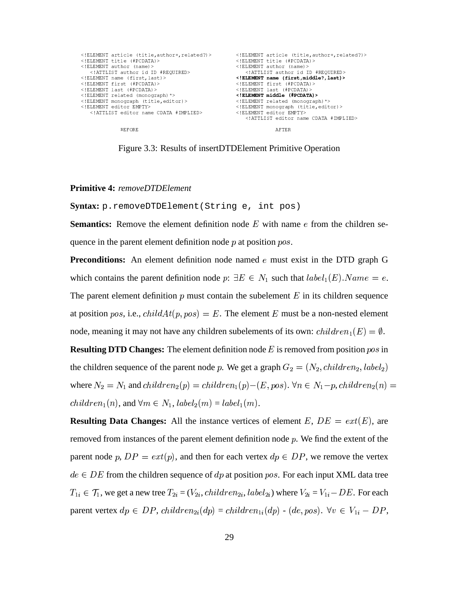

Figure 3.3: Results of insertDTDElement Primitive Operation

#### **Primitive 4: removeDTDElement**

Syntax: p.removeDTDElement (String e, int pos)

**Semantics:** Remove the element definition node  $E$  with name  $e$  from the children sequence in the parent element definition node  $p$  at position  $pos$ .

**Preconditions:** An element definition node named  $e$  must exist in the DTD graph G which contains the parent definition node  $p: \exists E \in N_1$  such that  $label_1(E).Name = e$ . The parent element definition  $p$  must contain the subelement  $E$  in its children sequence at position pos, i.e.,  $childAt(p, pos) = E$ . The element E must be a non-nested element node, meaning it may not have any children subelements of its own:  $children_1(E) = \emptyset$ .

**Resulting DTD Changes:** The element definition node E is removed from position pos in the children sequence of the parent node p. We get a graph  $G_2 = (N_2, children_2, label_2)$ where  $N_2 = N_1$  and  $children_2(p) = children_1(p) - (E, pos)$ .  $\forall n \in N_1-p, children_2(n) =$  $children_1(n)$ , and  $\forall m \in N_1, label_2(m) = label_1(m)$ .

**Resulting Data Changes:** All the instance vertices of element E,  $DE = ext(E)$ , are removed from instances of the parent element definition node  $p$ . We find the extent of the parent node p,  $DP = ext(p)$ , and then for each vertex  $dp \in DP$ , we remove the vertex  $de \in DE$  from the children sequence of dp at position pos. For each input XML data tree  $T_{1i} \in \mathcal{T}_1$ , we get a new tree  $T_{2i} = (V_{2i}, children_{2i}, label_{2i})$  where  $V_{2i} = V_{1i} - DE$ . For each parent vertex  $dp \in DP$ , children<sub>2i</sub>(dp) = children<sub>1i</sub>(dp) - (de, pos).  $\forall v \in V_{1i} - DP$ ,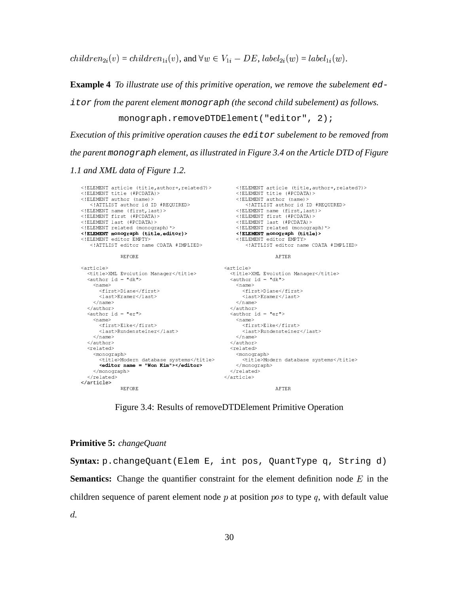$children_{2i}(v) = children_{1i}(v)$ , and  $\forall w \in V_{1i} - DE$ ,  $label_{2i}(w) = label_{1i}(w)$ .

**Example 4** To illustrate use of this primitive operation, we remove the subelement  $ed$ 

it or from the parent element monograph (the second child subelement) as follows.

monograph.removeDTDElement("editor", 2);

Execution of this primitive operation causes the  $editor$  subelement to be removed from the parent monograph element, as illustrated in Figure 3.4 on the Article DTD of Figure

1.1 and XML data of Figure 1.2.

```
<article><br><title>XML Evolution Manager</title><br><author id = "dk">
 \langle \texttt{article} \rangle<title>XML Evolution Manager</title>
   \langle \text{author id} = "dk" \rangle<name><name><first>Diane</first>
                                                           <first>Diane</first>
       \langlelast>Kramer\langle/last>
                                                            \langlelast>Kramer\langlelast>
     \langle/name>
                                                          \langle/name>
                                                     //author><br>//author><br>/author id = "er">
   </author>
   \langle \text{author id} = "er" \rangle<name><name>
       <first>Elke</first>
                                                            <first>Elke</first>
       \langlelast>Rundensteiner</last>
                                                            <last>Rundensteiner</last>
     \langle/name>
                                                          \langle/name>
                                                     \langle/author>
   \langle/author>
   <related>
                                                      <related>
     <monograph>
                                                        <monograph>
        <title>Modern database systems</title>
                                                             <title>Modern database systems</title>
        <editor name = "Won Kim"></editor>
                                                          \langle/monograph>
                                                      \langle/related>
     \langle/monograph>
   \langle/related>
                                                     \langle /article>
 \langle /article>
                                                                         AFTER
               BEFORE
```
Figure 3.4: Results of removeDTDElement Primitive Operation

### **Primitive 5:** changeQuant

Syntax: p.changeQuant(Elem E, int pos, QuantType q, String d) **Semantics:** Change the quantifier constraint for the element definition node  $E$  in the children sequence of parent element node  $p$  at position  $pos$  to type  $q$ , with default value  $d.$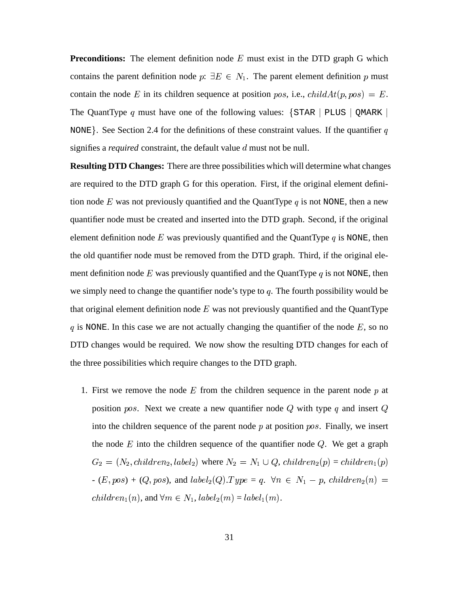**Preconditions:** The element definition node  $E$  must exist in the DTD graph G which contains the parent definition node  $p: \exists E \in N_1$ . The parent element definition p must contain the node E in its children sequence at position pos, i.e.,  $childAt(p, pos) = E$ . The QuantType q must have one of the following values:  $\{ \text{STAR} \mid \text{PLUS} \mid \text{QMARK} \}$ NONE. See Section 2.4 for the definitions of these constraint values. If the quantifier q signifies a *required* constraint, the default value  $d$  must not be null.

**Resulting DTD Changes:** There are three possibilities which will determine what changes are required to the DTD graph G for this operation. First, if the original element definition node E was not previously quantified and the QuantType  $q$  is not NONE, then a new quantifier node must be created and inserted into the DTD graph. Second, if the original element definition node E was previously quantified and the QuantType  $q$  is NONE, then the old quantifier node must be removed from the DTD graph. Third, if the original element definition node E was previously quantified and the QuantType  $q$  is not NONE, then we simply need to change the quantifier node's type to  $q$ . The fourth possibility would be that original element definition node  $E$  was not previously quantified and the QuantType q is NONE. In this case we are not actually changing the quantifier of the node  $E$ , so no DTD changes would be required. We now show the resulting DTD changes for each of the three possibilities which require changes to the DTD graph.

1. First we remove the node  $E$  from the children sequence in the parent node  $p$  at position *pos*. Next we create a new quantifier node Q with type q and insert Q into the children sequence of the parent node  $p$  at position  $pos$ . Finally, we insert the node  $E$  into the children sequence of the quantifier node  $Q$ . We get a graph  $G_2 = (N_2, children_2, label)$  / . . . . . . . . . - . . . . **. . . .** where  $N_2 = N_1 \cup Q$ ,  $children_2(p) = child$  $\phi(p)=children_1(p)$  $\sqrt{2}$  $(E, pos) + (Q, pos)$ , and  $label_2(Q)$  $\lambda$  $(Q). Type = q. \ \ \forall n \in N_1 - p, \ child ren_2(q)$  $p, \, children_2(n) =$ /#  / . . . . . . .  $(n)$ , and  $\forall m \in N_1$ ,  $label_2(m) = label$ . . . . . .  $(m) = label_1(m)$ . . . . . . .  $(m).$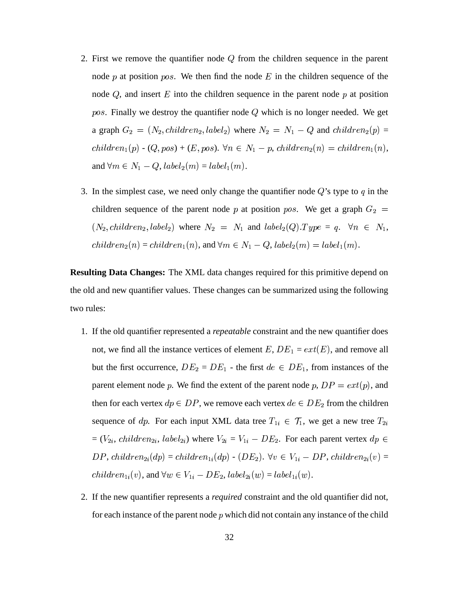- 2. First we remove the quantifier node  $Q$  from the children sequence in the parent node  $p$  at position  $pos$ . We then find the node  $E$  in the children sequence of the node  $Q$ , and insert  $E$  into the children sequence in the parent node  $p$  at position pos. Finally we destroy the quantifier node  $Q$  which is no longer needed. We get a graph  $G_2 = (N_2, children_2, label_2)$  / . . . . . . . . . - - - - -. . . . **. . . .** ) where  $N_2 = N_1 - Q$  and  $children_2(p) =$  $(p) =$  / \*  $(p)$  -  $(Q, pos) + (E, pos)$ .  $\forall n \in N_1 - p$ , children<sub>2</sub> $(n)$  $p, \, children_2(n) = \, child$  $\prime$  , and  $\prime$  , and  $\prime$  , and  $\prime$  , and  $\prime$  , and  $\prime$  , and  $\prime$  , and  $\prime$  , and  $\prime$  $_1(n),$ and  $\forall m \in N_1 - Q$ ,  $label_2(m) = la$ . . . . . .  $(m) = label_1(m)$ . . . . . . .  $(m).$
- 3. In the simplest case, we need only change the quantifier node  $Q$ 's type to  $q$  in the children sequence of the parent node p at position pos. We get a graph  $G_2 =$  <sup>+</sup>  / . . . . . . . . . - . . . . **. . .** . ) where  $N_2 = N_1$  and  $label_2(Q).T$ <sup>+</sup>  $(Q). Type = q. \quad \forall n \in N_1,$  / <sup>+</sup>  $(n) = children_1(n)$ , and  $\forall m \in N_1 - Q$ ,  $label_2(m) = b$ <sup>+</sup> . . . . . . . . . . . . . . .  $(m).$

**Resulting Data Changes:** The XML data changes required for this primitive depend on the old and new quantifier values. These changes can be summarized using the following two rules:

- 1. If the old quantifier represented a *repeatable* constraint and the new quantifier does not, we find all the instance vertices of element E,  $DE_1 = ext(E)$ , and remove all but the first occurrence,  $DE_2 = DE_1$  - the first  $de \in DE_1$ , from instances of the parent element node p. We find the extent of the parent node p,  $DP = ext(p)$ , and then for each vertex  $dp \in DP$ , we remove each vertex  $de \in DE_2$  from the children sequence of dp. For each input XML data tree  $T_{1i} \in \mathcal{T}_1$ , we ge  $T_{1i} \in \mathcal{T}_1$ , we get a new tree  $T_{2i}$  $=(V_{2i}, \, children_{2i}, \, label_{2i})$  w  $\chi_{2i}$ ) where  $V_{2i} = V_{1i} - DE_2$ . For each parent vertex  $dp \in$  $DP, \textit{children}_{2i}(dp) = \textit{children}_{1i}(dp) - (DE_2). \ \forall v \in V_{1i} - 1$ ).  $\forall v \in V_{1i} - DP$ , children<sub>2i</sub> $(v)$  =  /  $\mathcal{L}_{1i}(v)$ , and  $\forall w \in V_{1i} - DE_2$ ,  $label_{2i}(w) = label_{1i}(w)$ .  $_{1i}(w).$
- .2. If the new quantifier represents <sup>a</sup> *required* constraint and the old quantifier did not, for each instance of the parent node  $p$  which did not contain any instance of the child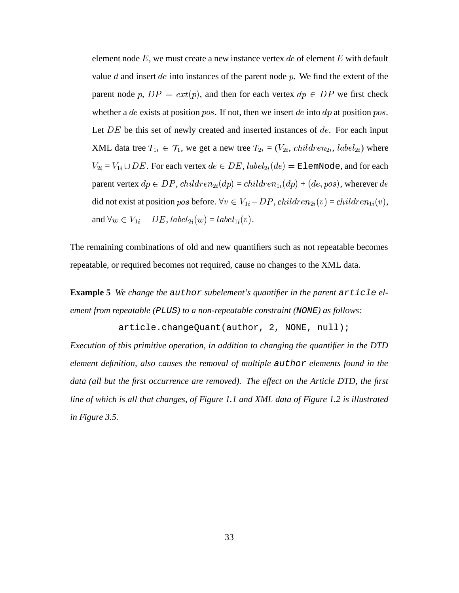element node E, we must create a new instance vertex  $de$  of element E with default value  $d$  and insert  $de$  into instances of the parent node  $p$ . We find the extent of the parent node p,  $DP = ext(p)$ , and then for each vertex  $dp \in DP$  we first check whether a de exists at position pos. If not, then we insert de into  $dp$  at position pos. Let  $DE$  be this set of newly created and inserted instances of  $de$ . For each input XML data tree  $T_{1i} \in \mathcal{T}_1$ , we get  $Y_{1i} \in \mathcal{T}_1$ , we get a new tree  $T_{2i} = (V_{2i}, \text{child})$  $C_{2i} = (V_{2i}, \text{children}_{2i}, \text{label}_{2i})$  w  $_{2i})$  where . . . . . . .  $Y_{2i} = V_{1i} \cup DE$ . For each vertex  $de \in DE$ ,  $label_{2i}(de) = \mathbb{E}$  $\mathbf{e}_{2i}(de) = \texttt{ElemNode},$  and for each parent vertex  $dp \in DP$ ,  $children_{2i}(dp) = children_{1i}(dp) + (de, pos)$ , wherever  $de$ did not exist at position pos before.  $\forall v \in V_{1i} - DP$ ,  $children_{2i}(v) = children_{1i}(v)$ , and  $\forall w \in V_{1i} - DE$ ,  $label_{2i}(w) = la$  $e_{2i}(w) = label_{1i}(v).$ 

The remaining combinations of old and new quantifiers such as not repeatable becomes repeatable, or required becomes not required, cause no changes to the XML data.

**Example 5** *We change the* author *subelement's quantifier in the parent* article *element from repeatable (*PLUS*) to a non-repeatable constraint (*NONE*) as follows:*

article.changeQuant(author, 2, NONE, null);

*Execution of this primitive operation, in addition to changing the quantifier in the DTD element definition, also causes the removal of multiple* author *elements found in the data (all but the first occurrence are removed). The effect on the Article DTD, the first line of which is all that changes, of Figure 1.1 and XML data of Figure 1.2 is illustrated in Figure 3.5.*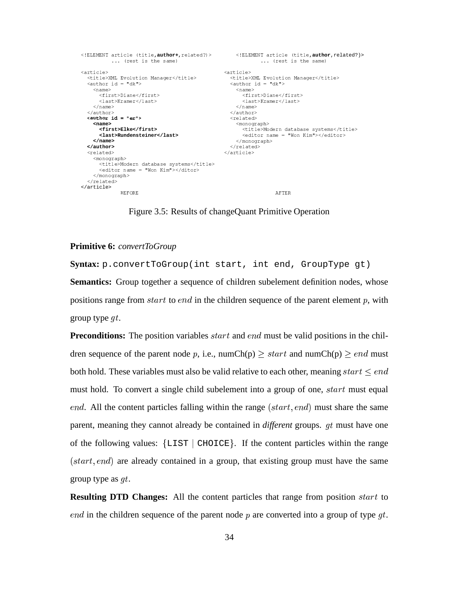```
<!ELEMENT article (title, author+, related?)>
                                                              <!ELEMENT article (title, author, related?)>
            ... (rest is the same)
                                                                           ... (rest is the same)
  <article><br>
<title>XML Evolution Manager</title> <title><br>
<author id = "dk"
<article>
                                                          <title>XML Evolution Manager</title><br><author id = "dk">
    <name><name><first>Diane</first>
       <first>Diane</first>
       \langlelast>Kramer</last>
                                                                    \langlelast>Kramer</last>
     \langle/name>
                                                                 \langle/name>
                                                            \frac{1}{2} / author>
  \langle/author>
  \langle \text{author id} = "er" \rangle<related>
     \epsilonname\epsilon<monograph>
                                                                   <title>Modern database systems</title><br><editor name = "Won Kim"></editor>
       <first>Elke</first>
       <last>Rundensteiner</last>
                                                                 \langle/monograph>
     \langle/name>
  </author>
                                                              \langle/related>
  <related>
                                                            </article>
     <monograph>
       <title>Modern database systems</title>
       \langleeditor name = "Won Kim"></ditor>
    \langle/monograph>
  \langle/related>
\langle /article>
                BEFORE
                                                                                  AFTER
```
Figure 3.5: Results of changeQuant Primitive Operation

## Primitive 6: convertToGroup

Syntax: p.convertToGroup(int start, int end, GroupType gt) **Semantics:** Group together a sequence of children subelement definition nodes, whose positions range from *start* to *end* in the children sequence of the parent element  $p$ , with group type  $qt$ .

**Preconditions:** The position variables *start* and *end* must be valid positions in the children sequence of the parent node p, i.e., numCh(p)  $\geq$  start and numCh(p)  $\geq$  end must both hold. These variables must also be valid relative to each other, meaning  $start \leq end$ must hold. To convert a single child subelement into a group of one, *start* must equal *end.* All the content particles falling within the range  $(start, end)$  must share the same parent, meaning they cannot already be contained in *different* groups. *at* must have one of the following values:  $\{LIST \mid CHOICE\}$ . If the content particles within the range  $(start, end)$  are already contained in a group, that existing group must have the same group type as  $qt$ .

**Resulting DTD Changes:** All the content particles that range from position *start* to end in the children sequence of the parent node  $p$  are converted into a group of type  $qt$ .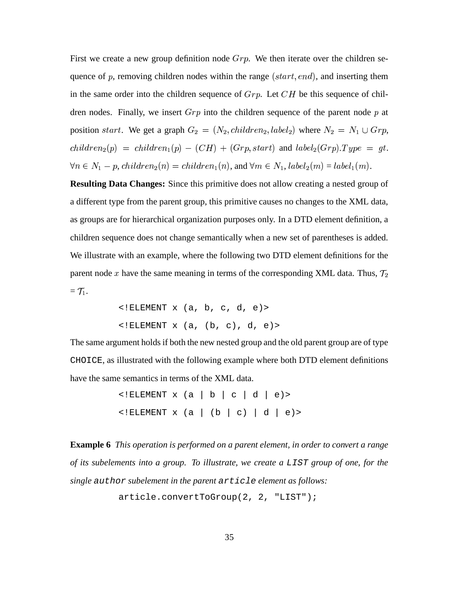First we create a new group definition node  $Grp$ . We then iterate over the children sequence of  $p$ , removing children nodes within the range (start, end), and inserting them in the same order into the children sequence of  $Grp$ . Let  $CH$  be this sequence of children nodes. Finally, we insert  $Grp$  into the children sequence of the parent node p at position *start*. We get a graph  $G_2 = (N_2, children_2, label_2)$  / . . . . . . . . . - - - - -. . . . . . . . ) where  $N_2 = N_1 \cup Grp$ ,  / <sup>+</sup>  / \* . . . .  $(CH) + (Grp, start)$  and  $label_2(Gr)$ . . . . . .  $(Grp).Type = gt.$  $\forall n \in N_1 - p$ , children<sub>2</sub>(n  $p, \text{children}_2(n) = \text{child}$ /  /  $\mathcal{N}_1(n)$ , and  $\forall m \in N_1$ ,  $label_2(m) = label$ . . . . . .  $(m) = label_1(m).$ 

**Resulting Data Changes:** Since this primitive does not allow creating a nested group of a different type from the parent group, this primitive causes no changes to the XML data, as groups are for hierarchical organization purposes only. In a DTD element definition, a children sequence does not change semantically when a new set of parentheses is added. We illustrate with an example, where the following two DTD element definitions for the parent node x have the same meaning in terms of the corresponding XML data. Thus,  $\mathcal{T}_2$  $= \mathcal{T}_1$ .

> <!ELEMENT x (a, b, c, d, e)>  $\langle$ !ELEMENT x  $(a, (b, c), d, e)$

The same argument holds if both the new nested group and the old parent group are of type CHOICE, as illustrated with the following example where both DTD element definitions have the same semantics in terms of the XML data.

> $\leq$ !ELEMENT x (a | b | c | d | e) >  $\leq$ !ELEMENT x (a | (b | c) | d | e) >

**Example 6** *This operation is performed on a parent element, in order to convert a range of its subelements into a group. To illustrate, we create a* LIST *group of one, for the single* author *subelement in the parent* article *element as follows:*

```
article.convertToGroup(2, 2, "LIST");
```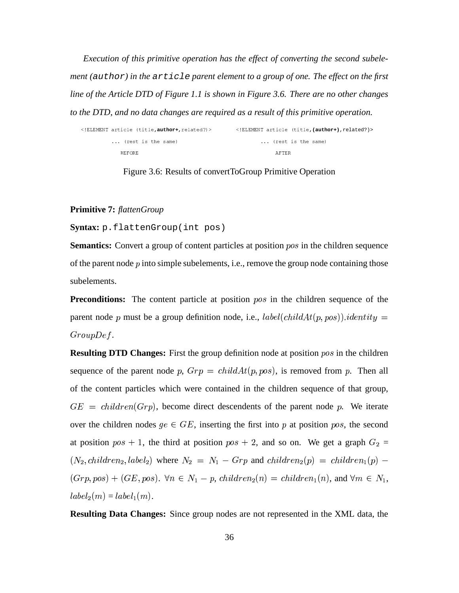*Execution of this primitive operation has the effect of converting the second subelement (*author*) in the* article *parent element to a group of one. The effect on the first line of the Article DTD of Figure 1.1 is shown in Figure 3.6. There are no other changes to the DTD, and no data changes are required as a result of this primitive operation.*

| ELEMENT article (title, author+, related?) | ELEMENT article (title, (author+), related?) |
|--------------------------------------------|----------------------------------------------|
| (rest is the same)                         | (rest is the same)                           |
| <b>BEFORE</b>                              | AFTER                                        |

Figure 3.6: Results of convertToGroup Primitive Operation

## **Primitive 7:** *flattenGroup*

## **Syntax:** p.flattenGroup(int pos)

**Semantics:** Convert a group of content particles at position *pos* in the children sequence of the parent node  $p$  into simple subelements, i.e., remove the group node containing those subelements.

**Preconditions:** The content particle at position  $pos$  in the children sequence of the parent node p must be a group definition node, i.e.,  $label(childAt(p, pos))$ .identity =  $GroupDef.$ 

**Resulting DTD Changes:** First the group definition node at position pos in the children sequence of the parent node p,  $Grp = childAt(p, pos)$ , is removed from p. Then all of the content particles which were contained in the children sequence of that group,  $GE = children (Grp)$ , become direct descendents of the parent node p. We iterate over the children nodes  $ge \in GE$ , inserting the first into p at position pos, the second at position  $pos + 1$ , the third at position  $pos + 2$ , and so on. We get a graph  $G_2 =$  . . . . . . . . .  / . . . . . . . . . - - - - -. . . . . . . ) where  $N_2 = N_1 - Grp$  and  $children_2(p) = chi$   / \*\*\*\*  $\sqrt{2}$  $(Grp, pos) + (GE, pos). \ \forall n \in N_1 - p, \ children_2(n)$  $p, \, children_2(n) = chi$ /  /  $_1(n)$ , and  $\forall m \in N_1$ , - . . . . . .  $(m) = label_1(m)$ . . . . . . .  $(m).$ 

**Resulting Data Changes:** Since group nodes are not represented in the XML data, the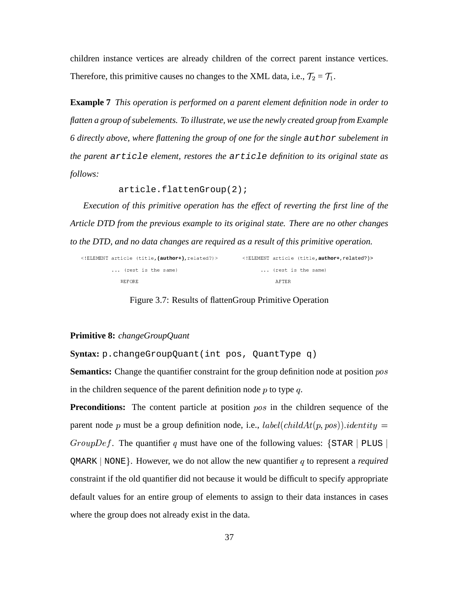children instance vertices are already children of the correct parent instance vertices. Therefore, this primitive causes no changes to the XML data, i.e.,  $\mathcal{T}_2 = \mathcal{T}_1$ .

**Example 7** *This operation is performed on a parent element definition node in order to flatten a group ofsubelements. To illustrate, we use the newly created group from Example 6 directly above, where flattening the group of one for the single* author *subelement in the parent* article *element, restores the* article *definition to its original state as follows:*

article.flattenGroup(2);

*Execution of this primitive operation has the effect of reverting the first line of the Article DTD from the previous example to its original state. There are no other changes to the DTD, and no data changes are required as a result of this primitive operation.*

| ELEMENT article (title, (author+), related?) | ELEMENT article (title, author+, related?) |
|----------------------------------------------|--------------------------------------------|
| (rest is the same)                           | (rest is the same)                         |
| <b>BEFORE</b>                                | AFTER                                      |

Figure 3.7: Results of flattenGroup Primitive Operation

#### **Primitive 8:** *changeGroupQuant*

**Syntax:** p.changeGroupQuant(int pos, QuantType q)

**Semantics:** Change the quantifier constraint for the group definition node at position pos in the children sequence of the parent definition node  $p$  to type  $q$ .

**Preconditions:** The content particle at position *pos* in the children sequence of the parent node p must be a group definition node, i.e.,  $label(childAt(p, pos))$ .identity = *GroupDef.* The quantifier q must have one of the following values:  $\{STAR \mid PLUS \}$  $QMARK$  | NONE}. However, we do not allow the new quantifier q to represent a *required* constraint if the old quantifier did not because it would be difficult to specify appropriate default values for an entire group of elements to assign to their data instances in cases where the group does not already exist in the data.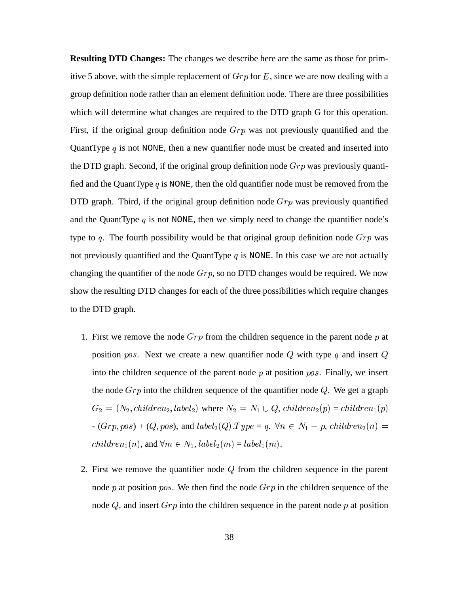**Resulting DTD Changes:** The changes we describe here are the same as those for primitive 5 above, with the simple replacement of  $Grp$  for E, since we are now dealing with a group definition node rather than an element definition node. There are three possibilities which will determine what changes are required to the DTD graph G for this operation. First, if the original group definition node  $Grp$  was not previously quantified and the QuantType  $q$  is not NONE, then a new quantifier node must be created and inserted into the DTD graph. Second, if the original group definition node  $Grp$  was previously quantified and the QuantType  $q$  is NONE, then the old quantifier node must be removed from the DTD graph. Third, if the original group definition node  $Grp$  was previously quantified and the QuantType  $q$  is not NONE, then we simply need to change the quantifier node's type to q. The fourth possibility would be that original group definition node  $Grp$  was not previously quantified and the QuantType  $q$  is NONE. In this case we are not actually changing the quantifier of the node  $Grp$ , so no DTD changes would be required. We now show the resulting DTD changes for each of the three possibilities which require changes to the DTD graph.

- 1. First we remove the node  $Grp$  from the children sequence in the parent node p at position *pos*. Next we create a new quantifier node Q with type q and insert Q into the children sequence of the parent node  $p$  at position  $pos$ . Finally, we insert the node  $Grp$  into the children sequence of the quantifier node  $Q$ . We get a graph  $G_2 = (N_2, children_2, label)$  / . . . . . . . . . - . . . . **. . . .** where  $N_2 = N_1 \cup Q$ ,  $children_2(p) = child$  $\phi(p)=children_1(p)$  $\sqrt{2}$  $- (Grp, pos) + (Q, pos),$  and  $label_2(Q). Type = q. \forall n \in N_1 - p, children_2(n)$  $p, \, children_2(n) =$ /  / . . . . . . .  $(n),$  and  $\forall m \in N_1, \textit{label}_2(m) = \textit{label}_1$ <sup>+</sup>  $(m) = label_1(m)$ . . . . . . .  $(m).$
- 2. First we remove the quantifier node  $Q$  from the children sequence in the parent node  $p$  at position  $pos$ . We then find the node  $Grp$  in the children sequence of the node  $Q$ , and insert  $Grp$  into the children sequence in the parent node  $p$  at position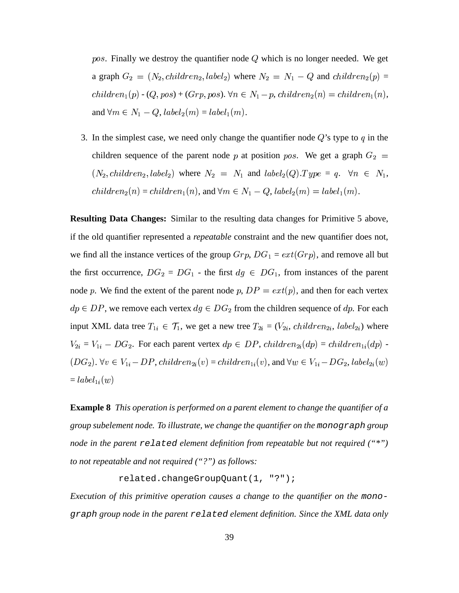pos. Finally we destroy the quantifier node  $Q$  which is no longer needed. We get a graph  $G_2 = (N_2, children_2, label_2)$  / . . . . . . . . - - - - -<sup>+</sup> ) where  $N_2 = N_1 - Q$  and  $children_2(p) =$  $(p) =$  / \*  $(p)$  -  $(Q, pos)$  +  $(Grp, pos)$ .  $\forall n \in N_1-p$ , children<sub>2</sub> $(n)$  $p, \text{children}_2(n) = \text{child}$  $\prime$  . The  $\prime$  -state of  $\prime$  -state of  $\prime$  -state  $\prime$  -state  $\prime$  -state  $\prime$  -state  $\prime$  $_1(n),$ and  $\forall m \in N_1 - Q$ ,  $label_2(m) = la$ <sup>+</sup>  $(m) = label_1(m)$ . . . . . . .  $(m).$ 

3. In the simplest case, we need only change the quantifier node  $Q$ 's type to  $q$  in the children sequence of the parent node p at position pos. We get a graph  $G_2 =$  <sup>+</sup>  / . . . . . . . . . - . . . . **. . .** . ) where  $N_2 = N_1$  and  $label_2(Q).T$ <sup>+</sup>  $(Q). Type = q. \quad \forall n \in N_1,$  / <sup>+</sup>  $(n) = children_1(n)$ , and  $\forall m \in N_1 - Q$ ,  $label_2(m) = b$ <sup>+</sup> . . . . . . . . . . . . . . .  $(m).$ 

**Resulting Data Changes:** Similar to the resulting data changes for Primitive 5 above, if the old quantifier represented a *repeatable* constraint and the new quantifier does not, we find all the instance vertices of the group  $Grp$ ,  $DG_1 = ext(Grp)$ , and remove all but the first occurrence,  $DG_2 = DG_1$  - the first  $dg \in DG_1$ , from instances of the parent node p. We find the extent of the parent node p,  $DP = ext(p)$ , and then for each vertex  $dp \in DP$ , we remove each vertex  $dg \in DG_2$  from the children sequence of  $dp$ . For each input XML data tree  $T_{1i} \in \mathcal{T}_1$ , we get  $T_{1i} \in \mathcal{T}_1$ , we get a new tree  $T_{2i} = (V_{2i}, \text{child})$  $C_{2i} = (V_{2i}, \text{children}_{2i}, \text{label}_{2i})$  w  $_{2i})$  where . . . . .  $X_{2i} = V_{1i} - DG_2$ . For each parent vertex  $dp \in DP$ ,  $children_{2i}(dp) = children_{1i}(dp) -$  . . . . . . ).  $\forall v \in V_{1i} - DP$ ,  $children_{2i}(v) = children_{1i}(v)$ , and  $\forall w \in V_{1i} - DG_{2}$ ,  $label_{2i}(w)$  $\mathbf{P}_i(w)$  $=$   $label_{1i}(w)$  $\mathcal{L}_1(w)$ 

**Example 8** *This operation is performed on a parent element to change the quantifier of a group subelement node. To illustrate, we change the quantifier on the* monograph *group node in the parent* related *element definition from repeatable but not required ("\*") to not repeatable and not required ("?") as follows:*

```
related.changeGroupQuant(1, "?");
```
*Execution of this primitive operation causes a change to the quantifier on the* monograph *group node in the parent* related *element definition. Since the XML data only*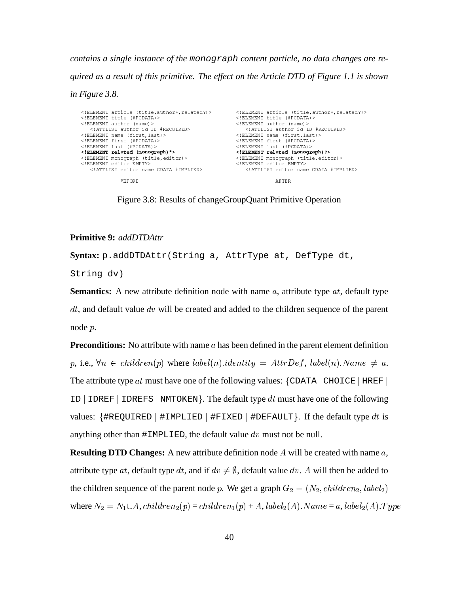contains a single instance of the monograph content particle, no data changes are required as a result of this primitive. The effect on the Article DTD of Figure 1.1 is shown

in Figure 3.8.

```
<! ELEMENT article (title, author+, related?)>
                                                                 <! ELEMENT article (title, author+, related?) >
                                                                 \label{eq:2} \begin{array}{ll} < ! \; \texttt{ELEMENT} & \texttt{title} & (\; \texttt{\#PCDATA}) > \end{array}<! ELEMENT title (#PCDATA)>
<! ELEMENT author (name) >
                                                                <!ELEMENT author (name) >
    <!ATTLIST author id ID #REQUIRED>
                                                                    <!ATTLIST author id ID #REQUIRED>
<! ELEMENT name (first, last)><br><! ELEMENT first (#PCDATA)>
                                                               <!ELEMENT name (first, last)><br><!ELEMENT name (first, last)><br><!ELEMENT first (#PCDATA)>
<! ELEMENT last (#PCDATA) >
                                                                <! ELEMENT last (#PCDATA)>
<! ELEMENT related (monograph) *>
                                                               <! ELEMENT related (monograph) ?>
<!ELEMENT monograph (title, editor)>
                                                                <! ELEMENT monograph (title, editor)>
<! ELEMENT editor EMPTY>
                                                               <! ELEMENT editor EMPTY>
    <!ATTLIST editor name CDATA #IMPLIED>
                                                                     <!ATTLIST editor name CDATA #IMPLIED>
                BEFORE
                                                                                  AFTER
```
Figure 3.8: Results of changeGroupQuant Primitive Operation

## **Primitive 9: addDTDAttr**

Syntax: p.addDTDAttr(String a, AttrType at, DefType dt,

String dv)

**Semantics:** A new attribute definition node with name  $a$ , attribute type  $at$ , default type  $dt$ , and default value  $dv$  will be created and added to the children sequence of the parent node  $p$ .

**Preconditions:** No attribute with name  $a$  has been defined in the parent element definition p, i.e.,  $\forall n \in children(p)$  where  $label(n).identity = AttrDef, label(n).Name \neq a$ . The attribute type at must have one of the following values:  $\{CDATA \mid CHOICE \mid HREF\}$ ID | IDREF | IDREFS | NMTOKEN $\}$ . The default type dt must have one of the following values: {#REQUIRED | #IMPLIED | #FIXED | #DEFAULT}. If the default type dt is anything other than  $\#IMPLIED$ , the default value dv must not be null.

**Resulting DTD Changes:** A new attribute definition node A will be created with name  $a$ , attribute type at, default type dt, and if  $dv \neq \emptyset$ , default value dv. A will then be added to the children sequence of the parent node p. We get a graph  $G_2 = (N_2, children_2, label_2)$ where  $N_2 = N_1 \cup A$ , children<sub>2</sub>(p) = children<sub>1</sub>(p) + A, label<sub>2</sub>(A). Name = a, label<sub>2</sub>(A). Type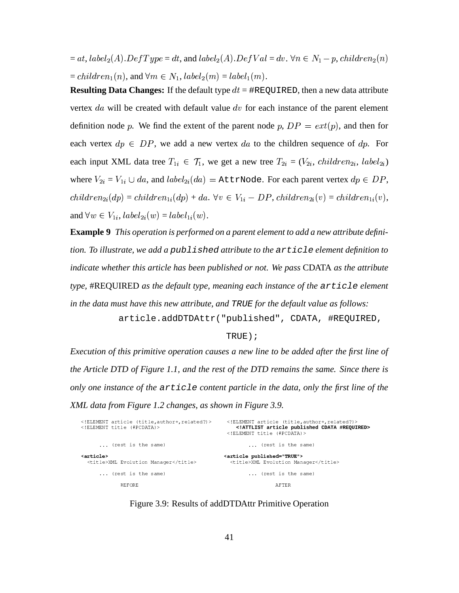$= at, label_2(A)$ .  $DefType = dt$ , and  $label_2(A)$ <sup>+</sup>  $(A). DefVal = dv. \,\forall n \in N_1 - p, \, children_2(n)$  $p, \emph{children}_2(n)$ /  $= children_1(n),$  and  $\forall n$  $(n)$ , and  $\forall m \in N_1$ ,  $label_2(m) = label$ <sup>+</sup>  $(m) = label_1(m)$ . . . . . . .  $(m).$ 

**Resulting Data Changes:** If the default type  $dt = \text{HREQUIRED}$ , then a new data attribute vertex  $da$  will be created with default value  $dv$  for each instance of the parent element definition node p. We find the extent of the parent node p,  $DP = ext(p)$ , and then for each vertex  $dp \in DP$ , we add a new vertex da to the children sequence of  $dp$ . For each input XML data tree  $T_{1i} \in \mathcal{T}_1$ , we ge  $T_{1i} \in \mathcal{T}_1$ , we get a new tree  $T_{2i} = (V_{2i}, \text{child})$  $S_{2i} = (V_{2i}, \, children_{2i}, \, label_{2i})$  $_{2i})$ where  $V_{2i} = V_{1i} \cup da$ , and labelled  $da$ , and  $\mathit{label}_{2i}(da)$  $\mathcal{L}_{2i}(da) =$  AttrNode. For each parent vertex  $dp \in DP,$  /  $\mathcal{L}_{2i}(dp)=children_{1i}(dp)+da. \,\,\forall v\in V_{1i}-DP, \,children_{2i}(v)=children_{1i}(v),$ and  $\forall w \in V_{1i}$ ,  $label_{2i}(w) = label_{1i}(w)$  $_{1i}(w).$ 

**Example 9** *This operation is performed on a parent element to add a new attribute definition. To illustrate, we add a* published *attribute to the* article *element definition to indicate whether this article has been published or not. We pass* CDATA *as the attribute type,* #REQUIRED *as the default type, meaning each instance of the* article *element in the data must have this new attribute, and* TRUE *for the default value as follows:* article.addDTDAttr("published", CDATA, #REQUIRED,

TRUE);

*Execution of this primitive operation causes a new line to be added after the first line of the Article DTD of Figure 1.1, and the rest of the DTD remains the same. Since there is only one instance of the* article *content particle in the data, only the first line of the XML data from Figure 1.2 changes, as shown in Figure 3.9.*

| ELEMENT article (title, author+, related?)<br>ELEMENT title (#PCDATA) | ELEMENT article (title, author+, related?)<br>ATTLIST article published CDATA #REQUIRED<br>ELEMENT title (#PCDATA) |
|-----------------------------------------------------------------------|--------------------------------------------------------------------------------------------------------------------|
| (rest is the same)                                                    | (rest is the same)                                                                                                 |
| <article><br/><title>XML Evolution Manager</title></article>          | <article published="TRUE"><br/><title>XML Evolution Manager</title></article>                                      |
| (rest is the same)                                                    | (rest is the same)                                                                                                 |
| <b>BEFORE</b>                                                         | AFTER                                                                                                              |

Figure 3.9: Results of addDTDAttr Primitive Operation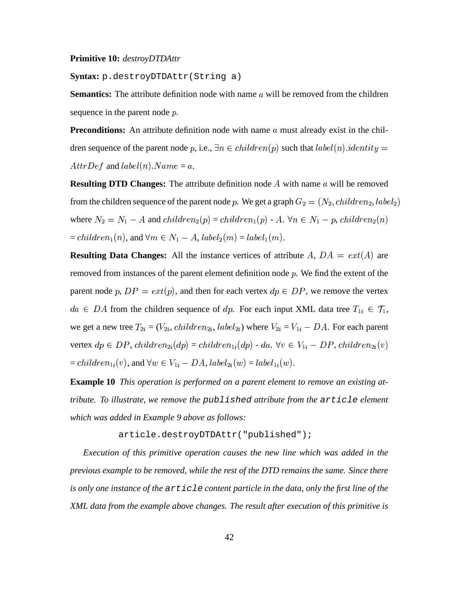#### **Primitive 10:** *destroyDTDAttr*

#### **Syntax:** p.destroyDTDAttr(String a)

**Semantics:** The attribute definition node with name a will be removed from the children sequence in the parent node p.

**Preconditions:** An attribute definition node with name  $a$  must already exist in the children sequence of the parent node p, i.e.,  $\exists n \in children(p)$  such that  $label(n).identity =$  $AttrDef$  and  $label(n).Name = a$ .

**Resulting DTD Changes:** The attribute definition node A with name a will be removed from the children sequence of the parent node p. We get a graph  $G_2 = (N_2, children_2, label_2)$  / . . . . . . . . . - <sup>+</sup>  $\mathbf{v}$  and  $\mathbf{v}$  and  $\mathbf{v}$  and  $\mathbf{v}$ where  $N_2 = N_1 - A$  and  $children_2(p) = child$  $(p) = children_1(p)$  - A.  $\forall r$  $(p)$  - A.  $\forall n \in N_1 - p$ , children<sub>2</sub> $(r)$  $p, \, children_2(n)$ /  $= children_1(n),$  and  $\forall n$  $(n)$ , and  $\forall m \in N_1 - A$ ,  $label_2(m) = b$ . . . . . .  $(m) = label_1(m)$ . . . . . . .  $(m).$ 

**Resulting Data Changes:** All the instance vertices of attribute  $A$ ,  $DA = ext(A)$  are removed from instances of the parent element definition node  $p$ . We find the extent of the parent node p,  $DP = ext(p)$ , and then for each vertex  $dp \in DP$ , we remove the vertex  $da \in DA$  from the children sequence of  $dp$ . For each input XML data tree  $T_{1i} \in \mathcal{T}_1$ , we get a new tree  $T_{2i} = (V_{2i}, \text{child})$  $S_{2i} = (V_{2i}, \text{children}_{2i}, \text{label}_{2i})$  w  $\chi_{2i}$ ) where  $V_{2i} = V_{1i} - DA$ . For each parent vertex  $dp \in DP$ ,  $children_{2i}(dp) = children_{1i}(dp) - da$ .  $\forall v \in V_{1i} - DP$ ,  $children_{2i}(v)$  $= children_{1i}(v)$ , and  $\forall w \in V_{1i} - DA$ ,  $label_{2i}(w) = lb$  $a_2(w) = label_{1i}(w).$ 

**Example 10** *This operation is performed on a parent element to remove an existing attribute. To illustrate, we remove the* published *attribute from the* article *element which was added in Example 9 above as follows:*

article.destroyDTDAttr("published");

*Execution of this primitive operation causes the new line which was added in the previous example to be removed, while the rest of the DTD remains the same. Since there is only one instance of the* article *content particle in the data, only the first line of the XML data from the example above changes. The result after execution of this primitive is*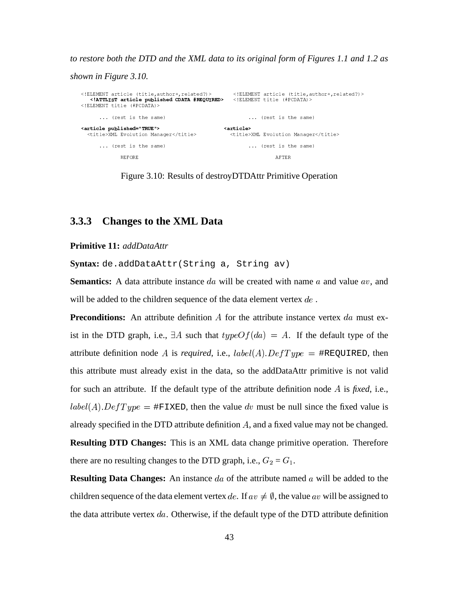*to restore both the DTD and the XML data to its original form of Figures 1.1 and 1.2 as*

*shown in Figure 3.10.*

```
SIEMENT article (title,author+,related?)> <!ELEMENT article (title,author+,</article (title,author+,
                                                                                                                 uthor+.related?)>
\lambda intriving \lambda . \lambda is a different function of \lambda... (rest is the same) ...
                                                                                  ... (rest is the same)
dent and a constant and and uncorrection
                                \mathbf{v} \cdot \mathbf{v} = \mathbf{v} \cdot \mathbf{v}
	*"Y	$	&!
$
8.8
I	"
 
                                                     * &
*
Y	$!""$8.
8	"I"	
&	*
         ... (rest is the same) ...
                                                                                  ... (rest is the same)
                  BEFORE
                    \Gamma 5 be found to the set of the set of the set of the set of the set of the set of the set of the set of the set of the set of the set of the set of the set of the set of the set of the set of the set of the set of the 
                                                                                              AFTER
```
Figure 3.10: Results of destroyDTDAttr Primitive Operation

## **3.3.3 Changes to the XML Data**

**Primitive 11:** *addDataAttr*

**Syntax:** de.addDataAttr(String a, String av)

**Semantics:** A data attribute instance  $da$  will be created with name  $a$  and value  $av$ , and will be added to the children sequence of the data element vertex  $de$ .

**Preconditions:** An attribute definition  $A$  for the attribute instance vertex  $da$  must exist in the DTD graph, i.e.,  $\exists A$  such that  $typeOf(da) = A$ . If the default type of the attribute definition node A is *required*, i.e.,  $label(A).DefType = \text{HREQUIRED}$ , then this attribute must already exist in the data, so the addDataAttr primitive is not valid for such an attribute. If the default type of the attribute definition node A is *fixed*, i.e.,  $label(A). DefType = \# \texttt{FIXED}$ , then the value dv must be null since the fixed value is already specified in the DTD attribute definition  $A$ , and a fixed value may not be changed. **Resulting DTD Changes:** This is an XML data change primitive operation. Therefore there are no resulting changes to the DTD graph, i.e.,  $G_2 = G_1$ .

**Resulting Data Changes:** An instance  $da$  of the attribute named  $a$  will be added to the children sequence of the data element vertex de. If  $av \neq \emptyset$ , the value av will be assigned to the data attribute vertex  $da$ . Otherwise, if the default type of the DTD attribute definition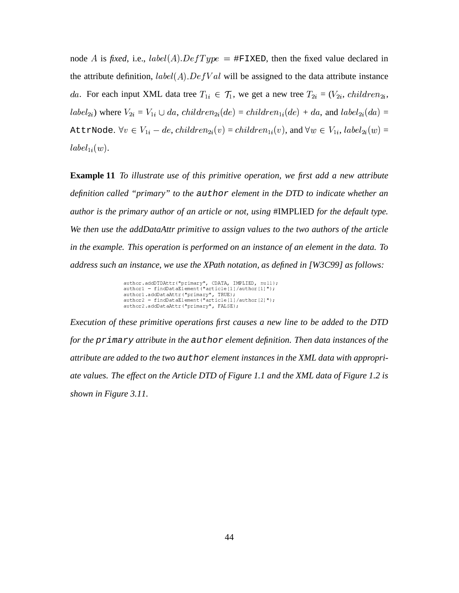node A is *fixed*, i.e.,  $label(A).DefType = \# \texttt{FTXED}$ , then the fixed value declared in the attribute definition,  $label(A).DefVal$  will be assigned to the data attribute instance da. For each input XML data tree  $T_{1i} \in \mathcal{T}_1$ , we ge  $T_{1i} \in \mathcal{T}_1$ , we get a new tree  $T_{2i} = (V_{2i}, \text{child})$  $S_{2i} = (V_{2i}, \, children_{2i}, \,$ -  $\mathbf{v}_{2i}$ ) where  $V_{2i} = V_{1i} \cup da$ , *childre*  $da, \ children_{2i}(de) = children_{1i}(de) + da, \text{ and } label_{2i}(da)$  $_{2i}(da) =$ AttrNode.  $\forall v \in V_{1i} - de, children_{2i}(v) = children_{1i}(v)$ , and  $\forall w \in V_{1i}, label_{2i}(w) =$  $_{2i}(w) =$ -  $\mathfrak{u}_i(w)$ .

**Example 11** *To illustrate use of this primitive operation, we first add a new attribute definition called "primary" to the* author *element in the DTD to indicate whether an author is the primary author of an article or not, using* #IMPLIED *for the default type. We then use the addDataAttr primitive to assign values to the two authors of the article in the example. This operation is performed on an instance of an element in the data. To address such an instance, we use the XPath notation, as defined in [W3C99] as follows:*

```
author.addDTDAttr("primarv", CDATA, IMPLIED, null);
author1 = findDataElement("article[1]/author[1]");
author1.addDataAttr("primarv". TRUE):
author2 = findDataElement("article[1]/author[2]"):
author2.addDataAttr("primarv", FALSE);
```
*Execution of these primitive operations first causes a new line to be added to the DTD for the* primary *attribute in the* author *element definition. Then data instances of the attribute are added to the two* author *element instances in the XML data with appropriate values. The effect on the Article DTD of Figure 1.1 and the XML data of Figure 1.2 is shown in Figure 3.11.*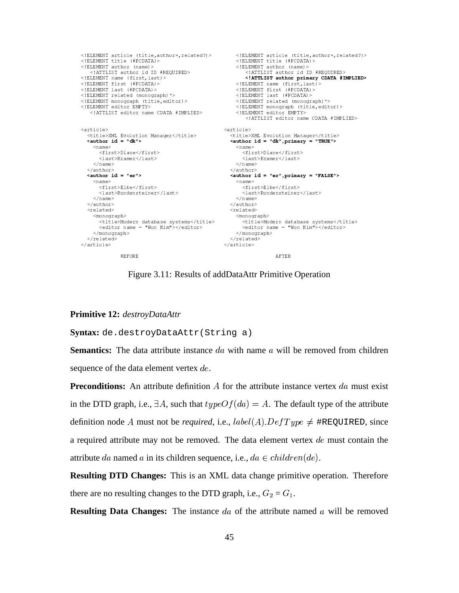```
% /*ELEMENT article (title,author+,related?)><br>
% /*ELEMENT article (title,author+,related?)><br>
% /*ELEMENT title (#PCDATA)><br>
% /*ELEMENT author (name)><br>
% /*ELEMENT author (name)><br>
% /*ELEMENT author (name)><br>
% /*ELEMENT au
                                                                          <!ATTLIST editor name CDATA #IMPLIED>
                                                             <article>
<article>
   xarticle><br>\title>XML Evolution Manager</title><br><author id = "dk"> <author id = "dk",primary = "TRUE">
     <name><name>
        <first>Diane</first>
                                                                       <first>Diane</first>
        \langlelast>Kramer</last>
                                                                         \langlelast>Kramer</last>
      \langle/name>
                                                                     \langle/name>
   </author>
                                                               </author><br><author id = "er",primary = "FALSE">
   \langle author id = "er">
     <name><name><first>Elke</first>
                                                                        <first>Elke</first>
        \langlelast>Rundensteiner</last>
                                                                        \langlelast>Rundensteiner</last>
     \langle/name>
                                                                     \langle/name>
   \langle/author>
                                                                \langle/author>
   <related>
                                                                  <related>
     <monograph>
                                                                    <monograph>
                                                                      <title>Modern database systems</title><br><editor name = "Won Kim"></editor>
        <title>Modern database systems</title>
        <editor name = "Won Kim"></editor>
     </monograph>
                                                                     \langle/monograph>
                                                                  \langle/related>
   \langle/related>
\langle/article>
                                                                </article>
                 BEFORE
                                                                                        AFTER
```
Figure 3.11: Results of addDataAttr Primitive Operation

#### **Primitive 12: destroyDataAttr**

Syntax: de.destroyDataAttr(String a)

**Semantics:** The data attribute instance da with name  $\alpha$  will be removed from children sequence of the data element vertex de.

**Preconditions:** An attribute definition A for the attribute instance vertex  $da$  must exist in the DTD graph, i.e.,  $\exists A$ , such that  $typeOf(da) = A$ . The default type of the attribute definition node A must not be *required*, i.e.,  $label(A).DefType \neq #REQUIRED$ , since a required attribute may not be removed. The data element vertex  $de$  must contain the attribute da named a in its children sequence, i.e.,  $da \in children(de)$ .

**Resulting DTD Changes:** This is an XML data change primitive operation. Therefore there are no resulting changes to the DTD graph, i.e.,  $G_2 = G_1$ .

**Resulting Data Changes:** The instance da of the attribute named a will be removed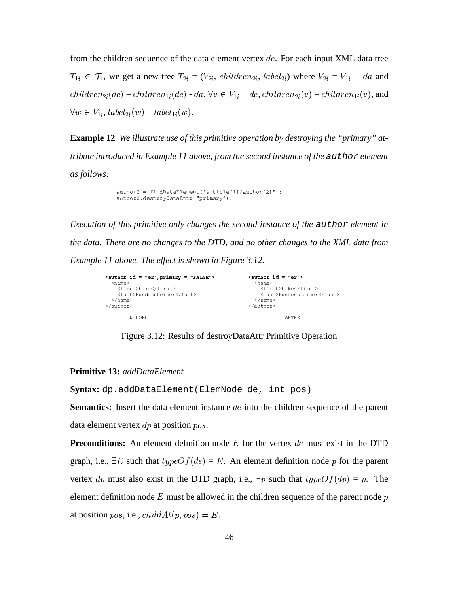from the children sequence of the data element vertex  $de$ . For each input XML data tree -  $T_{1i} \in \mathcal{T}_1$ , we get a new tree  $T_{2i} = (V_{2i}, \text{child})$  $S_{2i} = (V_{2i}, \, children_{2i}, \, label_{2i})$  w  $\chi_{2i}$ ) where  $V_{2i} = V_{1i} - da$  and  /  $\phi_{2i}(de) = children_{1i}(de)\text{ - } da\ldotp \forall v\in V_{1i}\text{ - } de\ldots children_{2i}(v) = children_{1i}(v)\text{, and}$  $\forall w \in V_{1i}, label_{2i}(w) = b$  $_{2i}(w)=label_{1i}(w)$  $\mathfrak{u}_i(w)$ .

**Example 12** *We illustrate use of this primitive operation by destroying the "primary" attribute introduced in Example 11 above, from the second instance of the* author *element as follows:*

> ! RB?3\$." 
> 4
> 3 SK 
>  -Q "! S& ! \$"@"!X. "0/" <sup>S</sup> G04
> X5S&

*Execution of this primitive only changes the second instance of the* author *element in the data. There are no changes to the DTD, and no other changes to the XML data from Example 11 above. The effect is shown in Figure 3.12.*

```
\leq author id = "er", primary = "FALSE">
                                                                                                                                 \langle \text{author id} = "er" \rangle8.9 \pm 0.8 9 \pm 0.8 9 \pm 0.8 9 \pm 0.8 9 \pm 0.8 9 \pm 0.8 9 \pm 0.8 9 \pm 0.8<name>\sim 200 \pm 0.000 \pm 0.000 \pm 0.000 \pm 0.000 \pm. A second contract the contract of the contract of the contract of the contract of the contract of the contract of the contract of the contract of the contract of the contract of the contract of the contract of the contra
            <last>Rundensteiner<
                                                                   ""	D&	* "D *?!8'
8D&&8		"

"D *
      \sim 1. A set of the set of the set of the set of the set of the set of the set of the set of the set of the set of the set of the set of the set of the set of the set of the set of the set of the set of the set of the se
                                                                                                                                      \langle/name\rangle2.1 - 1.1 - 1.1\mathbf{r} = \mathbf{r} = \mathbf{r} = \mathbf{r} = \mathbf{r} = \mathbf{r} = \mathbf{r} = \mathbf{r} = \mathbf{r} = \mathbf{r} = \mathbf{r} = \mathbf{r} = \mathbf{r} = \mathbf{r} = \mathbf{r} = \mathbf{r} = \mathbf{r} = \mathbf{r} = \mathbf{r} = \mathbf{r} = BEFORE
                         n bahasar di sebagai di sebagai di sebagai di sebagai di sebagai di sebagai di sebagai di sebagai di sebagai d<br>Sebagai di sebagai di sebagai di sebagai di sebagai di sebagai di sebagai di sebagai di sebagai di sebagai di
```
Figure 3.12: Results of destroyDataAttr Primitive Operation

### **Primitive 13:** *addDataElement*

**Syntax:** dp.addDataElement(ElemNode de, int pos)

**Semantics:** Insert the data element instance *de* into the children sequence of the parent data element vertex  $dp$  at position  $pos$ .

**Preconditions:** An element definition node  $E$  for the vertex  $de$  must exist in the DTD graph, i.e.,  $\exists E$  such that  $typeOf(de) = E$ . An element definition node p for the parent vertex dp must also exist in the DTD graph, i.e.,  $\exists p$  such that  $typeOf(dp) = p$ . The element definition node  $E$  must be allowed in the children sequence of the parent node  $p$ at position  $pos$ , i.e.,  $childAt(p, pos) = E$ .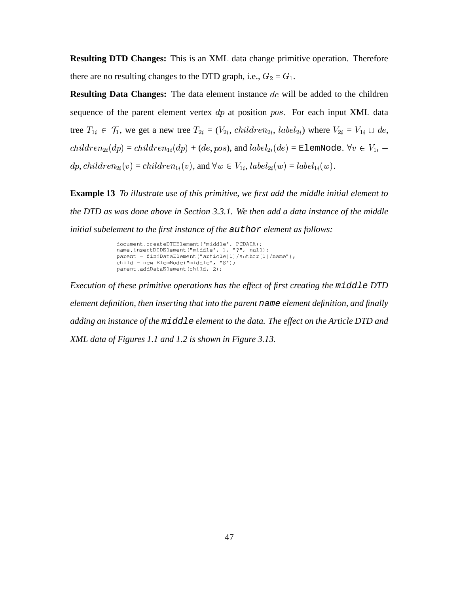**Resulting DTD Changes:** This is an XML data change primitive operation. Therefore there are no resulting changes to the DTD graph, i.e.,  $G_2 = G_1$ .

**Resulting Data Changes:** The data element instance de will be added to the children sequence of the parent element vertex  $dp$  at position  $pos$ . For each input XML data tree  $T_{1i} \in \mathcal{T}_1$ , we ge  $T_{1i} \in \mathcal{T}_1$ , we get a new tree  $T_{2i} = (V_{2i}, \text{child})$  $S_{2i} = (V_{2i}, \, children_{2i}, \, label_{2i})$  w  $_{2i}$ ) where  $V_{2i} = V_{1i} \cup de$ ,  /  $\hat{p}_{2i}(dp)=children_{1i}(dp)+(de,pos)$ , and  $label_{2i}(de)$  $_{2i}(de)$  = ElemNode.  $\forall v\in V_{1i}$   $dp, \, children_{2i}(v) = children_{1i}(v),$  and  $\forall w \in V_{1i}, \, label_{2i}(w) = b$  $a_{2i}(w) = label_{1i}(w).$ 

**Example 13** *To illustrate use of this primitive, we first add the middle initial element to the DTD as was done above in Section 3.3.1. We then add a data instance of the middle initial subelement to the first instance of the* author *element as follows:*

```
document.createDTDElement ("middle", PCDATA);<br>http://www.indu.com/washiman.com/washiman.com/washiman.com/w
G3R:?3$.		4"3 ZSK
-
  Q 	!	  Q34"AS&

$R3  
4

!$  S 4$$"5SS8
S&	
G3 
 $$."	4
3 + 
$  &
```
*Execution of these primitive operations has the effect of first creating the* middle *DTD element definition, then inserting that into the parent* name *element definition, and finally adding an instance of the* middle *element to the data. The effect on the Article DTD and XML data of Figures 1.1 and 1.2 is shown in Figure 3.13.*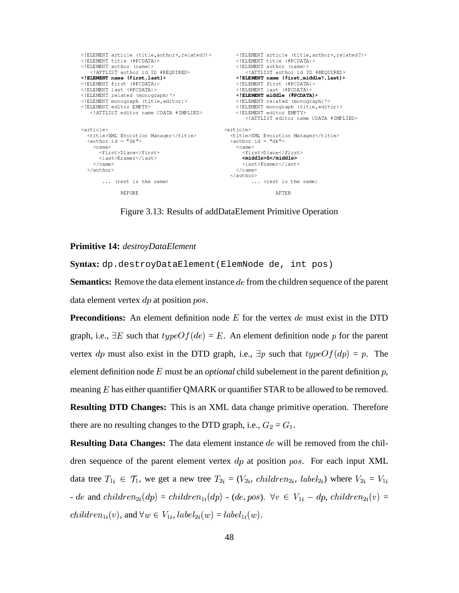```
<!ELEMENT article (title,author+,related?)><br><!ELEMENT title (#PCDATA)><br><!ELEMENT author (name)>
<!ELEMENT article (title, author+, related?)>
<! ELEMENT title (#PCDATA)><br><! ELEMENT title (#PCDATA)>
   <!ATTLIST author id ID #REQUIRED>
                                                            <!ATTLIST author id ID #REQUIRED>
                                                    <! ELEMENT name (first, last)>
<! ELEMENT first (#PCDATA)>
<! ELEMENT last (#PCDATA) >
                                                        \langle!ELEMENT last (#PCDATA)>
<! ELEMENT related (monograph) *>
                                                        <!ELEMENT middle (#PCDATA)>
<!ELEMENT monograph (title, editor)>
                                                        <!ELEMENT related (monograph) *>
<! ELEMENT editor EMPTY>
                                                         <! ELEMENT monograph (title, editor)>
   <!ATTLIST editor name CDATA #IMPLIED>
                                                       <! ELEMENT editor EMPTY>
                                                             <!ATTLIST editor name CDATA #IMPLIED>
<article>
                                                   <article>
                                                     <title>XML Evolution Manager</title><br><author id = "dk">
  <title>XML Evolution Manager</title>
  \langle \text{author id} = "dk" \rangle<name><name><first>Diane</first>
                                                           <first>Diane</first>
       \langlelast>Kramer</last>
                                                           <middle>S</middle>
    \langle/name>
                                                           <last>Kramer</last>
  </author>
                                                         \langle/name>
                                                      </author>
       ... (rest is the same)
                                                               ... (rest is the same)
              BEFORE
                                                                        AFTER
```
Figure 3.13: Results of addDataElement Primitive Operation

## Primitive 14: destroyDataElement

Syntax: dp.destroyDataElement(ElemNode de, int pos)

**Semantics:** Remove the data element instance de from the children sequence of the parent data element vertex  $dp$  at position  $pos$ .

**Preconditions:** An element definition node E for the vertex de must exist in the DTD graph, i.e.,  $\exists E$  such that  $typeOf(de) = E$ . An element definition node p for the parent vertex dp must also exist in the DTD graph, i.e.,  $\exists p$  such that  $typeOf(dp) = p$ . The element definition node E must be an *optional* child subelement in the parent definition  $p$ , meaning  $E$  has either quantifier QMARK or quantifier STAR to be allowed to be removed. **Resulting DTD Changes:** This is an XML data change primitive operation. Therefore there are no resulting changes to the DTD graph, i.e.,  $G_2 = G_1$ .

**Resulting Data Changes:** The data element instance de will be removed from the children sequence of the parent element vertex  $dp$  at position pos. For each input XML data tree  $T_{1i} \in \mathcal{T}_1$ , we get a new tree  $T_{2i} = (V_{2i}, \text{children}_{2i}, \text{label}_{2i})$  where  $V_{2i} = V_{1i}$ - de and children<sub>2i</sub> $(dp)$  = children<sub>1i</sub> $(dp)$  - (de, pos).  $\forall v \in V_{1i}$  - dp, children<sub>2i</sub> $(v)$  =  $children_{1i}(v)$ , and  $\forall w \in V_{1i}$ ,  $label_{2i}(w) = label_{1i}(w)$ .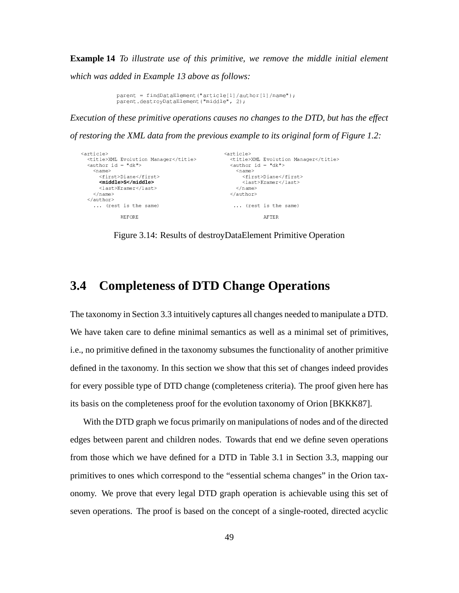**Example 14** *To illustrate use of this primitive, we remove the middle initial element which was added in Example 13 above as follows:*

```
G3R:?3$.		4"3 ZSK
-
  Q 	!	  Q34"AS&
G3 
 $"@
!X."	
4
3  SZ4A$$"AS  &
```
*Execution of these primitive operations causes no changes to the DTD, but has the effect*

*of restoring the XML data from the previous example to its original form of Figure 1.2:*

```
<article>
    "		* 

*

	*"Y	$	&!
$
8.8
I	"
 
                                                  * &
*
Y	$!""$8.
8	"I"	
&	*
   !#	$=
'+' * "
                                                                       !"#$"=
' ' *
     <name><name>\mathcal{S} = \mathcal{S} = \{ \mathcal{S} \mid \mathcal{S} \in \mathcal{S} \mid \mathcal{S} \neq \emptyset \}"	D&*4"8	
C
"	D&*
        <middle>S</middle> 	
                                                                             D *	 9	"
"
D *
        \mathcal{S} . The set of the set of the set of the set of the set of the set of the set of the set of the set of the set of the set of the set of the set of the set of the set of the set of the set of the set of the set of t
                                                                      \langle/name\rangle
&8	 9	* 

!#	$"*

!"#$"*
     ... (rest is the same)
                                                                    ... (rest is the same)
                 BEFORE
                   \Gamma . The contract of the contract of the contract of the contract of the contract of the contract of the contract of the contract of the contract of the contract of the contract of the contract of the contract of the co
```
Figure 3.14: Results of destroyDataElement Primitive Operation

## **3.4 Completeness of DTD Change Operations**

The taxonomy in Section 3.3 intuitively captures all changes needed to manipulate a DTD. We have taken care to define minimal semantics as well as a minimal set of primitives, i.e., no primitive defined in the taxonomy subsumes the functionality of another primitive defined in the taxonomy. In this section we show that this set of changes indeed provides for every possible type of DTD change (completeness criteria). The proof given here has its basis on the completeness proof for the evolution taxonomy of Orion [BKKK87].

With the DTD graph we focus primarily on manipulations of nodes and of the directed edges between parent and children nodes. Towards that end we define seven operations from those which we have defined for a DTD in Table 3.1 in Section 3.3, mapping our primitives to ones which correspond to the "essential schema changes" in the Orion taxonomy. We prove that every legal DTD graph operation is achievable using this set of seven operations. The proof is based on the concept of a single-rooted, directed acyclic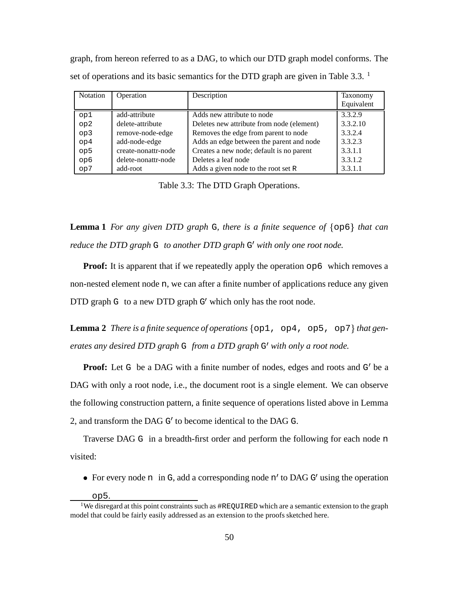graph, from hereon referred to as a DAG, to which our DTD graph model conforms. The set of operations and its basic semantics for the DTD graph are given in Table 3.3. <sup>1</sup>

| <b>Notation</b> | Operation           | Description                               | Taxonomy   |
|-----------------|---------------------|-------------------------------------------|------------|
|                 |                     |                                           | Equivalent |
| op1             | add-attribute       | Adds new attribute to node                | 3.3.2.9    |
| op <sub>2</sub> | delete-attribute    | Deletes new attribute from node (element) | 3.3.2.10   |
| op <sub>3</sub> | remove-node-edge    | Removes the edge from parent to node      | 3.3.2.4    |
| op <sub>4</sub> | add-node-edge       | Adds an edge between the parent and node  | 3.3.2.3    |
| op5             | create-nonattr-node | Creates a new node; default is no parent  | 3.3.1.1    |
| op6             | delete-nonattr-node | Deletes a leaf node                       | 3.3.1.2    |
| op7             | add-root            | Adds a given node to the root set R       | 3.3.1.1    |

Table 3.3: The DTD Graph Operations.

**Lemma** 1 *For any given DTD graph* G, *there is a finite sequence of*  $\{op6\}$  *that can reduce the DTD graph* G *to another DTD graph* G *with only one root node.*

**Proof:** It is apparent that if we repeatedly apply the operation  $\circ$  p6 which removes a non-nested element node n, we can after a finite number of applications reduce any given DTD graph G to a new DTD graph G' which only has the root node.

**Lemma** 2 *There is a finite sequence of operations*  $\{op1, op4, op5, op7\}$  *that generates any desired DTD graph* G *from a DTD graph* G *with only a root node.*

**Proof:** Let G be a DAG with a finite number of nodes, edges and roots and G' be a DAG with only a root node, i.e., the document root is a single element. We can observe the following construction pattern, a finite sequence of operations listed above in Lemma 2, and transform the DAG G' to become identical to the DAG G.

Traverse DAG G in a breadth-first order and perform the following for each node n visited:

• For every node n in G, add a corresponding node n' to DAG G' using the operation

op5.

<sup>&</sup>lt;sup>1</sup>We disregard at this point constraints such as  $\#$ REQUIRED which are a semantic extension to the graph model that could be fairly easily addressed as an extension to the proofs sketched here.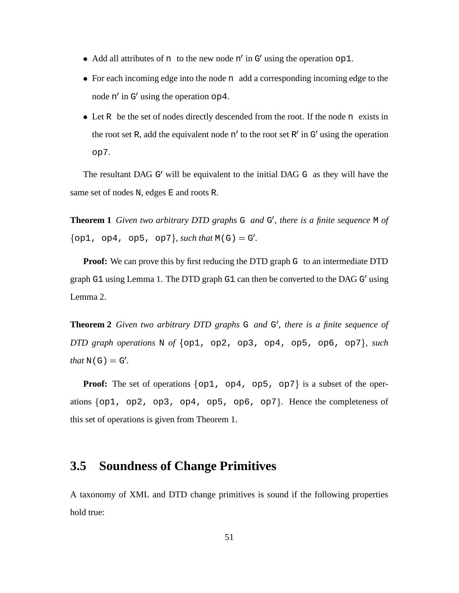- Add all attributes of n to the new node  $n'$  in  $G'$  using the operation  $op1$ .
- For each incoming edge into the node n add a corresponding incoming edge to the node  $n'$  in G' using the operation  $op4$ .
- Let R be the set of nodes directly descended from the root. If the node n exists in the root set R, add the equivalent node  $n'$  to the root set R' in G' using the operation op7.

The resultant DAG  $G'$  will be equivalent to the initial DAG  $G$  as they will have the same set of nodes N, edges E and roots R.

**Theorem 1** *Given two arbitrary DTD graphs* G *and* G *, there is a finite sequence* M *of*  $\{ \text{op1, op4, op5, op7} \}$ , *such that*  $M(G) = G'.$ 

**Proof:** We can prove this by first reducing the DTD graph G to an intermediate DTD graph G1 using Lemma 1. The DTD graph G1 can then be converted to the DAG G' using Lemma 2.

**Theorem 2** *Given two arbitrary DTD graphs* G *and* G *, there is a finite sequence of DTD* graph *operations* N *of*  $\{op1, op2, op3, op4, op5, op6, op7\}$ , *such*  $that N(G) = G'.$ 

**Proof:** The set of operations  $\{op1, op4, op5, op7\}$  is a subset of the operations  $\{ op1, op2, op3, op4, op5, op6, op7 \}$ . Hence the completeness of this set of operations is given from Theorem 1.

## **3.5 Soundness of Change Primitives**

A taxonomy of XML and DTD change primitives is sound if the following properties hold true: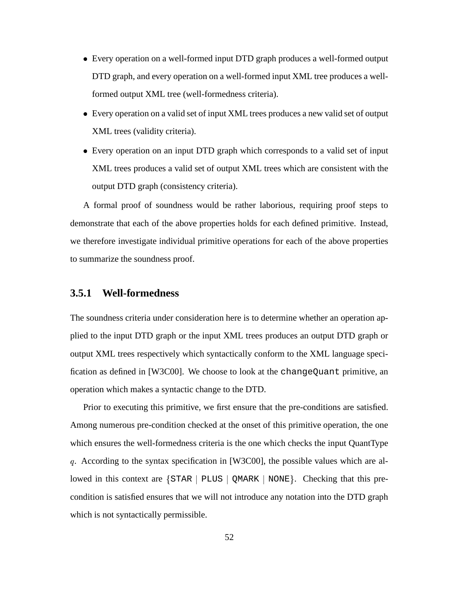- ) Every operation on a well-formed input DTD graph produces a well-formed output DTD graph, and every operation on a well-formed input XML tree produces a wellformed output XML tree (well-formedness criteria).
- ) Every operation on a valid set of input XML trees produces a new valid set of output XML trees (validity criteria).
- ) Every operation on an input DTD graph which corresponds to a valid set of input XML trees produces a valid set of output XML trees which are consistent with the output DTD graph (consistency criteria).

A formal proof of soundness would be rather laborious, requiring proof steps to demonstrate that each of the above properties holds for each defined primitive. Instead, we therefore investigate individual primitive operations for each of the above properties to summarize the soundness proof.

## **3.5.1 Well-formedness**

The soundness criteria under consideration here is to determine whether an operation applied to the input DTD graph or the input XML trees produces an output DTD graph or output XML trees respectively which syntactically conform to the XML language specification as defined in [W3C00]. We choose to look at the changeQuant primitive, an operation which makes a syntactic change to the DTD.

Prior to executing this primitive, we first ensure that the pre-conditions are satisfied. Among numerous pre-condition checked at the onset of this primitive operation, the one which ensures the well-formedness criteria is the one which checks the input QuantType . According to the syntax specification in [W3C00], the possible values which are allowed in this context are  $\{STAR \mid PLUS \mid QMARK \mid NONE\}$ . Checking that this precondition is satisfied ensures that we will not introduce any notation into the DTD graph which is not syntactically permissible.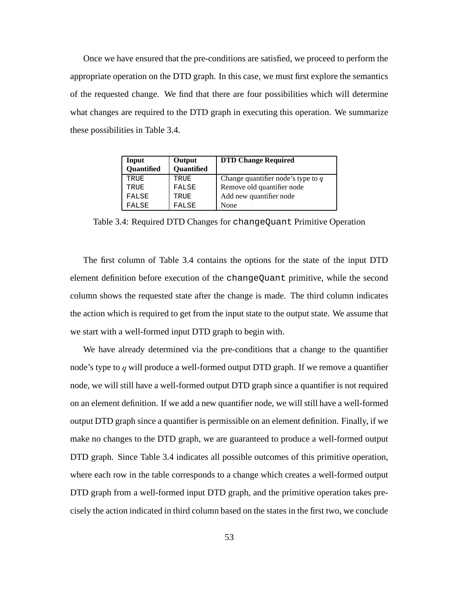Once we have ensured that the pre-conditions are satisfied, we proceed to perform the appropriate operation on the DTD graph. In this case, we must first explore the semantics of the requested change. We find that there are four possibilities which will determine what changes are required to the DTD graph in executing this operation. We summarize these possibilities in Table 3.4.

| Input      | Output            | <b>DTD Change Required</b>           |
|------------|-------------------|--------------------------------------|
| Quantified | <b>Quantified</b> |                                      |
| TRUE       | TRUE              | Change quantifier node's type to $q$ |
| TRUE       | FALSE             | Remove old quantifier node           |
| FALSE      | TRUE              | Add new quantifier node              |
| FALSE      | FALSE             | None                                 |

Table 3.4: Required DTD Changes for changeQuant Primitive Operation

The first column of Table 3.4 contains the options for the state of the input DTD element definition before execution of the changeQuant primitive, while the second column shows the requested state after the change is made. The third column indicates the action which is required to get from the input state to the output state. We assume that we start with a well-formed input DTD graph to begin with.

We have already determined via the pre-conditions that a change to the quantifier node's type to  $q$  will produce a well-formed output DTD graph. If we remove a quantifier node, we will still have a well-formed output DTD graph since a quantifier is not required on an element definition. If we add a new quantifier node, we will still have a well-formed output DTD graph since a quantifier is permissible on an element definition. Finally, if we make no changes to the DTD graph, we are guaranteed to produce a well-formed output DTD graph. Since Table 3.4 indicates all possible outcomes of this primitive operation, where each row in the table corresponds to a change which creates a well-formed output DTD graph from a well-formed input DTD graph, and the primitive operation takes precisely the action indicated in third column based on the states in the first two, we conclude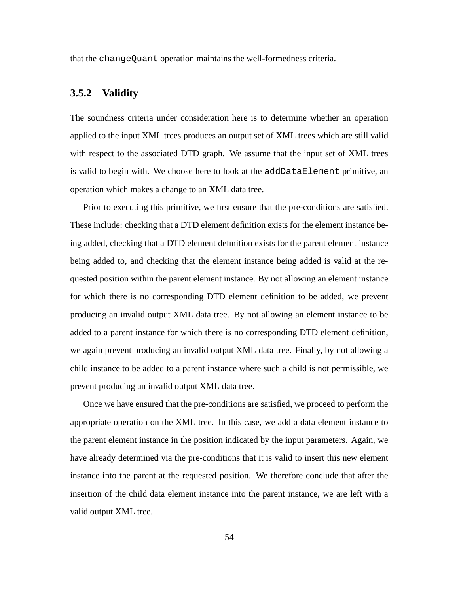that the changeQuant operation maintains the well-formedness criteria.

## **3.5.2 Validity**

The soundness criteria under consideration here is to determine whether an operation applied to the input XML trees produces an output set of XML trees which are still valid with respect to the associated DTD graph. We assume that the input set of XML trees is valid to begin with. We choose here to look at the addDataElement primitive, an operation which makes a change to an XML data tree.

Prior to executing this primitive, we first ensure that the pre-conditions are satisfied. These include: checking that a DTD element definition exists for the element instance being added, checking that a DTD element definition exists for the parent element instance being added to, and checking that the element instance being added is valid at the requested position within the parent element instance. By not allowing an element instance for which there is no corresponding DTD element definition to be added, we prevent producing an invalid output XML data tree. By not allowing an element instance to be added to a parent instance for which there is no corresponding DTD element definition, we again prevent producing an invalid output XML data tree. Finally, by not allowing a child instance to be added to a parent instance where such a child is not permissible, we prevent producing an invalid output XML data tree.

Once we have ensured that the pre-conditions are satisfied, we proceed to perform the appropriate operation on the XML tree. In this case, we add a data element instance to the parent element instance in the position indicated by the input parameters. Again, we have already determined via the pre-conditions that it is valid to insert this new element instance into the parent at the requested position. We therefore conclude that after the insertion of the child data element instance into the parent instance, we are left with a valid output XML tree.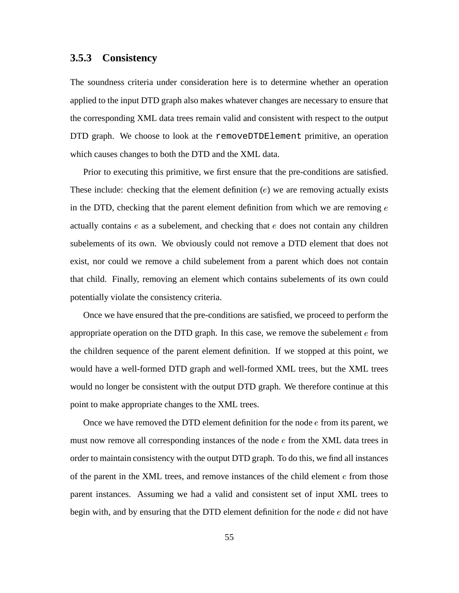## **3.5.3 Consistency**

The soundness criteria under consideration here is to determine whether an operation applied to the input DTD graph also makes whatever changes are necessary to ensure that the corresponding XML data trees remain valid and consistent with respect to the output DTD graph. We choose to look at the removeDTDElement primitive, an operation which causes changes to both the DTD and the XML data.

Prior to executing this primitive, we first ensure that the pre-conditions are satisfied. These include: checking that the element definition  $(e)$  we are removing actually exists in the DTD, checking that the parent element definition from which we are removing  $e$ actually contains  $e$  as a subelement, and checking that  $e$  does not contain any children subelements of its own. We obviously could not remove a DTD element that does not exist, nor could we remove a child subelement from a parent which does not contain that child. Finally, removing an element which contains subelements of its own could potentially violate the consistency criteria.

Once we have ensured that the pre-conditions are satisfied, we proceed to perform the appropriate operation on the DTD graph. In this case, we remove the subelement  $e$  from the children sequence of the parent element definition. If we stopped at this point, we would have a well-formed DTD graph and well-formed XML trees, but the XML trees would no longer be consistent with the output DTD graph. We therefore continue at this point to make appropriate changes to the XML trees.

Once we have removed the DTD element definition for the node  $e$  from its parent, we must now remove all corresponding instances of the node  $e$  from the XML data trees in order to maintain consistency with the output DTD graph. To do this, we find all instances of the parent in the XML trees, and remove instances of the child element  $e$  from those parent instances. Assuming we had a valid and consistent set of input XML trees to begin with, and by ensuring that the DTD element definition for the node  $e$  did not have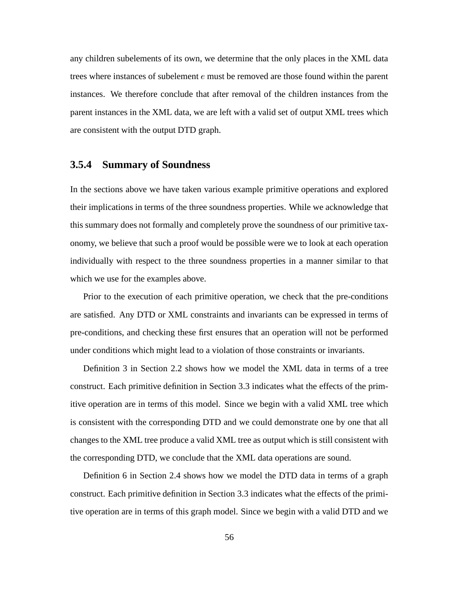any children subelements of its own, we determine that the only places in the XML data trees where instances of subelement  $e$  must be removed are those found within the parent instances. We therefore conclude that after removal of the children instances from the parent instances in the XML data, we are left with a valid set of output XML trees which are consistent with the output DTD graph.

## **3.5.4 Summary of Soundness**

In the sections above we have taken various example primitive operations and explored their implications in terms of the three soundness properties. While we acknowledge that this summary does not formally and completely prove the soundness of our primitive taxonomy, we believe that such a proof would be possible were we to look at each operation individually with respect to the three soundness properties in a manner similar to that which we use for the examples above.

Prior to the execution of each primitive operation, we check that the pre-conditions are satisfied. Any DTD or XML constraints and invariants can be expressed in terms of pre-conditions, and checking these first ensures that an operation will not be performed under conditions which might lead to a violation of those constraints or invariants.

Definition 3 in Section 2.2 shows how we model the XML data in terms of a tree construct. Each primitive definition in Section 3.3 indicates what the effects of the primitive operation are in terms of this model. Since we begin with a valid XML tree which is consistent with the corresponding DTD and we could demonstrate one by one that all changes to the XML tree produce a valid XML tree as output which is still consistent with the corresponding DTD, we conclude that the XML data operations are sound.

Definition 6 in Section 2.4 shows how we model the DTD data in terms of a graph construct. Each primitive definition in Section 3.3 indicates what the effects of the primitive operation are in terms of this graph model. Since we begin with a valid DTD and we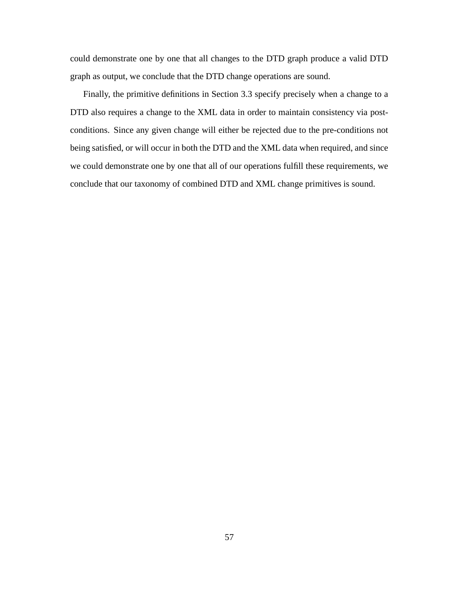could demonstrate one by one that all changes to the DTD graph produce a valid DTD graph as output, we conclude that the DTD change operations are sound.

Finally, the primitive definitions in Section 3.3 specify precisely when a change to a DTD also requires a change to the XML data in order to maintain consistency via postconditions. Since any given change will either be rejected due to the pre-conditions not being satisfied, or will occur in both the DTD and the XML data when required, and since we could demonstrate one by one that all of our operations fulfill these requirements, we conclude that our taxonomy of combined DTD and XML change primitives is sound.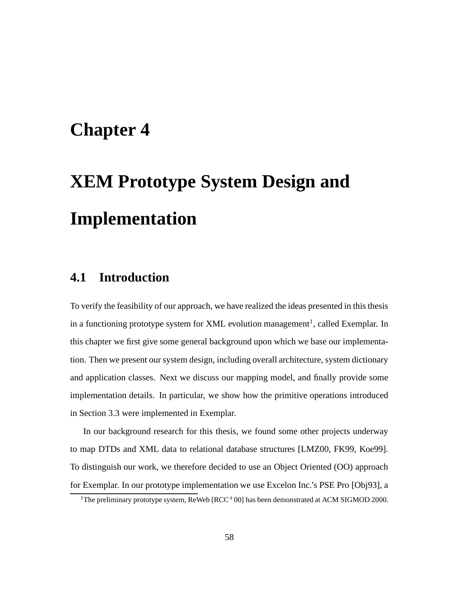## **Chapter 4**

# **XEM Prototype System Design and Implementation**

## **4.1 Introduction**

To verify the feasibility of our approach, we have realized the ideas presented in this thesis in a functioning prototype system for XML evolution management<sup>1</sup>, called Exemplar. In this chapter we first give some general background upon which we base our implementation. Then we present oursystem design, including overall architecture, system dictionary and application classes. Next we discuss our mapping model, and finally provide some implementation details. In particular, we show how the primitive operations introduced in Section 3.3 were implemented in Exemplar.

In our background research for this thesis, we found some other projects underway to map DTDs and XML data to relational database structures [LMZ00, FK99, Koe99]. To distinguish our work, we therefore decided to use an Object Oriented (OO) approach for Exemplar. In our prototype implementation we use Excelon Inc.'s PSE Pro [Obj93], a

<sup>&</sup>lt;sup>1</sup>The preliminary prototype system, ReWeb [RCC<sup>+</sup>00] has been demonstrated at ACM SIGMOD 2000.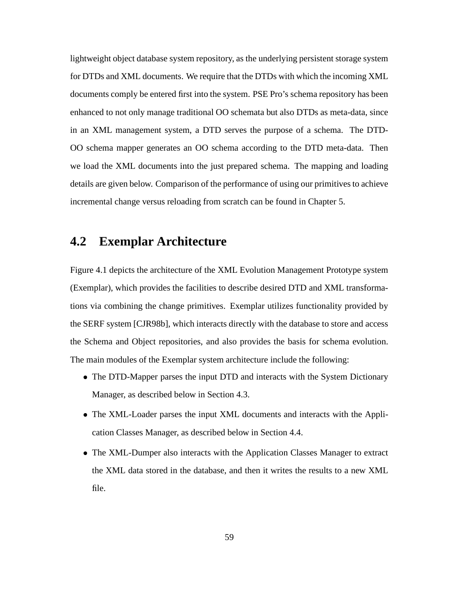lightweight object database system repository, as the underlying persistent storage system for DTDs and XML documents. We require that the DTDs with which the incoming XML documents comply be entered first into the system. PSE Pro's schema repository has been enhanced to not only manage traditional OO schemata but also DTDs as meta-data, since in an XML management system, a DTD serves the purpose of a schema. The DTD-OO schema mapper generates an OO schema according to the DTD meta-data. Then we load the XML documents into the just prepared schema. The mapping and loading details are given below. Comparison of the performance of using our primitives to achieve incremental change versus reloading from scratch can be found in Chapter 5.

## **4.2 Exemplar Architecture**

Figure 4.1 depicts the architecture of the XML Evolution Management Prototype system (Exemplar), which provides the facilities to describe desired DTD and XML transformations via combining the change primitives. Exemplar utilizes functionality provided by the SERF system [CJR98b], which interacts directly with the database to store and access the Schema and Object repositories, and also provides the basis for schema evolution. The main modules of the Exemplar system architecture include the following:

- ) The DTD-Mapper parses the input DTD and interacts with the System Dictionary Manager, as described below in Section 4.3.
- ) The XML-Loader parses the input XML documents and interacts with the Application Classes Manager, as described below in Section 4.4.
- ) The XML-Dumper also interacts with the Application Classes Manager to extract the XML data stored in the database, and then it writes the results to a new XML file.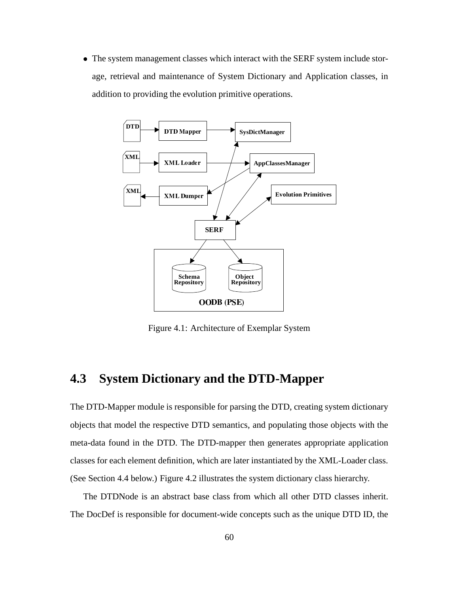) The system management classes which interact with the SERF system include storage, retrieval and maintenance of System Dictionary and Application classes, in addition to providing the evolution primitive operations.



Figure 4.1: Architecture of Exemplar System

## **4.3 System Dictionary and the DTD-Mapper**

The DTD-Mapper module is responsible for parsing the DTD, creating system dictionary objects that model the respective DTD semantics, and populating those objects with the meta-data found in the DTD. The DTD-mapper then generates appropriate application classes for each element definition, which are later instantiated by the XML-Loader class. (See Section 4.4 below.) Figure 4.2 illustrates the system dictionary class hierarchy.

The DTDNode is an abstract base class from which all other DTD classes inherit. The DocDef is responsible for document-wide concepts such as the unique DTD ID, the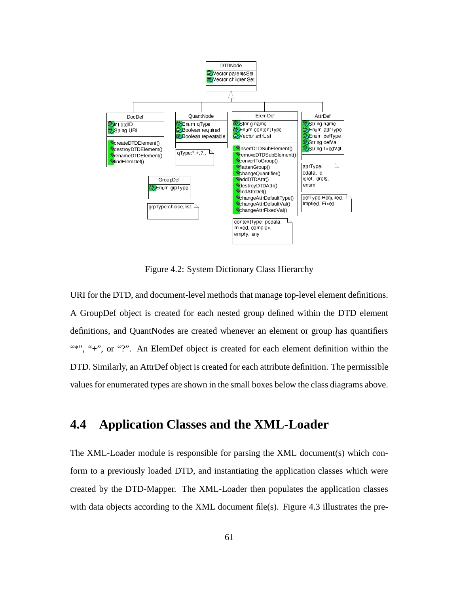

Figure 4.2: System Dictionary Class Hierarchy

URI for the DTD, and document-level methods that manage top-level element definitions. A GroupDef object is created for each nested group defined within the DTD element definitions, and QuantNodes are created whenever an element or group has quantifiers "\*", "+", or "?". An ElemDef object is created for each element definition within the DTD. Similarly, an AttrDef object is created for each attribute definition. The permissible values for enumerated types are shown in the small boxes below the class diagrams above.

## **4.4 Application Classes and the XML-Loader**

The XML-Loader module is responsible for parsing the XML document(s) which conform to a previously loaded DTD, and instantiating the application classes which were created by the DTD-Mapper. The XML-Loader then populates the application classes with data objects according to the XML document file(s). Figure 4.3 illustrates the pre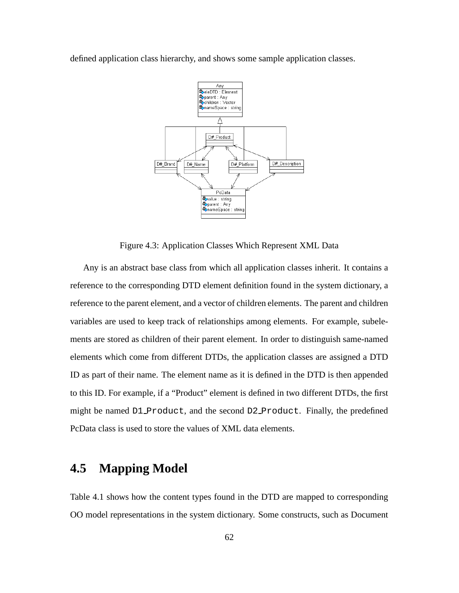defined application class hierarchy, and shows some sample application classes.



Figure 4.3: Application Classes Which Represent XML Data

Any is an abstract base class from which all application classes inherit. It contains a reference to the corresponding DTD element definition found in the system dictionary, a reference to the parent element, and a vector of children elements. The parent and children variables are used to keep track of relationships among elements. For example, subelements are stored as children of their parent element. In order to distinguish same-named elements which come from different DTDs, the application classes are assigned a DTD ID as part of their name. The element name as it is defined in the DTD is then appended to this ID. For example, if a "Product" element is defined in two different DTDs, the first might be named D1\_Product, and the second D2\_Product. Finally, the predefined PcData class is used to store the values of XML data elements.

## **4.5 Mapping Model**

Table 4.1 shows how the content types found in the DTD are mapped to corresponding OO model representations in the system dictionary. Some constructs, such as Document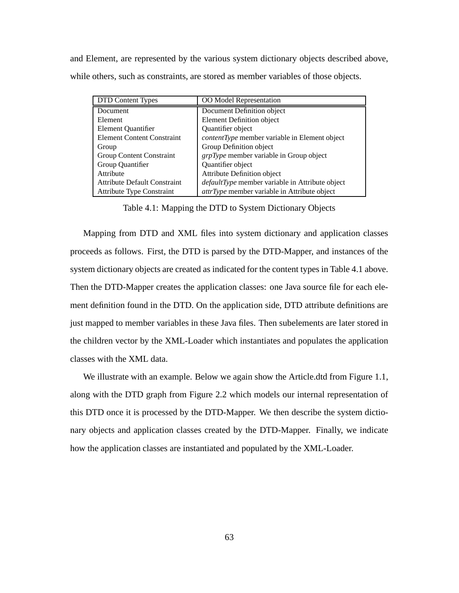and Element, are represented by the various system dictionary objects described above, while others, such as constraints, are stored as member variables of those objects.

| <b>DTD Content Types</b>            | OO Model Representation                                |
|-------------------------------------|--------------------------------------------------------|
| Document                            | Document Definition object                             |
| Element                             | Element Definition object                              |
| Element Quantifier                  | Quantifier object                                      |
| <b>Element Content Constraint</b>   | <i>contentType</i> member variable in Element object   |
| Group                               | Group Definition object                                |
| <b>Group Content Constraint</b>     | $grpType$ member variable in Group object              |
| Group Quantifier                    | Quantifier object                                      |
| Attribute                           | <b>Attribute Definition object</b>                     |
| <b>Attribute Default Constraint</b> | <i>defaultType</i> member variable in Attribute object |
| <b>Attribute Type Constraint</b>    | <i>attrType</i> member variable in Attribute object    |

Table 4.1: Mapping the DTD to System Dictionary Objects

Mapping from DTD and XML files into system dictionary and application classes proceeds as follows. First, the DTD is parsed by the DTD-Mapper, and instances of the system dictionary objects are created as indicated for the content types in Table 4.1 above. Then the DTD-Mapper creates the application classes: one Java source file for each element definition found in the DTD. On the application side, DTD attribute definitions are just mapped to member variables in these Java files. Then subelements are later stored in the children vector by the XML-Loader which instantiates and populates the application classes with the XML data.

We illustrate with an example. Below we again show the Article.dtd from Figure 1.1, along with the DTD graph from Figure 2.2 which models our internal representation of this DTD once it is processed by the DTD-Mapper. We then describe the system dictionary objects and application classes created by the DTD-Mapper. Finally, we indicate how the application classes are instantiated and populated by the XML-Loader.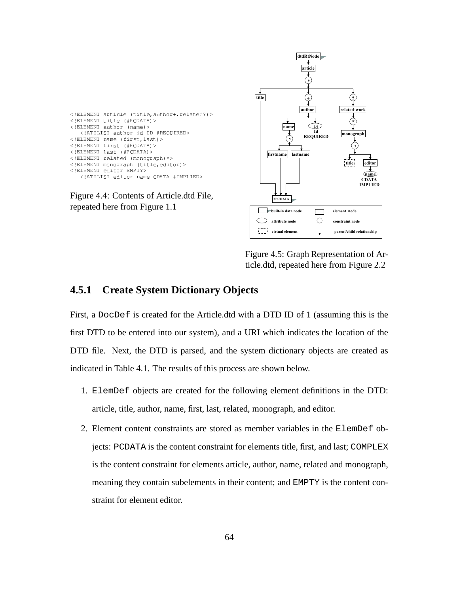| ELEMENT article (title, author+, related?) |
|--------------------------------------------|
| ELEMENT title (#PCDATA)                    |
| ELEMENT author (name)                      |
| ATTLIST author id ID #REQUIRED             |
| ELEMENT name (first, last)                 |
| ELEMENT first (#PCDATA)                    |
| ELEMENT last (#PCDATA)                     |
| ELEMENT related (monograph) *              |
| ELEMENT monograph (title, editor)          |
| ELEMENT editor EMPTY                       |
| ATTLIST editor name CDATA #IMPLIED         |
|                                            |

Figure 4.4: Contents of Article.dtd File, repeated here from Figure 1.1



Figure 4.5: Graph Representation of Article.dtd, repeated here from Figure 2.2

## **4.5.1 Create System Dictionary Objects**

First, a DocDef is created for the Article.dtd with a DTD ID of 1 (assuming this is the first DTD to be entered into our system), and a URI which indicates the location of the DTD file. Next, the DTD is parsed, and the system dictionary objects are created as indicated in Table 4.1. The results of this process are shown below.

- 1. ElemDef objects are created for the following element definitions in the DTD: article, title, author, name, first, last, related, monograph, and editor.
- 2. Element content constraints are stored as member variables in the ElemDef objects: PCDATA is the content constraint for elements title, first, and last; COMPLEX is the content constraint for elements article, author, name, related and monograph, meaning they contain subelements in their content; and EMPTY is the content constraint for element editor.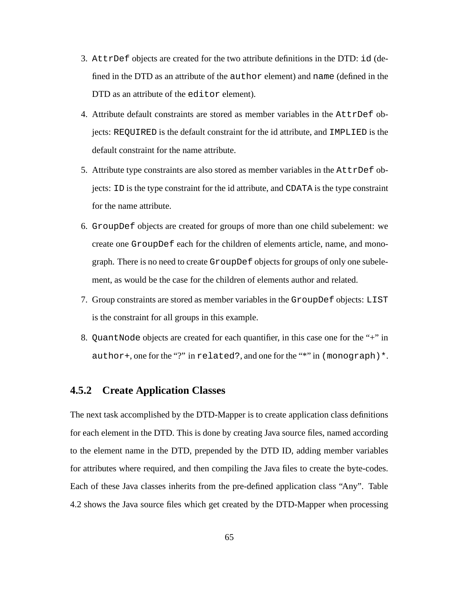- 3. AttrDef objects are created for the two attribute definitions in the DTD: id (defined in the DTD as an attribute of the author element) and name (defined in the DTD as an attribute of the editor element).
- 4. Attribute default constraints are stored as member variables in the AttrDef objects: REQUIRED is the default constraint for the id attribute, and IMPLIED is the default constraint for the name attribute.
- 5. Attribute type constraints are also stored as member variables in the AttrDef objects: ID is the type constraint for the id attribute, and CDATA is the type constraint for the name attribute.
- 6. GroupDef objects are created for groups of more than one child subelement: we create one GroupDef each for the children of elements article, name, and monograph. There is no need to create GroupDef objects for groups of only one subelement, as would be the case for the children of elements author and related.
- 7. Group constraints are stored as member variables in the GroupDef objects: LIST is the constraint for all groups in this example.
- 8. QuantNode objects are created for each quantifier, in this case one for the "+" in author+, one for the "?" in related?, and one for the "\*" in (monograph) \*.

#### **4.5.2 Create Application Classes**

The next task accomplished by the DTD-Mapper is to create application class definitions for each element in the DTD. This is done by creating Java source files, named according to the element name in the DTD, prepended by the DTD ID, adding member variables for attributes where required, and then compiling the Java files to create the byte-codes. Each of these Java classes inherits from the pre-defined application class "Any". Table 4.2 shows the Java source files which get created by the DTD-Mapper when processing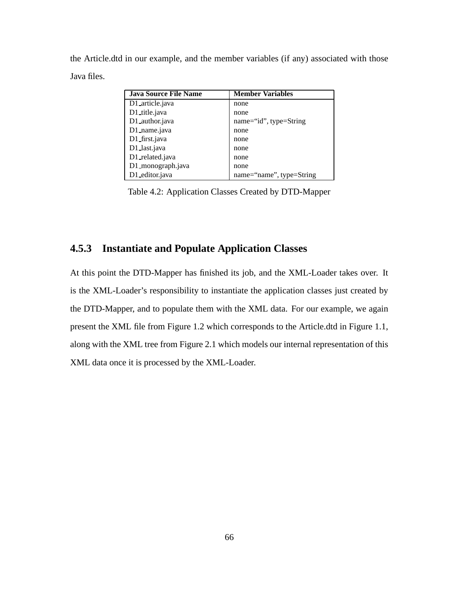the Article.dtd in our example, and the member variables (if any) associated with those Java files.

| <b>Java Source File Name</b> | <b>Member Variables</b>  |
|------------------------------|--------------------------|
| D1_article.java              | none                     |
| D1_title.java                | none                     |
| D1_author.java               | name="id", type=String   |
| D1_name.java                 | none                     |
| D1_first.java                | none                     |
| D1_last.java                 | none                     |
| D1_related.java              | none                     |
| D1_monograph.java            | none                     |
| D1_editor.java               | name="name", type=String |

Table 4.2: Application Classes Created by DTD-Mapper

## **4.5.3 Instantiate and Populate Application Classes**

At this point the DTD-Mapper has finished its job, and the XML-Loader takes over. It is the XML-Loader's responsibility to instantiate the application classes just created by the DTD-Mapper, and to populate them with the XML data. For our example, we again present the XML file from Figure 1.2 which corresponds to the Article.dtd in Figure 1.1, along with the XML tree from Figure 2.1 which models our internal representation of this XML data once it is processed by the XML-Loader.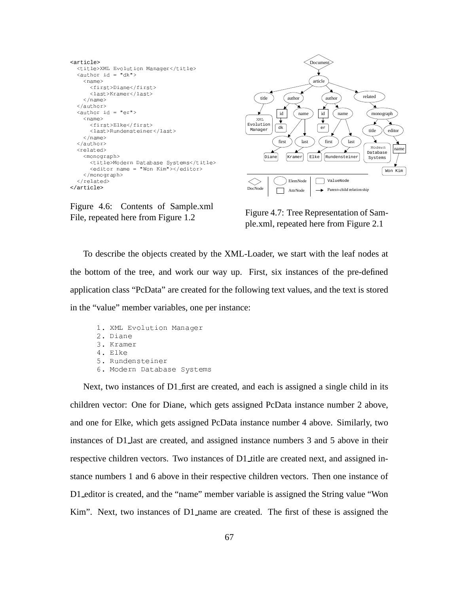```
<article> <title>XML Evolution Manager</title>
  \langle \text{author id} = "dk" \rangle<name><first>Diane</first>
       <last>Kramer</last>
    \langle/name>
  </author>
  \langle \text{author id} = "er" \rangle<name>
       <first>Elke</first>
       <last>Rundensteiner</last>
    \langle/name>
  \langle /author>
  <related>
    <monograph>
       <title>Modern Database Systems</title>
       <editor name = "Won Kim"></editor>
    </monograph>
  \langle/related>
</article>
```


Figure 4.6: Contents of Sample.xml File, repeated here from Figure 1.2

Figure 4.7: Tree Representation of Sample.xml, repeated here from Figure 2.1

To describe the objects created by the XML-Loader, we start with the leaf nodes at the bottom of the tree, and work our way up. First, six instances of the pre-defined application class "PcData" are created for the following text values, and the text is stored in the "value" member variables, one per instance:

```
1. XML Evolution Manager
; #&<*3(754*9
3. Kramer
4. Elke
5. Rundensteiner
6. Modern Database Systems
```
Next, two instances of  $D1$  first are created, and each is assigned a single child in its children vector: One for Diane, which gets assigned PcData instance number 2 above, and one for Elke, which gets assigned PcData instance number 4 above. Similarly, two instances of D1 last are created, and assigned instance numbers 3 and 5 above in their respective children vectors. Two instances of D1 title are created next, and assigned instance numbers 1 and 6 above in their respective children vectors. Then one instance of D1 editor is created, and the "name" member variable is assigned the String value "Won Kim". Next, two instances of D1 name are created. The first of these is assigned the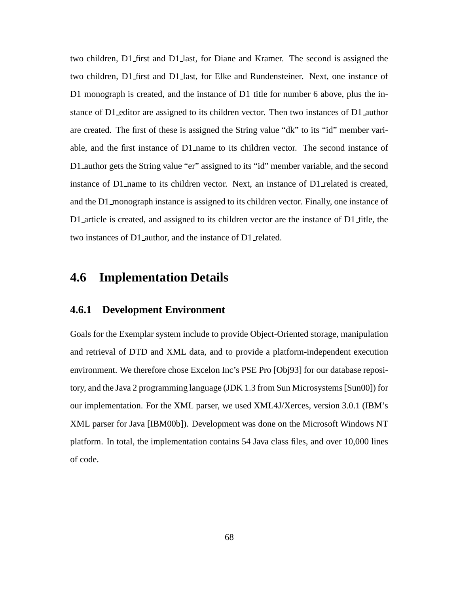two children, D1 first and D1 last, for Diane and Kramer. The second is assigned the two children, D1 first and D1 last, for Elke and Rundensteiner. Next, one instance of D1\_monograph is created, and the instance of D1\_title for number 6 above, plus the instance of D1 editor are assigned to its children vector. Then two instances of D1 author are created. The first of these is assigned the String value "dk" to its "id" member variable, and the first instance of D1 name to its children vector. The second instance of D1\_author gets the String value "er" assigned to its "id" member variable, and the second instance of D1 name to its children vector. Next, an instance of D1 related is created, and the D1 monograph instance is assigned to its children vector. Finally, one instance of D1 article is created, and assigned to its children vector are the instance of D1 title, the two instances of D1 author, and the instance of D1 related.

## **4.6 Implementation Details**

### **4.6.1 Development Environment**

Goals for the Exemplar system include to provide Object-Oriented storage, manipulation and retrieval of DTD and XML data, and to provide a platform-independent execution environment. We therefore chose Excelon Inc's PSE Pro [Obj93] for our database repository, and the Java 2 programming language (JDK 1.3 from Sun Microsystems[Sun00]) for our implementation. For the XML parser, we used XML4J/Xerces, version 3.0.1 (IBM's XML parser for Java [IBM00b]). Development was done on the Microsoft Windows NT platform. In total, the implementation contains 54 Java class files, and over 10,000 lines of code.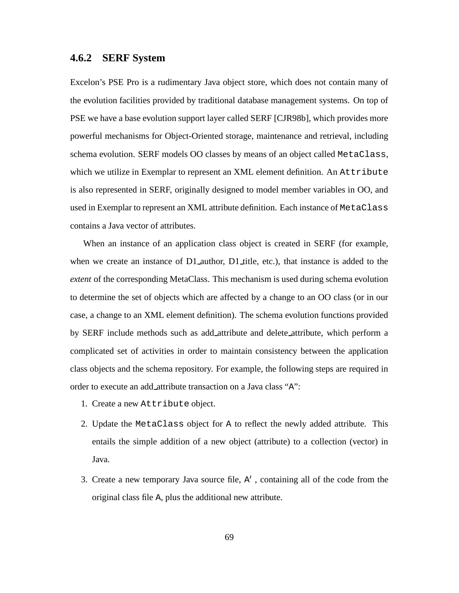#### **4.6.2 SERF System**

Excelon's PSE Pro is a rudimentary Java object store, which does not contain many of the evolution facilities provided by traditional database management systems. On top of PSE we have a base evolution support layer called SERF [CJR98b], which provides more powerful mechanisms for Object-Oriented storage, maintenance and retrieval, including schema evolution. SERF models OO classes by means of an object called MetaClass, which we utilize in Exemplar to represent an XML element definition. An  $Attribute$ is also represented in SERF, originally designed to model member variables in OO, and used in Exemplar to represent an XML attribute definition. Each instance of MetaClass contains a Java vector of attributes.

When an instance of an application class object is created in SERF (for example, when we create an instance of  $D1$  author,  $D1$  title, etc.), that instance is added to the *extent* of the corresponding MetaClass. This mechanism is used during schema evolution to determine the set of objects which are affected by a change to an OO class (or in our case, a change to an XML element definition). The schema evolution functions provided by SERF include methods such as add attribute and delete attribute, which perform a complicated set of activities in order to maintain consistency between the application class objects and the schema repository. For example, the following steps are required in order to execute an add attribute transaction on a Java class "A":

- 1. Create a new Attribute object.
- 2. Update the MetaClass object for A to reflect the newly added attribute. This entails the simple addition of a new object (attribute) to a collection (vector) in Java.
- 3. Create a new temporary Java source file,  $A'$ , containing all of the code from the original class file A, plus the additional new attribute.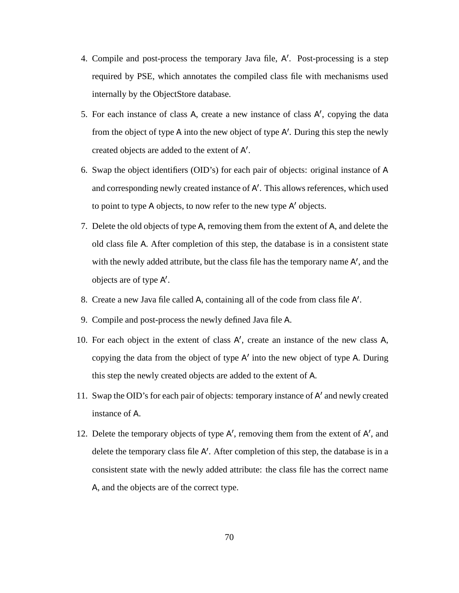- 4. Compile and post-process the temporary Java file, A'. Post-processing is a step required by PSE, which annotates the compiled class file with mechanisms used internally by the ObjectStore database.
- 5. For each instance of class A, create a new instance of class A', copying the data from the object of type A into the new object of type A'. During this step the newly created objects are added to the extent of  $A'$ .
- 6. Swap the object identifiers (OID's) for each pair of objects: original instance of A and corresponding newly created instance of A'. This allows references, which used to point to type A objects, to now refer to the new type  $A'$  objects.
- 7. Delete the old objects of type A, removing them from the extent of A, and delete the old class file A. After completion of this step, the database is in a consistent state with the newly added attribute, but the class file has the temporary name A', and the objects are of type A .
- 8. Create a new Java file called A, containing all of the code from class file A .
- 9. Compile and post-process the newly defined Java file A.
- 10. For each object in the extent of class  $A'$ , create an instance of the new class  $A$ , copying the data from the object of type  $A'$  into the new object of type A. During this step the newly created objects are added to the extent of A.
- 11. Swap the OID's for each pair of objects: temporary instance of A' and newly created instance of A.
- 12. Delete the temporary objects of type  $A'$ , removing them from the extent of  $A'$ , and delete the temporary class file  $A'$ . After completion of this step, the database is in a consistent state with the newly added attribute: the class file has the correct name A, and the objects are of the correct type.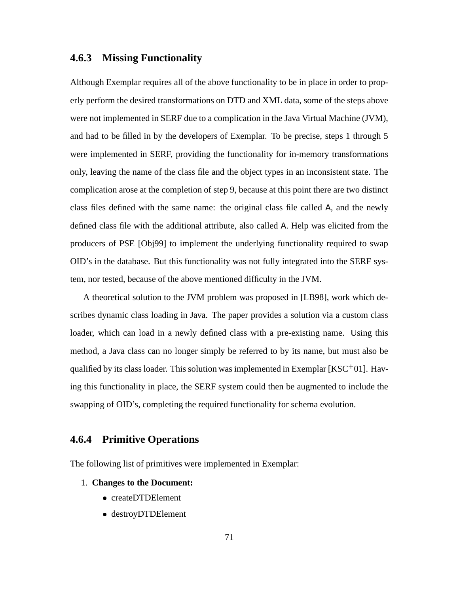#### **4.6.3 Missing Functionality**

Although Exemplar requires all of the above functionality to be in place in order to properly perform the desired transformations on DTD and XML data, some of the steps above were not implemented in SERF due to a complication in the Java Virtual Machine (JVM), and had to be filled in by the developers of Exemplar. To be precise, steps 1 through 5 were implemented in SERF, providing the functionality for in-memory transformations only, leaving the name of the class file and the object types in an inconsistent state. The complication arose at the completion of step 9, because at this point there are two distinct class files defined with the same name: the original class file called A, and the newly defined class file with the additional attribute, also called A. Help was elicited from the producers of PSE [Obj99] to implement the underlying functionality required to swap OID's in the database. But this functionality was not fully integrated into the SERF system, nor tested, because of the above mentioned difficulty in the JVM.

A theoretical solution to the JVM problem was proposed in [LB98], work which describes dynamic class loading in Java. The paper provides a solution via a custom class loader, which can load in a newly defined class with a pre-existing name. Using this method, a Java class can no longer simply be referred to by its name, but must also be qualified by its class loader. This solution was implemented in Exemplar [KSC<sup>+</sup>01]. Having this functionality in place, the SERF system could then be augmented to include the swapping of OID's, completing the required functionality for schema evolution.

### **4.6.4 Primitive Operations**

The following list of primitives were implemented in Exemplar:

#### 1. **Changes to the Document:**

- ) createDTDElement
- ) destroyDTDElement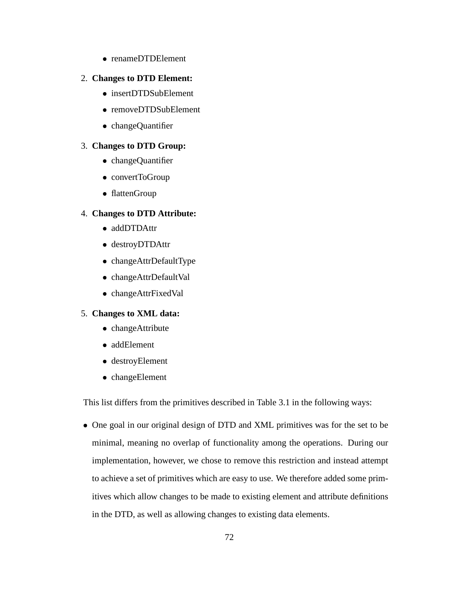) renameDTDElement

#### 2. **Changes to DTD Element:**

- ) insertDTDSubElement
- ) removeDTDSubElement
- changeQuantifier

#### 3. **Changes to DTD Group:**

- ) changeQuantifier
- convertToGroup
- flattenGroup

#### 4. **Changes to DTD Attribute:**

- addDTDAttr
- destroyDTDAttr
- ) changeAttrDefaultType
- ) changeAttrDefaultVal
- ) changeAttrFixedVal

#### 5. **Changes to XML data:**

- changeAttribute
- ) addElement
- ) destroyElement
- ) changeElement

This list differs from the primitives described in Table 3.1 in the following ways:

) One goal in our original design of DTD and XML primitives was for the set to be minimal, meaning no overlap of functionality among the operations. During our implementation, however, we chose to remove this restriction and instead attempt to achieve a set of primitives which are easy to use. We therefore added some primitives which allow changes to be made to existing element and attribute definitions in the DTD, as well as allowing changes to existing data elements.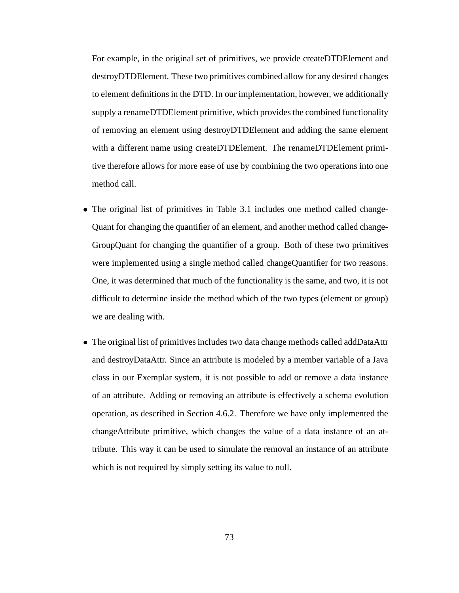For example, in the original set of primitives, we provide createDTDElement and destroyDTDElement. These two primitives combined allow for any desired changes to element definitions in the DTD. In our implementation, however, we additionally supply a renameDTDE lement primitive, which provides the combined functionality of removing an element using destroyDTDElement and adding the same element with a different name using createDTDElement. The renameDTDElement primitive therefore allows for more ease of use by combining the two operations into one method call.

- ) The original list of primitives in Table 3.1 includes one method called change-Quant for changing the quantifier of an element, and another method called change-GroupQuant for changing the quantifier of a group. Both of these two primitives were implemented using a single method called changeQuantifier for two reasons. One, it was determined that much of the functionality is the same, and two, it is not difficult to determine inside the method which of the two types (element or group) we are dealing with.
- The original list of primitives includes two data change methods called addDataAttr and destroyDataAttr. Since an attribute is modeled by a member variable of a Java class in our Exemplar system, it is not possible to add or remove a data instance of an attribute. Adding or removing an attribute is effectively a schema evolution operation, as described in Section 4.6.2. Therefore we have only implemented the changeAttribute primitive, which changes the value of a data instance of an attribute. This way it can be used to simulate the removal an instance of an attribute which is not required by simply setting its value to null.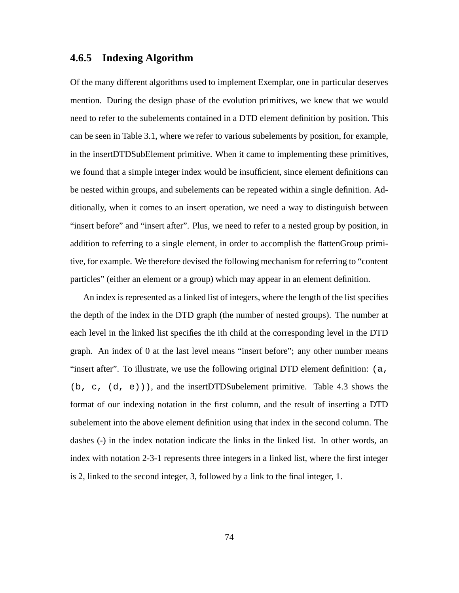### **4.6.5 Indexing Algorithm**

Of the many different algorithms used to implement Exemplar, one in particular deserves mention. During the design phase of the evolution primitives, we knew that we would need to refer to the subelements contained in a DTD element definition by position. This can be seen in Table 3.1, where we refer to various subelements by position, for example, in the insertDTDSubElement primitive. When it came to implementing these primitives, we found that a simple integer index would be insufficient, since element definitions can be nested within groups, and subelements can be repeated within a single definition. Additionally, when it comes to an insert operation, we need a way to distinguish between "insert before" and "insert after". Plus, we need to refer to a nested group by position, in addition to referring to a single element, in order to accomplish the flattenGroup primitive, for example. We therefore devised the following mechanism for referring to "content particles" (either an element or a group) which may appear in an element definition.

An index is represented as a linked list of integers, where the length of the list specifies the depth of the index in the DTD graph (the number of nested groups). The number at each level in the linked list specifies the ith child at the corresponding level in the DTD graph. An index of 0 at the last level means "insert before"; any other number means "insert after". To illustrate, we use the following original DTD element definition: (a,  $(b, c, (d, e))$ , and the insertDTDSubelement primitive. Table 4.3 shows the format of our indexing notation in the first column, and the result of inserting a DTD subelement into the above element definition using that index in the second column. The dashes (-) in the index notation indicate the links in the linked list. In other words, an index with notation 2-3-1 represents three integers in a linked list, where the first integer is 2, linked to the second integer, 3, followed by a link to the final integer, 1.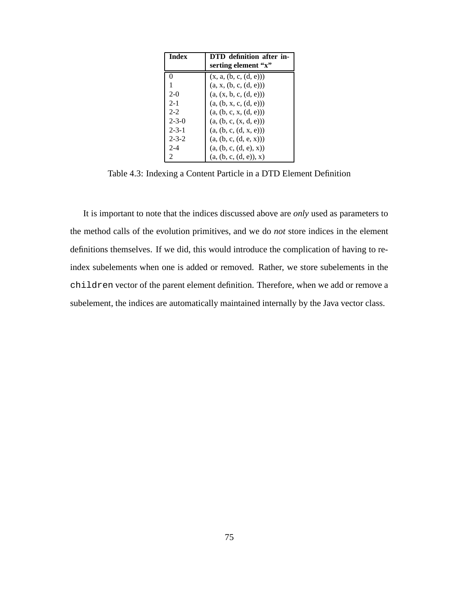| Index       | DTD definition after in- |
|-------------|--------------------------|
|             | serting element "x"      |
| 0           | (x, a, (b, c, (d, e)))   |
| 1           | (a, x, (b, c, (d, e)))   |
| $2-0$       | (a, (x, b, c, (d, e)))   |
| $2 - 1$     | (a, (b, x, c, (d, e)))   |
| $2 - 2$     | (a, (b, c, x, (d, e)))   |
| $2 - 3 - 0$ | (a, (b, c, (x, d, e)))   |
| $2 - 3 - 1$ | (a, (b, c, (d, x, e)))   |
| $2 - 3 - 2$ | (a, (b, c, (d, e, x)))   |
| $2 - 4$     | (a, (b, c, (d, e), x))   |
| 2           | (a, (b, c, (d, e)), x)   |

Table 4.3: Indexing a Content Particle in a DTD Element Definition

It is important to note that the indices discussed above are *only* used as parameters to the method calls of the evolution primitives, and we do *not* store indices in the element definitions themselves. If we did, this would introduce the complication of having to reindex subelements when one is added or removed. Rather, we store subelements in the children vector of the parent element definition. Therefore, when we add or remove a subelement, the indices are automatically maintained internally by the Java vector class.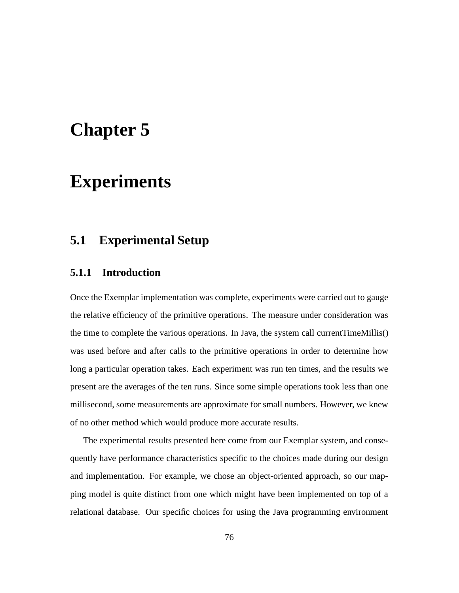# **Chapter 5**

# **Experiments**

# **5.1 Experimental Setup**

### **5.1.1 Introduction**

Once the Exemplar implementation was complete, experiments were carried out to gauge the relative efficiency of the primitive operations. The measure under consideration was the time to complete the various operations. In Java, the system call currentTimeMillis() was used before and after calls to the primitive operations in order to determine how long a particular operation takes. Each experiment was run ten times, and the results we present are the averages of the ten runs. Since some simple operations took less than one millisecond, some measurements are approximate for small numbers. However, we knew of no other method which would produce more accurate results.

The experimental results presented here come from our Exemplar system, and consequently have performance characteristics specific to the choices made during our design and implementation. For example, we chose an object-oriented approach, so our mapping model is quite distinct from one which might have been implemented on top of a relational database. Our specific choices for using the Java programming environment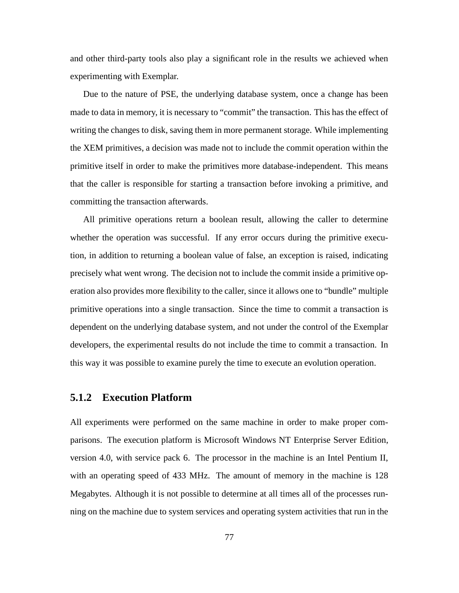and other third-party tools also play a significant role in the results we achieved when experimenting with Exemplar.

Due to the nature of PSE, the underlying database system, once a change has been made to data in memory, it is necessary to "commit" the transaction. This has the effect of writing the changes to disk, saving them in more permanent storage. While implementing the XEM primitives, a decision was made not to include the commit operation within the primitive itself in order to make the primitives more database-independent. This means that the caller is responsible for starting a transaction before invoking a primitive, and committing the transaction afterwards.

All primitive operations return a boolean result, allowing the caller to determine whether the operation was successful. If any error occurs during the primitive execution, in addition to returning a boolean value of false, an exception is raised, indicating precisely what went wrong. The decision not to include the commit inside a primitive operation also provides more flexibility to the caller, since it allows one to "bundle" multiple primitive operations into a single transaction. Since the time to commit a transaction is dependent on the underlying database system, and not under the control of the Exemplar developers, the experimental results do not include the time to commit a transaction. In this way it was possible to examine purely the time to execute an evolution operation.

#### **5.1.2 Execution Platform**

All experiments were performed on the same machine in order to make proper comparisons. The execution platform is Microsoft Windows NT Enterprise Server Edition, version 4.0, with service pack 6. The processor in the machine is an Intel Pentium II, with an operating speed of 433 MHz. The amount of memory in the machine is 128 Megabytes. Although it is not possible to determine at all times all of the processes running on the machine due to system services and operating system activities that run in the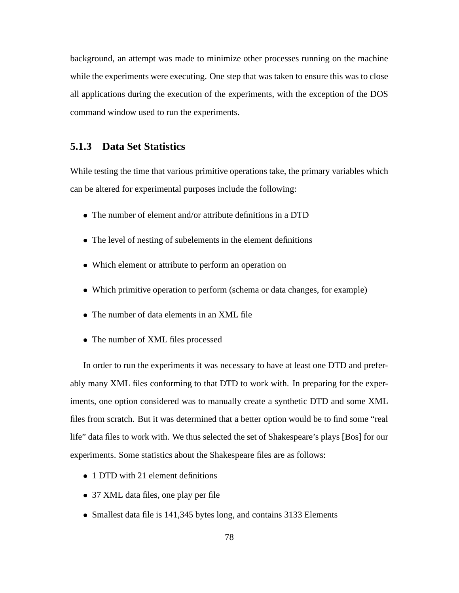background, an attempt was made to minimize other processes running on the machine while the experiments were executing. One step that was taken to ensure this was to close all applications during the execution of the experiments, with the exception of the DOS command window used to run the experiments.

#### **5.1.3 Data Set Statistics**

While testing the time that various primitive operations take, the primary variables which can be altered for experimental purposes include the following:

- ) The number of element and/or attribute definitions in a DTD
- ) The level of nesting of subelements in the element definitions
- ) Which element or attribute to perform an operation on
- ) Which primitive operation to perform (schema or data changes, for example)
- ) The number of data elements in an XML file
- ) The number of XML files processed

In order to run the experiments it was necessary to have at least one DTD and preferably many XML files conforming to that DTD to work with. In preparing for the experiments, one option considered was to manually create a synthetic DTD and some XML files from scratch. But it was determined that a better option would be to find some "real life" data files to work with. We thus selected the set of Shakespeare's plays [Bos] for our experiments. Some statistics about the Shakespeare files are as follows:

- 1 DTD with 21 element definitions
- ) 37 XML data files, one play per file
- Smallest data file is 141,345 bytes long, and contains 3133 Elements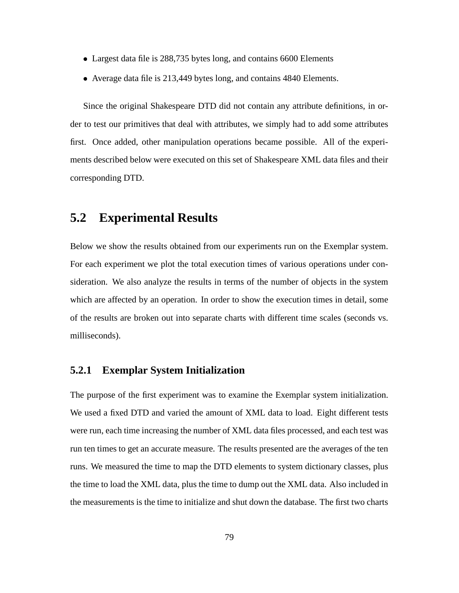- ) Largest data file is 288,735 bytes long, and contains 6600 Elements
- ) Average data file is 213,449 bytes long, and contains 4840 Elements.

Since the original Shakespeare DTD did not contain any attribute definitions, in order to test our primitives that deal with attributes, we simply had to add some attributes first. Once added, other manipulation operations became possible. All of the experiments described below were executed on this set of Shakespeare XML data files and their corresponding DTD.

## **5.2 Experimental Results**

Below we show the results obtained from our experiments run on the Exemplar system. For each experiment we plot the total execution times of various operations under consideration. We also analyze the results in terms of the number of objects in the system which are affected by an operation. In order to show the execution times in detail, some of the results are broken out into separate charts with different time scales (seconds vs. milliseconds).

### **5.2.1 Exemplar System Initialization**

The purpose of the first experiment was to examine the Exemplar system initialization. We used a fixed DTD and varied the amount of XML data to load. Eight different tests were run, each time increasing the number of XML data files processed, and each test was run ten times to get an accurate measure. The results presented are the averages of the ten runs. We measured the time to map the DTD elements to system dictionary classes, plus the time to load the XML data, plus the time to dump out the XML data. Also included in the measurements is the time to initialize and shut down the database. The first two charts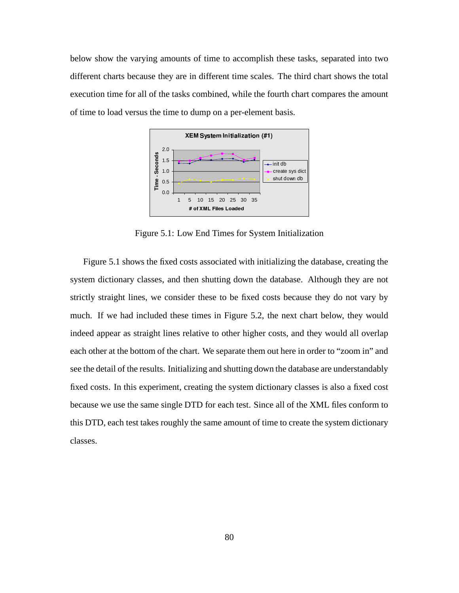below show the varying amounts of time to accomplish these tasks, separated into two different charts because they are in different time scales. The third chart shows the total execution time for all of the tasks combined, while the fourth chart compares the amount of time to load versus the time to dump on a per-element basis.



Figure 5.1: Low End Times for System Initialization

Figure 5.1 shows the fixed costs associated with initializing the database, creating the system dictionary classes, and then shutting down the database. Although they are not strictly straight lines, we consider these to be fixed costs because they do not vary by much. If we had included these times in Figure 5.2, the next chart below, they would indeed appear as straight lines relative to other higher costs, and they would all overlap each other at the bottom of the chart. We separate them out here in order to "zoom in" and see the detail of the results. Initializing and shutting down the database are understandably fixed costs. In this experiment, creating the system dictionary classes is also a fixed cost because we use the same single DTD for each test. Since all of the XML files conform to this DTD, each test takes roughly the same amount of time to create the system dictionary classes.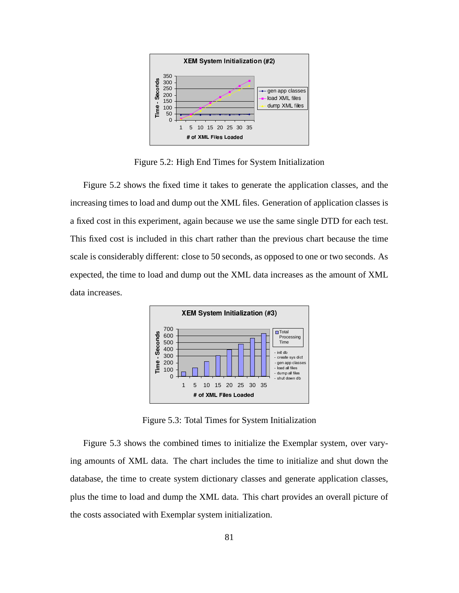

Figure 5.2: High End Times for System Initialization

Figure 5.2 shows the fixed time it takes to generate the application classes, and the increasing times to load and dump out the XML files. Generation of application classes is a fixed cost in this experiment, again because we use the same single DTD for each test. This fixed cost is included in this chart rather than the previous chart because the time scale is considerably different: close to 50 seconds, as opposed to one or two seconds. As expected, the time to load and dump out the XML data increases as the amount of XML data increases.



Figure 5.3: Total Times for System Initialization

Figure 5.3 shows the combined times to initialize the Exemplar system, over varying amounts of XML data. The chart includes the time to initialize and shut down the database, the time to create system dictionary classes and generate application classes, plus the time to load and dump the XML data. This chart provides an overall picture of the costs associated with Exemplar system initialization.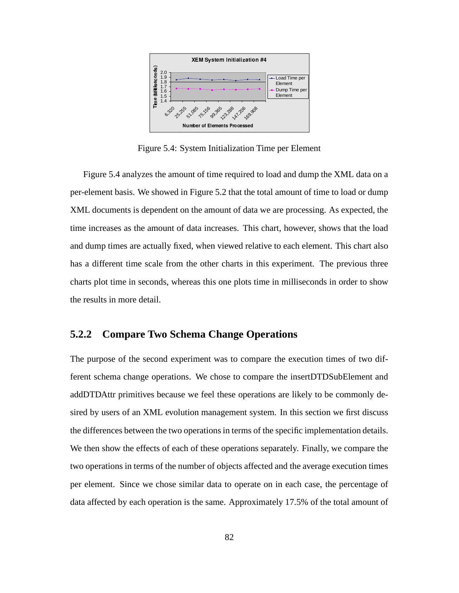

Figure 5.4: System Initialization Time per Element

Figure 5.4 analyzes the amount of time required to load and dump the XML data on a per-element basis. We showed in Figure 5.2 that the total amount of time to load or dump XML documents is dependent on the amount of data we are processing. As expected, the time increases as the amount of data increases. This chart, however, shows that the load and dump times are actually fixed, when viewed relative to each element. This chart also has a different time scale from the other charts in this experiment. The previous three charts plot time in seconds, whereas this one plots time in milliseconds in order to show the results in more detail.

### **5.2.2 Compare Two Schema Change Operations**

The purpose of the second experiment was to compare the execution times of two different schema change operations. We chose to compare the insertDTDSubElement and addDTDAttr primitives because we feel these operations are likely to be commonly desired by users of an XML evolution management system. In this section we first discuss the differences between the two operationsin terms of the specific implementation details. We then show the effects of each of these operations separately. Finally, we compare the two operations in terms of the number of objects affected and the average execution times per element. Since we chose similar data to operate on in each case, the percentage of data affected by each operation is the same. Approximately 17.5% of the total amount of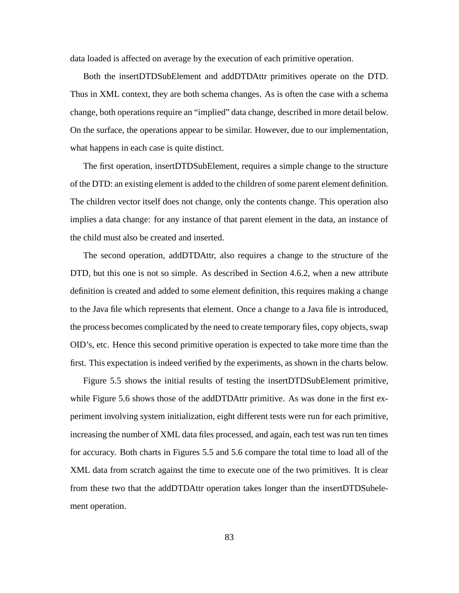data loaded is affected on average by the execution of each primitive operation.

Both the insertDTDSubElement and addDTDAttr primitives operate on the DTD. Thus in XML context, they are both schema changes. As is often the case with a schema change, both operations require an "implied" data change, described in more detail below. On the surface, the operations appear to be similar. However, due to our implementation, what happens in each case is quite distinct.

The first operation, insertDTDSubElement, requires a simple change to the structure of the DTD: an existing element is added to the children of some parent element definition. The children vector itself does not change, only the contents change. This operation also implies a data change: for any instance of that parent element in the data, an instance of the child must also be created and inserted.

The second operation, addDTDAttr, also requires a change to the structure of the DTD, but this one is not so simple. As described in Section 4.6.2, when a new attribute definition is created and added to some element definition, this requires making a change to the Java file which represents that element. Once a change to a Java file is introduced, the process becomes complicated by the need to create temporary files, copy objects, swap OID's, etc. Hence this second primitive operation is expected to take more time than the first. This expectation is indeed verified by the experiments, as shown in the charts below.

Figure 5.5 shows the initial results of testing the insertDTDSubElement primitive, while Figure 5.6 shows those of the addDTDAttr primitive. As was done in the first experiment involving system initialization, eight different tests were run for each primitive, increasing the number of XML data files processed, and again, each test was run ten times for accuracy. Both charts in Figures 5.5 and 5.6 compare the total time to load all of the XML data from scratch against the time to execute one of the two primitives. It is clear from these two that the addDTDAttr operation takes longer than the insertDTDSubelement operation.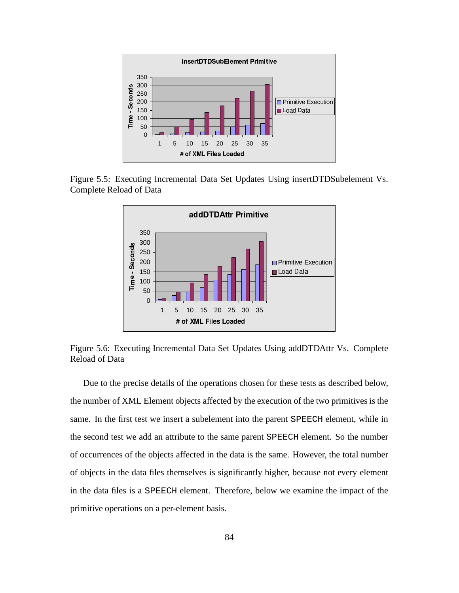

Figure 5.5: Executing Incremental Data Set Updates Using insertDTDSubelement Vs. Complete Reload of Data



Figure 5.6: Executing Incremental Data Set Updates Using addDTDAttr Vs. Complete Reload of Data

Due to the precise details of the operations chosen for these tests as described below, the number of XML Element objects affected by the execution of the two primitives is the same. In the first test we insert a subelement into the parent SPEECH element, while in the second test we add an attribute to the same parent SPEECH element. So the number of occurrences of the objects affected in the data is the same. However, the total number of objects in the data files themselves is significantly higher, because not every element in the data files is a SPEECH element. Therefore, below we examine the impact of the primitive operations on a per-element basis.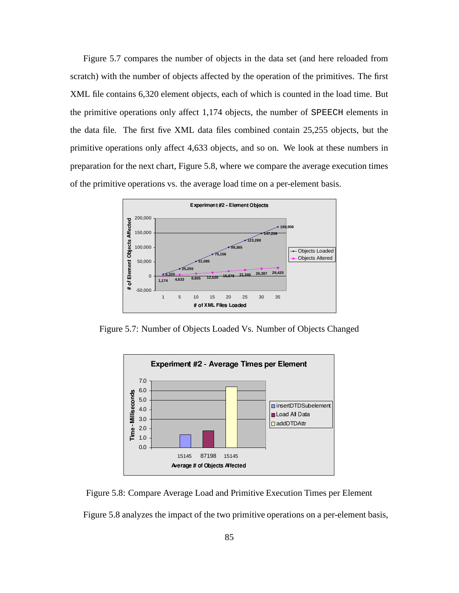Figure 5.7 compares the number of objects in the data set (and here reloaded from scratch) with the number of objects affected by the operation of the primitives. The first XML file contains 6,320 element objects, each of which is counted in the load time. But the primitive operations only affect 1,174 objects, the number of SPEECH elements in the data file. The first five XML data files combined contain 25,255 objects, but the primitive operations only affect 4,633 objects, and so on. We look at these numbers in preparation for the next chart, Figure 5.8, where we compare the average execution times of the primitive operations vs. the average load time on a per-element basis.



Figure 5.7: Number of Objects Loaded Vs. Number of Objects Changed



Figure 5.8: Compare Average Load and Primitive Execution Times per Element

Figure 5.8 analyzes the impact of the two primitive operations on a per-element basis,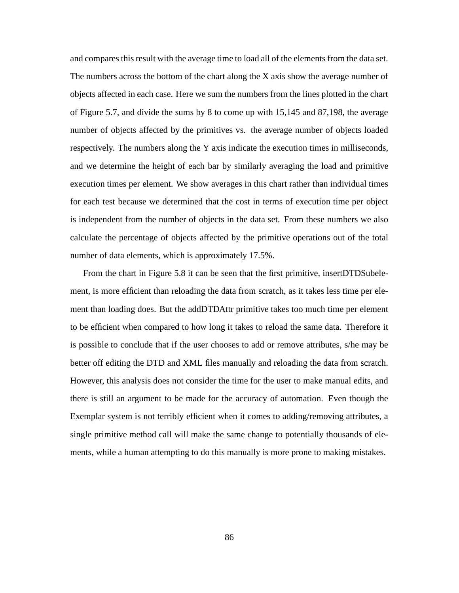and compares this result with the average time to load all of the elements from the data set. The numbers across the bottom of the chart along the X axis show the average number of objects affected in each case. Here we sum the numbers from the lines plotted in the chart of Figure 5.7, and divide the sums by 8 to come up with 15,145 and 87,198, the average number of objects affected by the primitives vs. the average number of objects loaded respectively. The numbers along the Y axis indicate the execution times in milliseconds, and we determine the height of each bar by similarly averaging the load and primitive execution times per element. We show averages in this chart rather than individual times for each test because we determined that the cost in terms of execution time per object is independent from the number of objects in the data set. From these numbers we also calculate the percentage of objects affected by the primitive operations out of the total number of data elements, which is approximately 17.5%.

From the chart in Figure 5.8 it can be seen that the first primitive, insertDTDSubelement, is more efficient than reloading the data from scratch, as it takes less time per element than loading does. But the addDTDAttr primitive takes too much time per element to be efficient when compared to how long it takes to reload the same data. Therefore it is possible to conclude that if the user chooses to add or remove attributes, s/he may be better off editing the DTD and XML files manually and reloading the data from scratch. However, this analysis does not consider the time for the user to make manual edits, and there is still an argument to be made for the accuracy of automation. Even though the Exemplar system is not terribly efficient when it comes to adding/removing attributes, a single primitive method call will make the same change to potentially thousands of elements, while a human attempting to do this manually is more prone to making mistakes.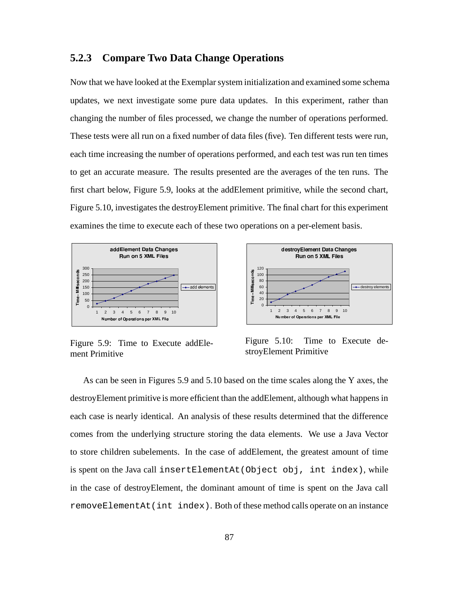#### **5.2.3 Compare Two Data Change Operations**

Now that we have looked at the Exemplar system initialization and examined some schema updates, we next investigate some pure data updates. In this experiment, rather than changing the number of files processed, we change the number of operations performed. These tests were all run on a fixed number of data files (five). Ten different tests were run, each time increasing the number of operations performed, and each test was run ten times to get an accurate measure. The results presented are the averages of the ten runs. The first chart below, Figure 5.9, looks at the addElement primitive, while the second chart, Figure 5.10, investigates the destroyElement primitive. The final chart for this experiment examines the time to execute each of these two operations on a per-element basis.





Figure 5.9: Time to Execute addElement Primitive

Figure 5.10: Time to Execute destroyElement Primitive

As can be seen in Figures 5.9 and 5.10 based on the time scales along the Y axes, the destroyElement primitive is more efficient than the addElement, although what happens in each case is nearly identical. An analysis of these results determined that the difference comes from the underlying structure storing the data elements. We use a Java Vector to store children subelements. In the case of addElement, the greatest amount of time is spent on the Java call insertElementAt(Object obj, int index), while in the case of destroyElement, the dominant amount of time is spent on the Java call removeElementAt(int index). Both of these method calls operate on an instance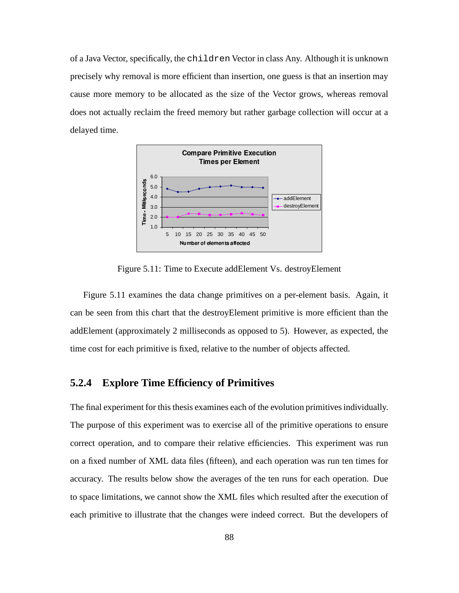of a Java Vector, specifically, the children Vector in class Any. Although it is unknown precisely why removal is more efficient than insertion, one guess is that an insertion may cause more memory to be allocated as the size of the Vector grows, whereas removal does not actually reclaim the freed memory but rather garbage collection will occur at a delayed time.



Figure 5.11: Time to Execute addElement Vs. destroyElement

Figure 5.11 examines the data change primitives on a per-element basis. Again, it can be seen from this chart that the destroyElement primitive is more efficient than the addElement (approximately 2 milliseconds as opposed to 5). However, as expected, the time cost for each primitive is fixed, relative to the number of objects affected.

### **5.2.4 Explore Time Efficiency of Primitives**

The final experiment for this thesis examines each of the evolution primitives individually. The purpose of this experiment was to exercise all of the primitive operations to ensure correct operation, and to compare their relative efficiencies. This experiment was run on a fixed number of XML data files (fifteen), and each operation was run ten times for accuracy. The results below show the averages of the ten runs for each operation. Due to space limitations, we cannot show the XML files which resulted after the execution of each primitive to illustrate that the changes were indeed correct. But the developers of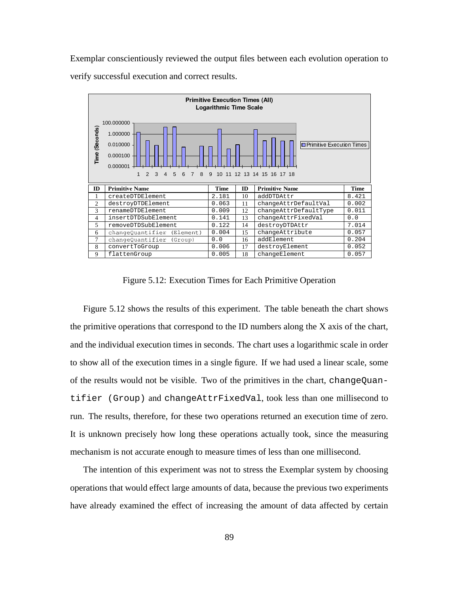Exemplar conscientiously reviewed the output files between each evolution operation to verify successful execution and correct results.



Figure 5.12: Execution Times for Each Primitive Operation

Figure 5.12 shows the results of this experiment. The table beneath the chart shows the primitive operations that correspond to the ID numbers along the X axis of the chart, and the individual execution times in seconds. The chart uses a logarithmic scale in order to show all of the execution times in a single figure. If we had used a linear scale, some of the results would not be visible. Two of the primitives in the chart, changeQuantifier (Group) and changeAttrFixedVal, took less than one millisecond to run. The results, therefore, for these two operations returned an execution time of zero. It is unknown precisely how long these operations actually took, since the measuring mechanism is not accurate enough to measure times of less than one millisecond.

The intention of this experiment was not to stress the Exemplar system by choosing operations that would effect large amounts of data, because the previous two experiments have already examined the effect of increasing the amount of data affected by certain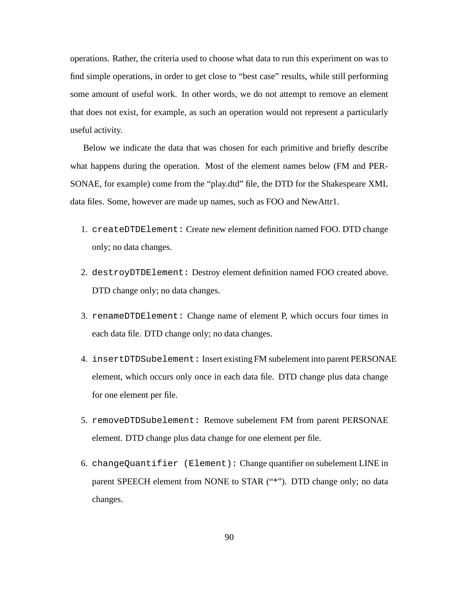operations. Rather, the criteria used to choose what data to run this experiment on was to find simple operations, in order to get close to "best case" results, while still performing some amount of useful work. In other words, we do not attempt to remove an element that does not exist, for example, as such an operation would not represent a particularly useful activity.

Below we indicate the data that was chosen for each primitive and briefly describe what happens during the operation. Most of the element names below (FM and PER-SONAE, for example) come from the "play.dtd" file, the DTD for the Shakespeare XML data files. Some, however are made up names, such as FOO and NewAttr1.

- 1. createDTDElement: Create new element definition named FOO. DTD change only; no data changes.
- 2. destroyDTDElement: Destroy element definition named FOO created above. DTD change only; no data changes.
- 3. renameDTDElement: Change name of element P, which occurs four times in each data file. DTD change only; no data changes.
- 4. insertDTDSubelement: Insert existing FM subelement into parent PERSONAE element, which occurs only once in each data file. DTD change plus data change for one element per file.
- 5. removeDTDSubelement: Remove subelement FM from parent PERSONAE element. DTD change plus data change for one element per file.
- 6. changeQuantifier (Element): Change quantifier on subelement LINE in parent SPEECH element from NONE to STAR ("\*"). DTD change only; no data changes.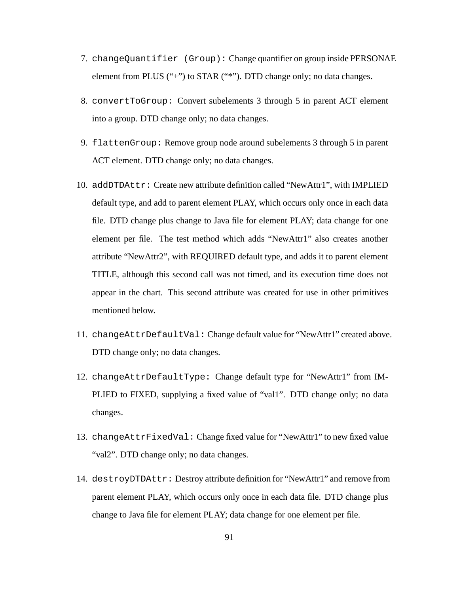- 7. changeQuantifier (Group): Change quantifier on group inside PERSONAE element from PLUS ("+") to STAR ("\*"). DTD change only; no data changes.
- 8. convertToGroup: Convert subelements 3 through 5 in parent ACT element into a group. DTD change only; no data changes.
- 9. flattenGroup: Remove group node around subelements 3 through 5 in parent ACT element. DTD change only; no data changes.
- 10. addDTDAttr: Create new attribute definition called "NewAttr1", with IMPLIED default type, and add to parent element PLAY, which occurs only once in each data file. DTD change plus change to Java file for element PLAY; data change for one element per file. The test method which adds "NewAttr1" also creates another attribute "NewAttr2", with REQUIRED default type, and adds it to parent element TITLE, although this second call was not timed, and its execution time does not appear in the chart. This second attribute was created for use in other primitives mentioned below.
- 11. changeAttrDefaultVal: Change default value for "NewAttr1" created above. DTD change only; no data changes.
- 12. changeAttrDefaultType: Change default type for "NewAttr1" from IM-PLIED to FIXED, supplying a fixed value of "val1". DTD change only; no data changes.
- 13. changeAttrFixedVal: Change fixed value for "NewAttr1" to new fixed value "val2". DTD change only; no data changes.
- 14. destroyDTDAttr: Destroy attribute definition for "NewAttr1" and remove from parent element PLAY, which occurs only once in each data file. DTD change plus change to Java file for element PLAY; data change for one element per file.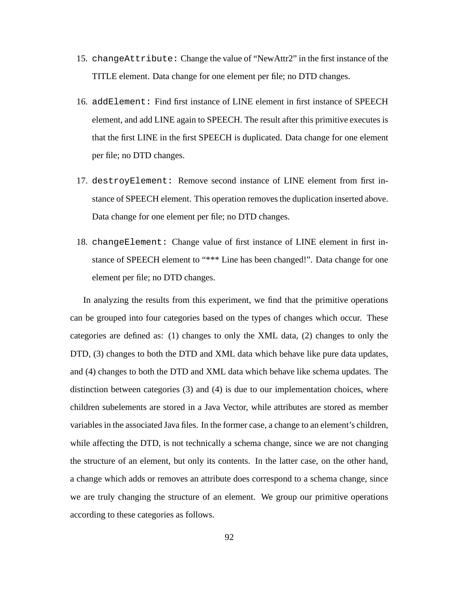- 15. changeAttribute: Change the value of "NewAttr2" in the first instance of the TITLE element. Data change for one element per file; no DTD changes.
- 16. addElement: Find first instance of LINE element in first instance of SPEECH element, and add LINE again to SPEECH. The result after this primitive executes is that the first LINE in the first SPEECH is duplicated. Data change for one element per file; no DTD changes.
- 17. destroyElement: Remove second instance of LINE element from first instance of SPEECH element. This operation removes the duplication inserted above. Data change for one element per file; no DTD changes.
- 18. changeElement: Change value of first instance of LINE element in first instance of SPEECH element to "\*\*\* Line has been changed!". Data change for one element per file; no DTD changes.

In analyzing the results from this experiment, we find that the primitive operations can be grouped into four categories based on the types of changes which occur. These categories are defined as: (1) changes to only the XML data, (2) changes to only the DTD, (3) changes to both the DTD and XML data which behave like pure data updates, and (4) changes to both the DTD and XML data which behave like schema updates. The distinction between categories (3) and (4) is due to our implementation choices, where children subelements are stored in a Java Vector, while attributes are stored as member variables in the associated Java files. In the former case, a change to an element's children, while affecting the DTD, is not technically a schema change, since we are not changing the structure of an element, but only its contents. In the latter case, on the other hand, a change which adds or removes an attribute does correspond to a schema change, since we are truly changing the structure of an element. We group our primitive operations according to these categories as follows.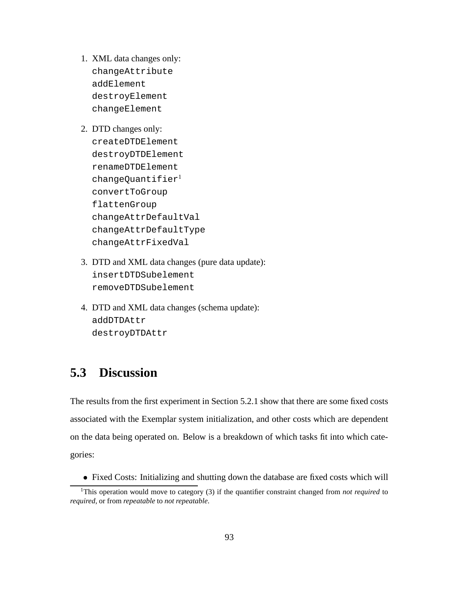- 1. XML data changes only: changeAttribute addElement destroyElement changeElement
- 2. DTD changes only: createDTDElement destroyDTDElement renameDTDElement changeQuantifier<sup>1</sup> convertToGroup flattenGroup changeAttrDefaultVal changeAttrDefaultType changeAttrFixedVal
- 3. DTD and XML data changes (pure data update): insertDTDSubelement removeDTDSubelement
- 4. DTD and XML data changes (schema update): addDTDAttr destroyDTDAttr

# **5.3 Discussion**

The results from the first experiment in Section 5.2.1 show that there are some fixed costs associated with the Exemplar system initialization, and other costs which are dependent on the data being operated on. Below is a breakdown of which tasks fit into which categories:

) Fixed Costs: Initializing and shutting down the database are fixed costs which will

<sup>1</sup>This operation would move to category (3) if the quantifier constraint changed from *not required* to *required*, or from *repeatable* to *not repeatable*.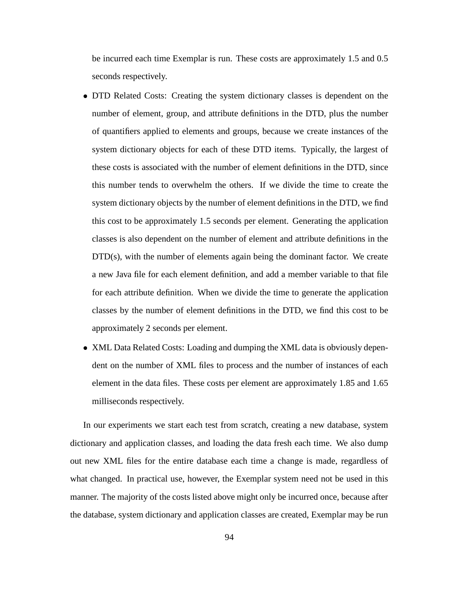be incurred each time Exemplar is run. These costs are approximately 1.5 and 0.5 seconds respectively.

- ) DTD Related Costs: Creating the system dictionary classes is dependent on the number of element, group, and attribute definitions in the DTD, plus the number of quantifiers applied to elements and groups, because we create instances of the system dictionary objects for each of these DTD items. Typically, the largest of these costs is associated with the number of element definitions in the DTD, since this number tends to overwhelm the others. If we divide the time to create the system dictionary objects by the number of element definitions in the DTD, we find this cost to be approximately 1.5 seconds per element. Generating the application classes is also dependent on the number of element and attribute definitions in the DTD(s), with the number of elements again being the dominant factor. We create a new Java file for each element definition, and add a member variable to that file for each attribute definition. When we divide the time to generate the application classes by the number of element definitions in the DTD, we find this cost to be approximately 2 seconds per element.
- ) XML Data Related Costs: Loading and dumping the XML data is obviously dependent on the number of XML files to process and the number of instances of each element in the data files. These costs per element are approximately 1.85 and 1.65 milliseconds respectively.

In our experiments we start each test from scratch, creating a new database, system dictionary and application classes, and loading the data fresh each time. We also dump out new XML files for the entire database each time a change is made, regardless of what changed. In practical use, however, the Exemplar system need not be used in this manner. The majority of the costs listed above might only be incurred once, because after the database, system dictionary and application classes are created, Exemplar may be run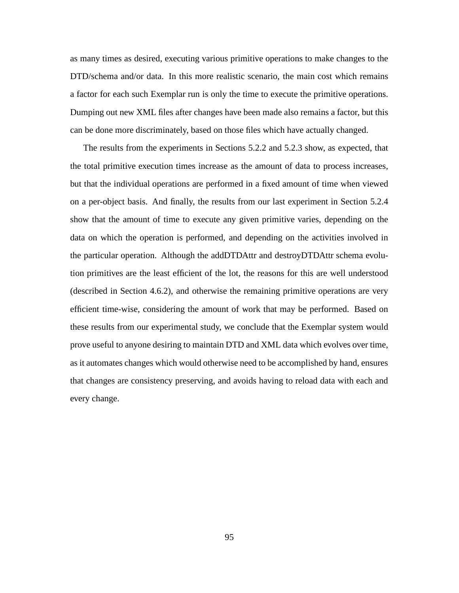as many times as desired, executing various primitive operations to make changes to the DTD/schema and/or data. In this more realistic scenario, the main cost which remains a factor for each such Exemplar run is only the time to execute the primitive operations. Dumping out new XML files after changes have been made also remains a factor, but this can be done more discriminately, based on those files which have actually changed.

The results from the experiments in Sections 5.2.2 and 5.2.3 show, as expected, that the total primitive execution times increase as the amount of data to process increases, but that the individual operations are performed in a fixed amount of time when viewed on a per-object basis. And finally, the results from our last experiment in Section 5.2.4 show that the amount of time to execute any given primitive varies, depending on the data on which the operation is performed, and depending on the activities involved in the particular operation. Although the addDTDAttr and destroyDTDAttr schema evolution primitives are the least efficient of the lot, the reasons for this are well understood (described in Section 4.6.2), and otherwise the remaining primitive operations are very efficient time-wise, considering the amount of work that may be performed. Based on these results from our experimental study, we conclude that the Exemplar system would prove useful to anyone desiring to maintain DTD and XML data which evolves over time, as it automates changes which would otherwise need to be accomplished by hand, ensures that changes are consistency preserving, and avoids having to reload data with each and every change.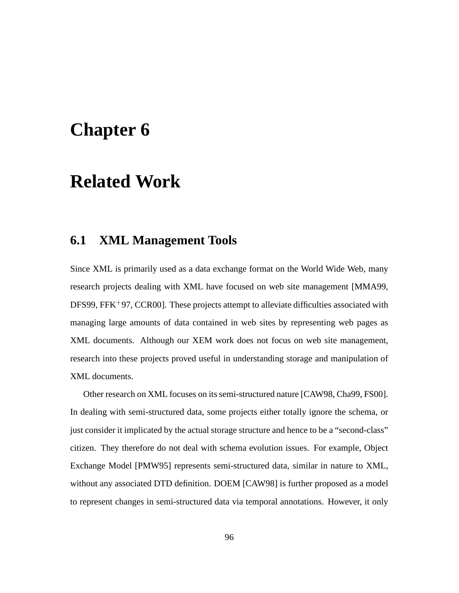# **Chapter 6**

# **Related Work**

# **6.1 XML Management Tools**

Since XML is primarily used as a data exchange format on the World Wide Web, many research projects dealing with XML have focused on web site management [MMA99, DFS99, FFK<sup>+</sup>97, CCR00]. These projects attempt to alleviate difficulties associated with managing large amounts of data contained in web sites by representing web pages as XML documents. Although our XEM work does not focus on web site management, research into these projects proved useful in understanding storage and manipulation of XML documents.

Other research on XML focuses on itssemi-structured nature [CAW98, Cha99, FS00]. In dealing with semi-structured data, some projects either totally ignore the schema, or just consider it implicated by the actual storage structure and hence to be a "second-class" citizen. They therefore do not deal with schema evolution issues. For example, Object Exchange Model [PMW95] represents semi-structured data, similar in nature to XML, without any associated DTD definition. DOEM [CAW98] is further proposed as a model to represent changes in semi-structured data via temporal annotations. However, it only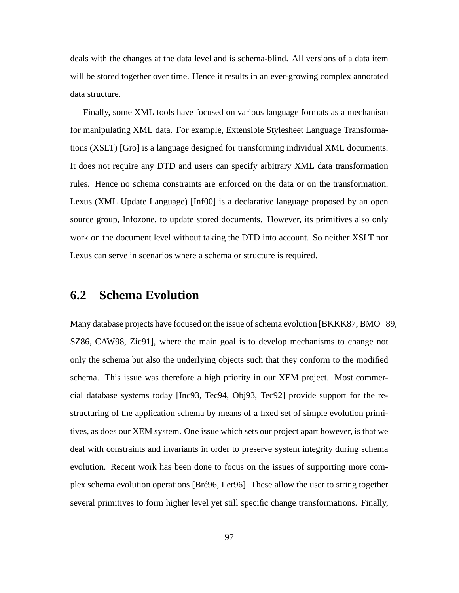deals with the changes at the data level and is schema-blind. All versions of a data item will be stored together over time. Hence it results in an ever-growing complex annotated data structure.

Finally, some XML tools have focused on various language formats as a mechanism for manipulating XML data. For example, Extensible Stylesheet Language Transformations (XSLT) [Gro] is a language designed for transforming individual XML documents. It does not require any DTD and users can specify arbitrary XML data transformation rules. Hence no schema constraints are enforced on the data or on the transformation. Lexus (XML Update Language) [Inf00] is a declarative language proposed by an open source group, Infozone, to update stored documents. However, its primitives also only work on the document level without taking the DTD into account. So neither XSLT nor Lexus can serve in scenarios where a schema or structure is required.

## **6.2 Schema Evolution**

Many database projects have focused on the issue of schema evolution [BKKK87, BMO<sup>+</sup>89, SZ86, CAW98, Zic91], where the main goal is to develop mechanisms to change not only the schema but also the underlying objects such that they conform to the modified schema. This issue was therefore a high priority in our XEM project. Most commercial database systems today [Inc93, Tec94, Obj93, Tec92] provide support for the restructuring of the application schema by means of a fixed set of simple evolution primitives, as does our XEM system. One issue which sets our project apart however, is that we deal with constraints and invariants in order to preserve system integrity during schema evolution. Recent work has been done to focus on the issues of supporting more complex schema evolution operations [Bré96, Ler96]. These allow the user to string together several primitives to form higher level yet still specific change transformations. Finally,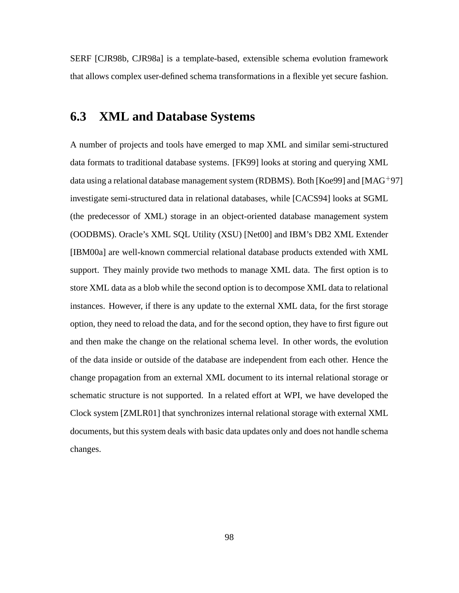SERF [CJR98b, CJR98a] is a template-based, extensible schema evolution framework that allows complex user-defined schema transformations in a flexible yet secure fashion.

# **6.3 XML and Database Systems**

A number of projects and tools have emerged to map XML and similar semi-structured data formats to traditional database systems. [FK99] looks at storing and querying XML data using a relational database management system (RDBMS). Both [Koe99] and [MAG<sup>+</sup>97] investigate semi-structured data in relational databases, while [CACS94] looks at SGML (the predecessor of XML) storage in an object-oriented database management system (OODBMS). Oracle's XML SQL Utility (XSU) [Net00] and IBM's DB2 XML Extender [IBM00a] are well-known commercial relational database products extended with XML support. They mainly provide two methods to manage XML data. The first option is to store XML data as a blob while the second option is to decompose XML data to relational instances. However, if there is any update to the external XML data, for the first storage option, they need to reload the data, and for the second option, they have to first figure out and then make the change on the relational schema level. In other words, the evolution of the data inside or outside of the database are independent from each other. Hence the change propagation from an external XML document to its internal relational storage or schematic structure is not supported. In a related effort at WPI, we have developed the Clock system [ZMLR01] that synchronizes internal relational storage with external XML documents, but this system deals with basic data updates only and does not handle schema changes.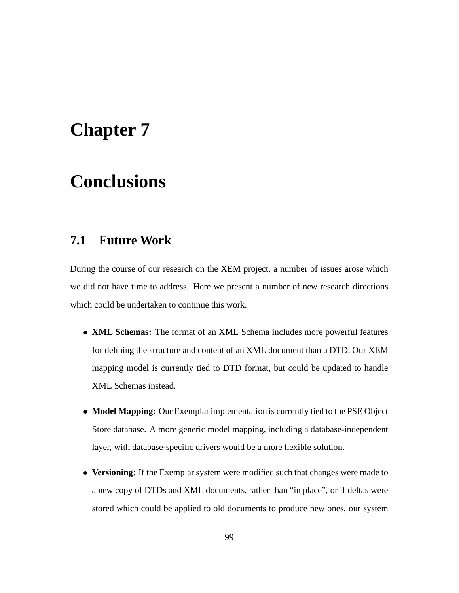## **Chapter 7**

# **Conclusions**

### **7.1 Future Work**

During the course of our research on the XEM project, a number of issues arose which we did not have time to address. Here we present a number of new research directions which could be undertaken to continue this work.

- ) **XML Schemas:** The format of an XML Schema includes more powerful features for defining the structure and content of an XML document than a DTD. Our XEM mapping model is currently tied to DTD format, but could be updated to handle XML Schemas instead.
- ) **Model Mapping:** Our Exemplar implementation is currently tied to the PSE Object Store database. A more generic model mapping, including a database-independent layer, with database-specific drivers would be a more flexible solution.
- ) **Versioning:** If the Exemplar system were modified such that changes were made to a new copy of DTDs and XML documents, rather than "in place", or if deltas were stored which could be applied to old documents to produce new ones, our system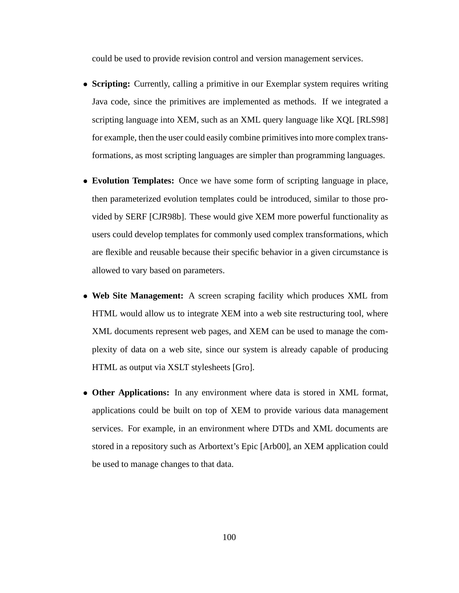could be used to provide revision control and version management services.

- ) **Scripting:** Currently, calling a primitive in our Exemplar system requires writing Java code, since the primitives are implemented as methods. If we integrated a scripting language into XEM, such as an XML query language like XQL [RLS98] for example, then the user could easily combine primitivesinto more complex transformations, as most scripting languages are simpler than programming languages.
- ) **Evolution Templates:** Once we have some form of scripting language in place, then parameterized evolution templates could be introduced, similar to those provided by SERF [CJR98b]. These would give XEM more powerful functionality as users could develop templates for commonly used complex transformations, which are flexible and reusable because their specific behavior in a given circumstance is allowed to vary based on parameters.
- ) **Web Site Management:** A screen scraping facility which produces XML from HTML would allow us to integrate XEM into a web site restructuring tool, where XML documents represent web pages, and XEM can be used to manage the complexity of data on a web site, since our system is already capable of producing HTML as output via XSLT stylesheets [Gro].
- ) **Other Applications:** In any environment where data is stored in XML format, applications could be built on top of XEM to provide various data management services. For example, in an environment where DTDs and XML documents are stored in a repository such as Arbortext's Epic [Arb00], an XEM application could be used to manage changes to that data.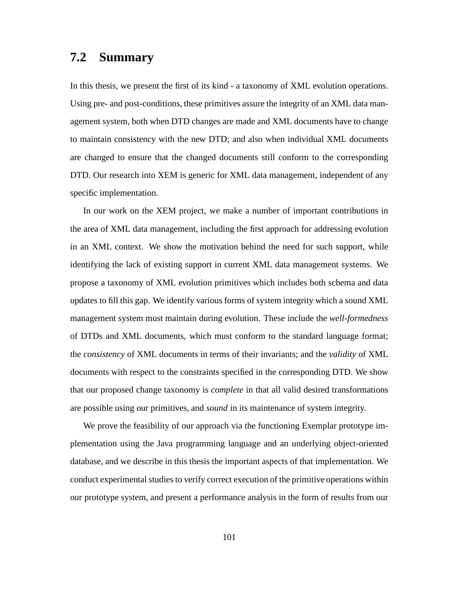#### **7.2 Summary**

In this thesis, we present the first of its kind - a taxonomy of XML evolution operations. Using pre- and post-conditions, these primitives assure the integrity of an XML data management system, both when DTD changes are made and XML documents have to change to maintain consistency with the new DTD; and also when individual XML documents are changed to ensure that the changed documents still conform to the corresponding DTD. Our research into XEM is generic for XML data management, independent of any specific implementation.

In our work on the XEM project, we make a number of important contributions in the area of XML data management, including the first approach for addressing evolution in an XML context. We show the motivation behind the need for such support, while identifying the lack of existing support in current XML data management systems. We propose a taxonomy of XML evolution primitives which includes both schema and data updates to fill this gap. We identify various forms of system integrity which a sound XML management system must maintain during evolution. These include the *well-formedness* of DTDs and XML documents, which must conform to the standard language format; the *consistency* of XML documents in terms of their invariants; and the *validity* of XML documents with respect to the constraints specified in the corresponding DTD. We show that our proposed change taxonomy is *complete* in that all valid desired transformations are possible using our primitives, and *sound* in its maintenance of system integrity.

We prove the feasibility of our approach via the functioning Exemplar prototype implementation using the Java programming language and an underlying object-oriented database, and we describe in this thesis the important aspects of that implementation. We conduct experimental studies to verify correct execution of the primitive operations within our prototype system, and present a performance analysis in the form of results from our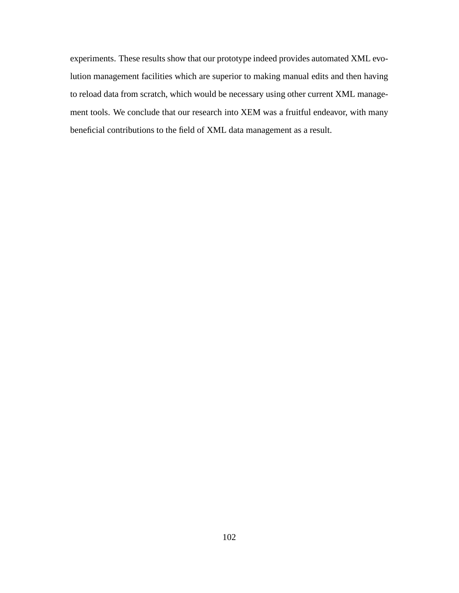experiments. These results show that our prototype indeed provides automated XML evolution management facilities which are superior to making manual edits and then having to reload data from scratch, which would be necessary using other current XML management tools. We conclude that our research into XEM was a fruitful endeavor, with many beneficial contributions to the field of XML data management as a result.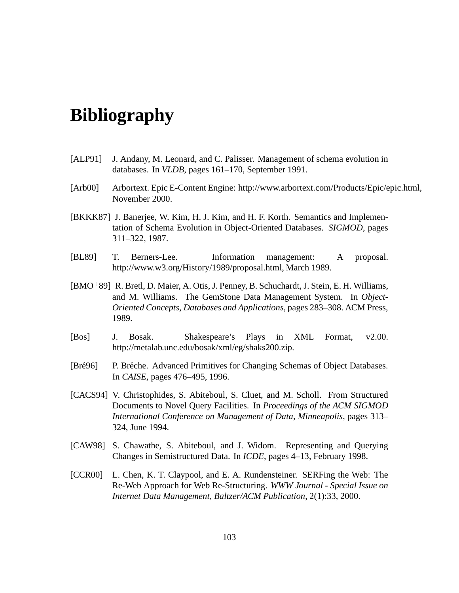### **Bibliography**

- [ALP91] J. Andany, M. Leonard, and C. Palisser. Management of schema evolution in databases. In *VLDB*, pages 161–170, September 1991.
- [Arb00] Arbortext. Epic E-Content Engine: http://www.arbortext.com/Products/Epic/epic.html, November 2000.
- [BKKK87] J. Banerjee, W. Kim, H. J. Kim, and H. F. Korth. Semantics and Implementation of Schema Evolution in Object-Oriented Databases. *SIGMOD*, pages 311–322, 1987.
- [BL89] T. Berners-Lee. Information management: A proposal. http://www.w3.org/History/1989/proposal.html, March 1989.
- [BMO 89] R. Bretl, D. Maier, A. Otis, J. Penney, B. Schuchardt, J. Stein, E. H. Williams, and M. Williams. The GemStone Data Management System. In *Object-Oriented Concepts, Databases and Applications*, pages 283–308. ACM Press, 1989.
- [Bos] J. Bosak. Shakespeare's Plays in XML Format, v2.00. http://metalab.unc.edu/bosak/xml/eg/shaks200.zip.
- [Bré96] P. Bréche. Advanced Primitives for Changing Schemas of Object Databases. In *CAISE*, pages 476–495, 1996.
- [CACS94] V. Christophides, S. Abiteboul, S. Cluet, and M. Scholl. From Structured Documents to Novel Query Facilities. In *Proceedings of the ACM SIGMOD International Conference on Management of Data, Minneapolis*, pages 313– 324, June 1994.
- [CAW98] S. Chawathe, S. Abiteboul, and J. Widom. Representing and Querying Changes in Semistructured Data. In *ICDE*, pages 4–13, February 1998.
- [CCR00] L. Chen, K. T. Claypool, and E. A. Rundensteiner. SERFing the Web: The Re-Web Approach for Web Re-Structuring. *WWW Journal - Special Issue on Internet Data Management, Baltzer/ACM Publication*, 2(1):33, 2000.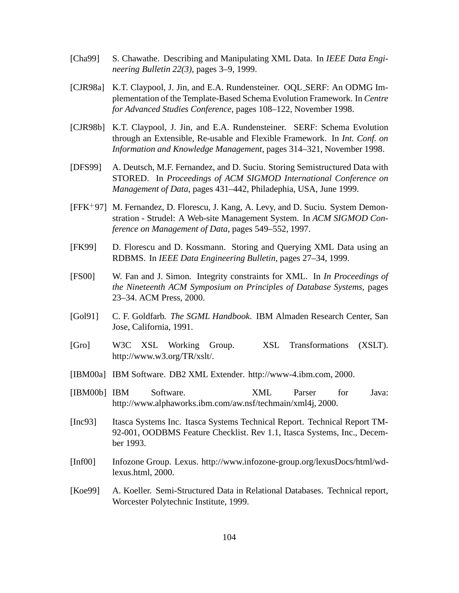- [Cha99] S. Chawathe. Describing and Manipulating XML Data. In *IEEE Data Engineering Bulletin 22(3)*, pages 3–9, 1999.
- [CJR98a] K.T. Claypool, J. Jin, and E.A. Rundensteiner. OQL SERF: An ODMG Implementation of the Template-Based Schema Evolution Framework. In *Centre for Advanced Studies Conference*, pages 108–122, November 1998.
- [CJR98b] K.T. Claypool, J. Jin, and E.A. Rundensteiner. SERF: Schema Evolution through an Extensible, Re-usable and Flexible Framework. In *Int. Conf. on Information and Knowledge Management*, pages 314–321, November 1998.
- [DFS99] A. Deutsch, M.F. Fernandez, and D. Suciu. Storing Semistructured Data with STORED. In *Proceedings of ACM SIGMOD International Conference on Management of Data*, pages 431–442, Philadephia, USA, June 1999.
- [FFK 97] M. Fernandez, D. Florescu, J. Kang, A. Levy, and D. Suciu. System Demonstration - Strudel: A Web-site Management System. In *ACM SIGMOD Conference on Management of Data*, pages 549–552, 1997.
- [FK99] D. Florescu and D. Kossmann. Storing and Querying XML Data using an RDBMS. In *IEEE Data Engineering Bulletin*, pages 27–34, 1999.
- [FS00] W. Fan and J. Simon. Integrity constraints for XML. In *In Proceedings of the Nineteenth ACM Symposium on Principles of Database Systems*, pages 23–34. ACM Press, 2000.
- [Gol91] C. F. Goldfarb. *The SGML Handbook*. IBM Almaden Research Center, San Jose, California, 1991.
- [Gro] W3C XSL Working Group. XSL Transformations (XSLT). http://www.w3.org/TR/xslt/.
- [IBM00a] IBM Software. DB2 XML Extender. http://www-4.ibm.com, 2000.
- [IBM00b] IBM Software. XML Parser for Java: http://www.alphaworks.ibm.com/aw.nsf/techmain/xml4j, 2000.
- [Inc93] Itasca Systems Inc. Itasca Systems Technical Report. Technical Report TM-92-001, OODBMS Feature Checklist. Rev 1.1, Itasca Systems, Inc., December 1993.
- [Inf00] Infozone Group. Lexus. http://www.infozone-group.org/lexusDocs/html/wdlexus.html, 2000.
- [Koe99] A. Koeller. Semi-Structured Data in Relational Databases. Technical report, Worcester Polytechnic Institute, 1999.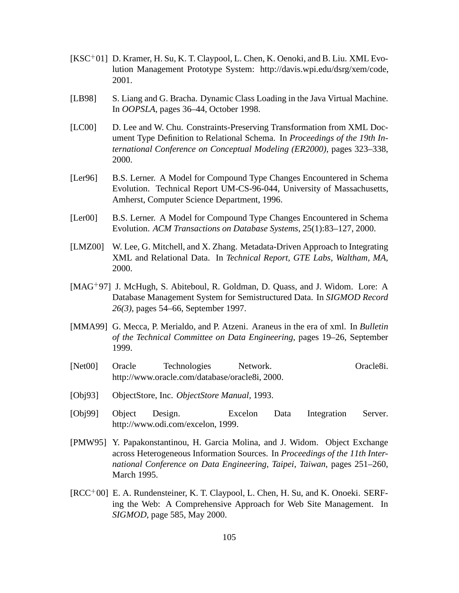- [KSC<sup>+</sup>01] D. Kramer, H. Su, K. T. Claypool, L. Chen, K. Oenoki, and B. Liu. XML Evolution Management Prototype System: http://davis.wpi.edu/dsrg/xem/code, 2001.
- [LB98] S. Liang and G. Bracha. Dynamic Class Loading in the Java Virtual Machine. In *OOPSLA*, pages 36–44, October 1998.
- [LC00] D. Lee and W. Chu. Constraints-Preserving Transformation from XML Document Type Definition to Relational Schema. In *Proceedings of the 19th International Conference on Conceptual Modeling (ER2000)*, pages 323–338, 2000.
- [Ler96] B.S. Lerner. A Model for Compound Type Changes Encountered in Schema Evolution. Technical Report UM-CS-96-044, University of Massachusetts, Amherst, Computer Science Department, 1996.
- [Ler00] B.S. Lerner. A Model for Compound Type Changes Encountered in Schema Evolution. *ACM Transactions on Database Systems*, 25(1):83–127, 2000.
- [LMZ00] W. Lee, G. Mitchell, and X. Zhang. Metadata-Driven Approach to Integrating XML and Relational Data. In *Technical Report, GTE Labs, Waltham, MA*, 2000.
- [MAG<sup>+</sup>97] J. McHugh, S. Abiteboul, R. Goldman, D. Quass, and J. Widom. Lore: A Database Management System for Semistructured Data. In *SIGMOD Record 26(3)*, pages 54–66, September 1997.
- [MMA99] G. Mecca, P. Merialdo, and P. Atzeni. Araneus in the era of xml. In *Bulletin of the Technical Committee on Data Engineering*, pages 19–26, September 1999.
- [Net00] Oracle Technologies Network. Oracle8i. http://www.oracle.com/database/oracle8i, 2000.
- [Obj93] ObjectStore, Inc. *ObjectStore Manual*, 1993.
- [Obj99] Object Design. Excelon Data Integration Server. http://www.odi.com/excelon, 1999.
- [PMW95] Y. Papakonstantinou, H. Garcia Molina, and J. Widom. Object Exchange across Heterogeneous Information Sources. In *Proceedings of the 11th International Conference on Data Engineering, Taipei, Taiwan*, pages 251–260, March 1995.
- [RCC<sup>+</sup>00] E. A. Rundensteiner, K. T. Claypool, L. Chen, H. Su, and K. Onoeki. SERFing the Web: A Comprehensive Approach for Web Site Management. In *SIGMOD*, page 585, May 2000.